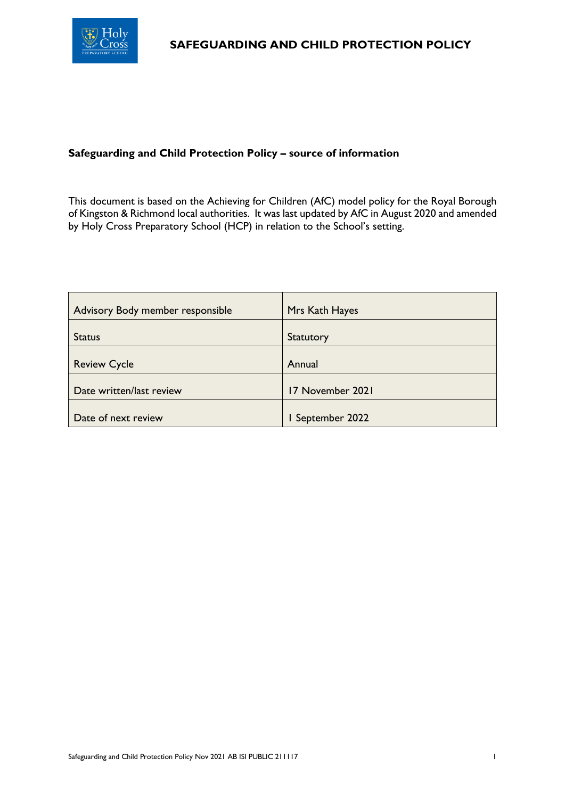

## **Safeguarding and Child Protection Policy – source of information**

This document is based on the Achieving for Children (AfC) model policy for the Royal Borough of Kingston & Richmond local authorities. It was last updated by AfC in August 2020 and amended by Holy Cross Preparatory School (HCP) in relation to the School's setting.

| Advisory Body member responsible | Mrs Kath Hayes   |
|----------------------------------|------------------|
| <b>Status</b>                    | Statutory        |
| <b>Review Cycle</b>              | Annual           |
| Date written/last review         | 17 November 2021 |
| Date of next review              | I September 2022 |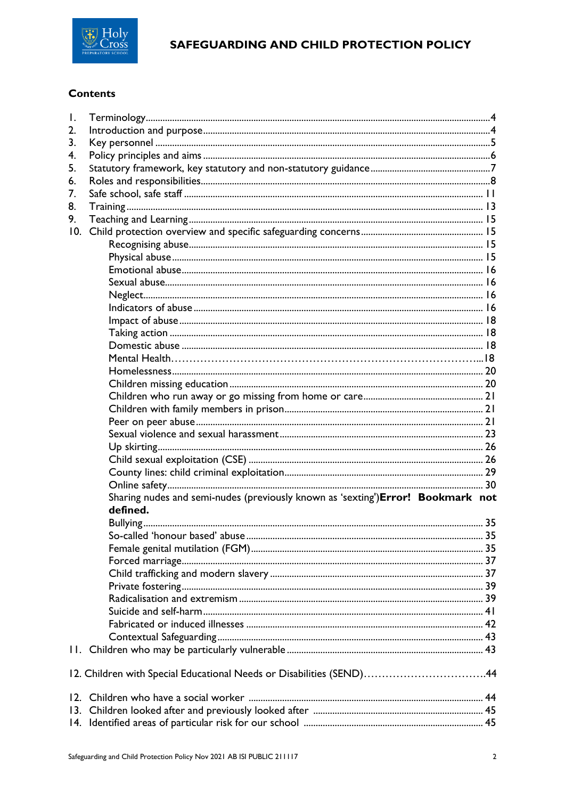

# **Contents**

| $\mathsf{I}$ . |                                                                                  |  |
|----------------|----------------------------------------------------------------------------------|--|
| 2.             |                                                                                  |  |
| 3.             |                                                                                  |  |
| 4.             |                                                                                  |  |
| 5.             |                                                                                  |  |
| 6.             |                                                                                  |  |
| 7.             |                                                                                  |  |
| 8.             |                                                                                  |  |
| 9.             |                                                                                  |  |
| 10.            |                                                                                  |  |
|                |                                                                                  |  |
|                |                                                                                  |  |
|                |                                                                                  |  |
|                |                                                                                  |  |
|                |                                                                                  |  |
|                |                                                                                  |  |
|                |                                                                                  |  |
|                |                                                                                  |  |
|                |                                                                                  |  |
|                |                                                                                  |  |
|                |                                                                                  |  |
|                |                                                                                  |  |
|                |                                                                                  |  |
|                |                                                                                  |  |
|                |                                                                                  |  |
|                |                                                                                  |  |
|                |                                                                                  |  |
|                |                                                                                  |  |
|                |                                                                                  |  |
|                |                                                                                  |  |
|                | Sharing nudes and semi-nudes (previously known as 'sexting') Error! Bookmark not |  |
|                | defined.                                                                         |  |
|                |                                                                                  |  |
|                |                                                                                  |  |
|                |                                                                                  |  |
|                |                                                                                  |  |
|                |                                                                                  |  |
|                |                                                                                  |  |
|                |                                                                                  |  |
|                |                                                                                  |  |
|                |                                                                                  |  |
|                |                                                                                  |  |
|                |                                                                                  |  |
|                | 12. Children with Special Educational Needs or Disabilities (SEND)44             |  |
|                |                                                                                  |  |
| 13.            |                                                                                  |  |
|                |                                                                                  |  |
|                |                                                                                  |  |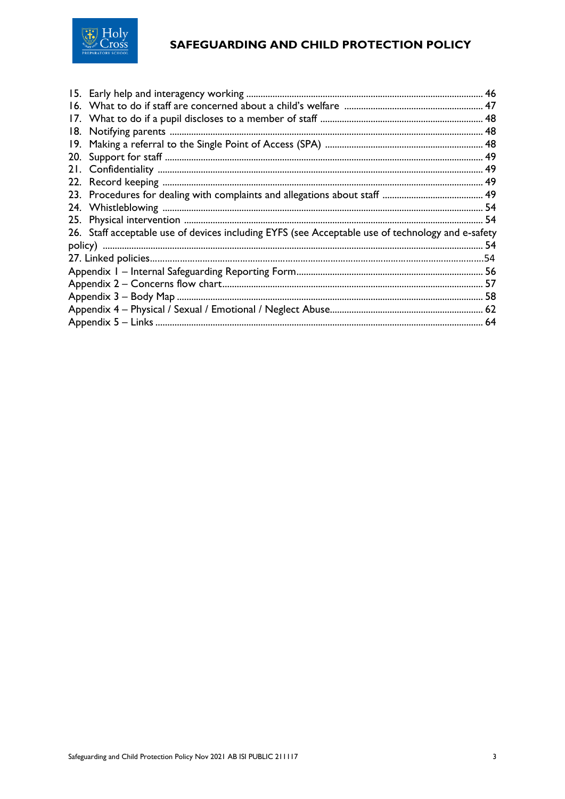

| 26. Staff acceptable use of devices including EYFS (see Acceptable use of technology and e-safety |  |
|---------------------------------------------------------------------------------------------------|--|
|                                                                                                   |  |
|                                                                                                   |  |
|                                                                                                   |  |
|                                                                                                   |  |
|                                                                                                   |  |
|                                                                                                   |  |
|                                                                                                   |  |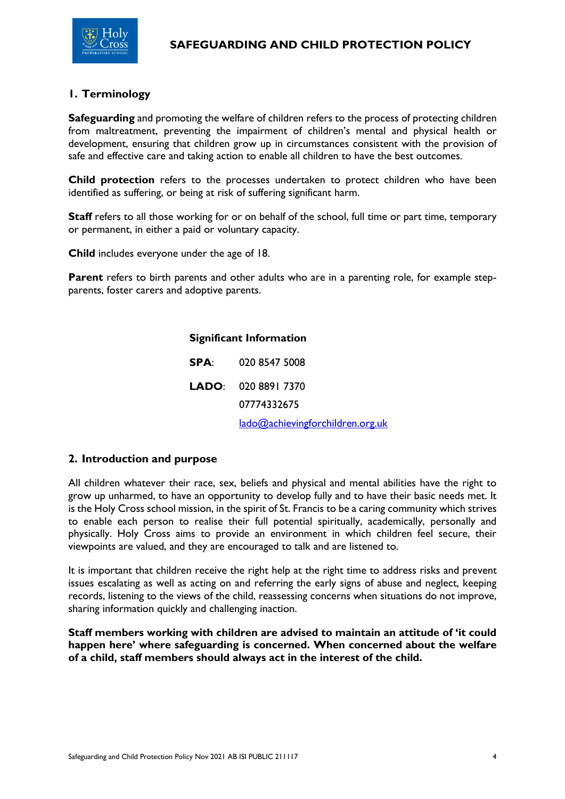

## <span id="page-3-0"></span>**1. Terminology**

**Safeguarding** and promoting the welfare of children refers to the process of protecting children from maltreatment, preventing the impairment of children's mental and physical health or development, ensuring that children grow up in circumstances consistent with the provision of safe and effective care and taking action to enable all children to have the best outcomes.

**Child protection** refers to the processes undertaken to protect children who have been identified as suffering, or being at risk of suffering significant harm.

**Staff** refers to all those working for or on behalf of the school, full time or part time, temporary or permanent, in either a paid or voluntary capacity.

**Child** includes everyone under the age of 18.

**Parent** refers to birth parents and other adults who are in a parenting role, for example stepparents, foster carers and adoptive parents.

| <b>Significant Information</b> |                                  |  |  |
|--------------------------------|----------------------------------|--|--|
| SPA:                           | 020 8547 5008                    |  |  |
|                                | LADO: 020 8891 7370              |  |  |
|                                | 07774332675                      |  |  |
|                                | lado@achievingforchildren.org.uk |  |  |

#### <span id="page-3-1"></span>**2. Introduction and purpose**

All children whatever their race, sex, beliefs and physical and mental abilities have the right to grow up unharmed, to have an opportunity to develop fully and to have their basic needs met. It is the Holy Cross school mission, in the spirit of St. Francis to be a caring community which strives to enable each person to realise their full potential spiritually, academically, personally and physically. Holy Cross aims to provide an environment in which children feel secure, their viewpoints are valued, and they are encouraged to talk and are listened to.

It is important that children receive the right help at the right time to address risks and prevent issues escalating as well as acting on and referring the early signs of abuse and neglect, keeping records, listening to the views of the child, reassessing concerns when situations do not improve, sharing information quickly and challenging inaction.

**Staff members working with children are advised to maintain an attitude of 'it could happen here' where safeguarding is concerned. When concerned about the welfare of a child, staff members should always act in the interest of the child.**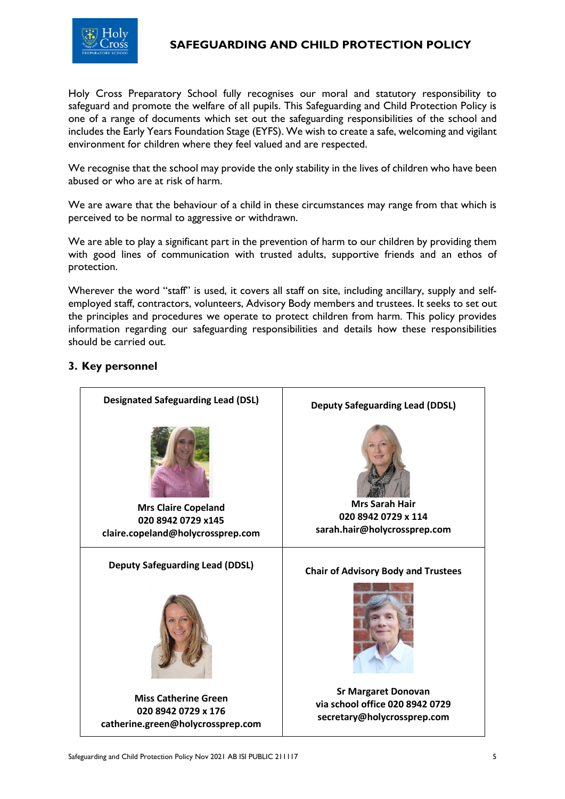

Holy Cross Preparatory School fully recognises our moral and statutory responsibility to safeguard and promote the welfare of all pupils. This Safeguarding and Child Protection Policy is one of a range of documents which set out the safeguarding responsibilities of the school and includes the Early Years Foundation Stage (EYFS). We wish to create a safe, welcoming and vigilant environment for children where they feel valued and are respected.

We recognise that the school may provide the only stability in the lives of children who have been abused or who are at risk of harm.

We are aware that the behaviour of a child in these circumstances may range from that which is perceived to be normal to aggressive or withdrawn.

We are able to play a significant part in the prevention of harm to our children by providing them with good lines of communication with trusted adults, supportive friends and an ethos of protection.

Wherever the word "staff" is used, it covers all staff on site, including ancillary, supply and selfemployed staff, contractors, volunteers, Advisory Body members and trustees. It seeks to set out the principles and procedures we operate to protect children from harm. This policy provides information regarding our safeguarding responsibilities and details how these responsibilities should be carried out.



## <span id="page-4-0"></span>**3. Key personnel**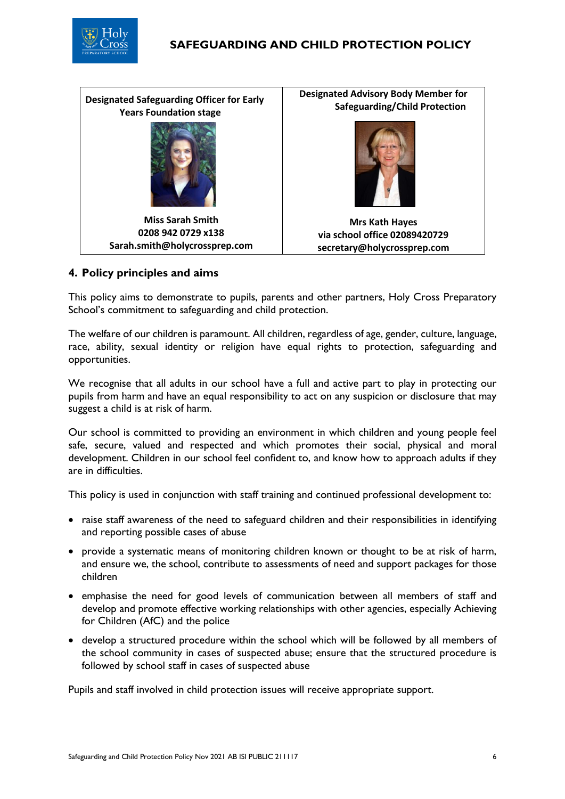



## <span id="page-5-0"></span>**4. Policy principles and aims**

This policy aims to demonstrate to pupils, parents and other partners, Holy Cross Preparatory School's commitment to safeguarding and child protection.

The welfare of our children is paramount. All children, regardless of age, gender, culture, language, race, ability, sexual identity or religion have equal rights to protection, safeguarding and opportunities.

We recognise that all adults in our school have a full and active part to play in protecting our pupils from harm and have an equal responsibility to act on any suspicion or disclosure that may suggest a child is at risk of harm.

Our school is committed to providing an environment in which children and young people feel safe, secure, valued and respected and which promotes their social, physical and moral development. Children in our school feel confident to, and know how to approach adults if they are in difficulties.

This policy is used in conjunction with staff training and continued professional development to:

- raise staff awareness of the need to safeguard children and their responsibilities in identifying and reporting possible cases of abuse
- provide a systematic means of monitoring children known or thought to be at risk of harm, and ensure we, the school, contribute to assessments of need and support packages for those children
- emphasise the need for good levels of communication between all members of staff and develop and promote effective working relationships with other agencies, especially Achieving for Children (AfC) and the police
- develop a structured procedure within the school which will be followed by all members of the school community in cases of suspected abuse; ensure that the structured procedure is followed by school staff in cases of suspected abuse

Pupils and staff involved in child protection issues will receive appropriate support.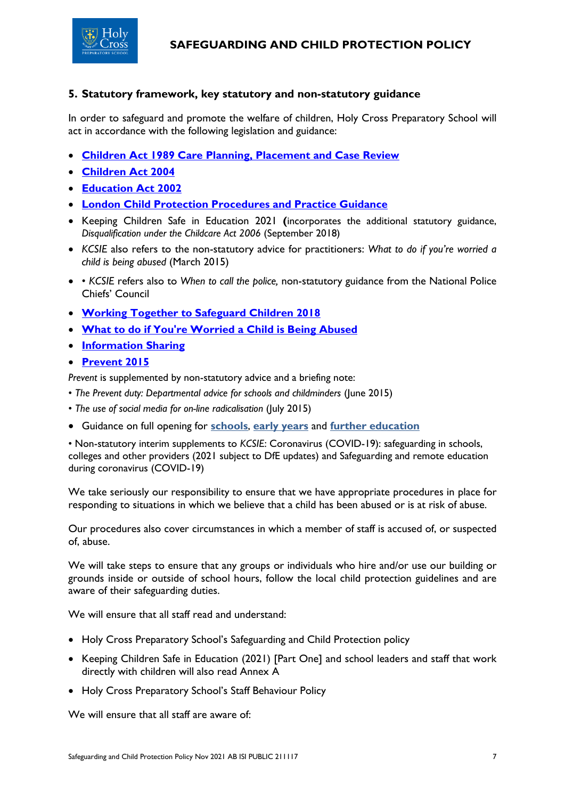

## <span id="page-6-0"></span>**5. Statutory framework, key statutory and non-statutory guidance**

In order to safeguard and promote the welfare of children, Holy Cross Preparatory School will act in accordance with the following legislation and guidance:

- **[Children Act 1989 Care Planning, Placement and Case Review](https://www.gov.uk/government/publications/children-act-1989-care-planning-placement-and-case-review)**
- **[Children Act 2004](http://www.legislation.gov.uk/ukpga/2004/31/contents)**
- **[Education Act 2002](http://www.legislation.gov.uk/ukpga/2002/32/section/175)**
- **[London Child Protection Procedures and Practice Guidance](http://www.londoncp.co.uk/)**
- Keeping Children Safe in Education 2021 **(**incorporates the additional statutory guidance, *Disqualification under the Childcare Act 2006* (September 2018)
- *KCSIE* also refers to the non-statutory advice for practitioners: *What to do if you're worried a child is being abused* (March 2015)
- • *KCSIE* refers also to *When to call the police,* non-statutory guidance from the National Police Chiefs' Council
- **[Working Together to Safeguard Children 2018](https://www.gov.uk/government/publications/working-together-to-safeguard-children--2)**
- **[What to do if You're Worried a Child is Being Abused](https://www.gov.uk/government/publications/what-to-do-if-youre-worried-a-child-is-being-abused--2)**
- **[Information Sharing](https://www.gov.uk/government/publications/safeguarding-practitioners-information-sharing-advice)**
- **Prevent 2015**

*Prevent* is supplemented by non-statutory advice and a briefing note:

- *The Prevent duty: Departmental advice for schools and childminders* (June 2015)
- *The use of social media for on-line radicalisation* (July 2015)
- Guidance on full opening for **[schools](https://www.gov.uk/government/publications/actions-for-schools-during-the-coronavirus-outbreak/guidance-for-full-opening-schools)**, **early [years](https://www.gov.uk/government/publications/coronavirus-covid-19-early-years-and-childcare-closures/coronavirus-covid-19-early-years-and-childcare-closures)** and **further [education](https://www.gov.uk/government/publications/coronavirus-covid-19-maintaining-further-education-provision/what-fe-colleges-and-providers-will-need-to-do-from-the-start-of-the-2020-autumn-term)**

• Non-statutory interim supplements to *KCSIE*: Coronavirus (COVID-19): safeguarding in schools, colleges and other providers (2021 subject to DfE updates) and Safeguarding and remote education during coronavirus (COVID-19)

We take seriously our responsibility to ensure that we have appropriate procedures in place for responding to situations in which we believe that a child has been abused or is at risk of abuse.

Our procedures also cover circumstances in which a member of staff is accused of, or suspected of, abuse.

We will take steps to ensure that any groups or individuals who hire and/or use our building or grounds inside or outside of school hours, follow the local child protection guidelines and are aware of their safeguarding duties.

We will ensure that all staff read and understand:

- Holy Cross Preparatory School's Safeguarding and Child Protection policy
- Keeping Children Safe in Education (2021) [Part One] and school leaders and staff that work directly with children will also read Annex A
- Holy Cross Preparatory School's Staff Behaviour Policy

We will ensure that all staff are aware of: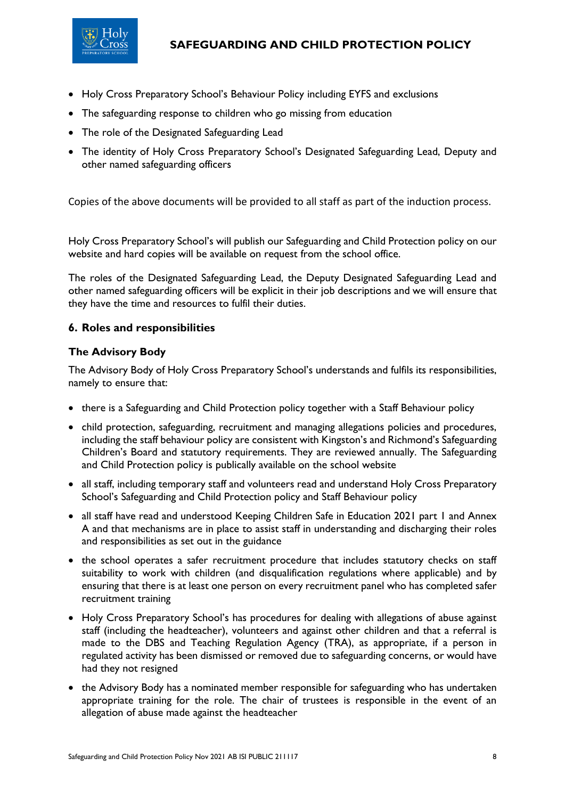

- Holy Cross Preparatory School's Behaviour Policy including EYFS and exclusions
- The safeguarding response to children who go missing from education
- The role of the Designated Safeguarding Lead
- The identity of Holy Cross Preparatory School's Designated Safeguarding Lead, Deputy and other named safeguarding officers

Copies of the above documents will be provided to all staff as part of the induction process.

Holy Cross Preparatory School's will publish our Safeguarding and Child Protection policy on our website and hard copies will be available on request from the school office.

The roles of the Designated Safeguarding Lead, the Deputy Designated Safeguarding Lead and other named safeguarding officers will be explicit in their job descriptions and we will ensure that they have the time and resources to fulfil their duties.

#### <span id="page-7-0"></span>**6. Roles and responsibilities**

#### **The Advisory Body**

The Advisory Body of Holy Cross Preparatory School's understands and fulfils its responsibilities, namely to ensure that:

- there is a Safeguarding and Child Protection policy together with a Staff Behaviour policy
- child protection, safeguarding, recruitment and managing allegations policies and procedures, including the staff behaviour policy are consistent with Kingston's and Richmond's Safeguarding Children's Board and statutory requirements. They are reviewed annually. The Safeguarding and Child Protection policy is publically available on the school website
- all staff, including temporary staff and volunteers read and understand Holy Cross Preparatory School's Safeguarding and Child Protection policy and Staff Behaviour policy
- all staff have read and understood Keeping Children Safe in Education 2021 part 1 and Annex A and that mechanisms are in place to assist staff in understanding and discharging their roles and responsibilities as set out in the guidance
- the school operates a safer recruitment procedure that includes statutory checks on staff suitability to work with children (and disqualification regulations where applicable) and by ensuring that there is at least one person on every recruitment panel who has completed safer recruitment training
- Holy Cross Preparatory School's has procedures for dealing with allegations of abuse against staff (including the headteacher), volunteers and against other children and that a referral is made to the DBS and Teaching Regulation Agency (TRA), as appropriate, if a person in regulated activity has been dismissed or removed due to safeguarding concerns, or would have had they not resigned
- the Advisory Body has a nominated member responsible for safeguarding who has undertaken appropriate training for the role. The chair of trustees is responsible in the event of an allegation of abuse made against the headteacher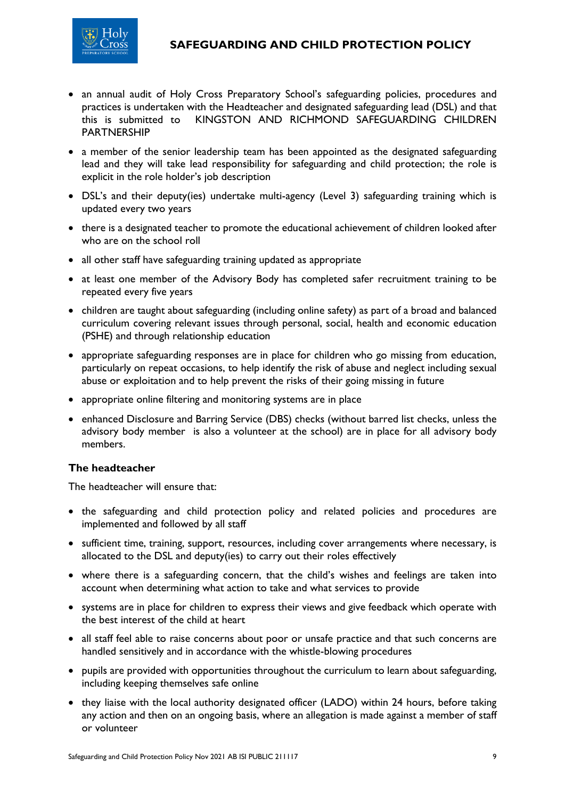

- an annual audit of Holy Cross Preparatory School's safeguarding policies, procedures and practices is undertaken with the Headteacher and designated safeguarding lead (DSL) and that this is submitted to KINGSTON AND RICHMOND SAFEGUARDING CHILDREN PARTNERSHIP
- a member of the senior leadership team has been appointed as the designated safeguarding lead and they will take lead responsibility for safeguarding and child protection; the role is explicit in the role holder's job description
- DSL's and their deputy(ies) undertake multi-agency (Level 3) safeguarding training which is updated every two years
- there is a designated teacher to promote the educational achievement of children looked after who are on the school roll
- all other staff have safeguarding training updated as appropriate
- at least one member of the Advisory Body has completed safer recruitment training to be repeated every five years
- children are taught about safeguarding (including online safety) as part of a broad and balanced curriculum covering relevant issues through personal, social, health and economic education (PSHE) and through relationship education
- appropriate safeguarding responses are in place for children who go missing from education, particularly on repeat occasions, to help identify the risk of abuse and neglect including sexual abuse or exploitation and to help prevent the risks of their going missing in future
- appropriate online filtering and monitoring systems are in place
- enhanced Disclosure and Barring Service (DBS) checks (without barred list checks, unless the advisory body member is also a volunteer at the school) are in place for all advisory body members.

#### **The headteacher**

The headteacher will ensure that:

- the safeguarding and child protection policy and related policies and procedures are implemented and followed by all staff
- sufficient time, training, support, resources, including cover arrangements where necessary, is allocated to the DSL and deputy(ies) to carry out their roles effectively
- where there is a safeguarding concern, that the child's wishes and feelings are taken into account when determining what action to take and what services to provide
- systems are in place for children to express their views and give feedback which operate with the best interest of the child at heart
- all staff feel able to raise concerns about poor or unsafe practice and that such concerns are handled sensitively and in accordance with the whistle-blowing procedures
- pupils are provided with opportunities throughout the curriculum to learn about safeguarding, including keeping themselves safe online
- they liaise with the local authority designated officer (LADO) within 24 hours, before taking any action and then on an ongoing basis, where an allegation is made against a member of staff or volunteer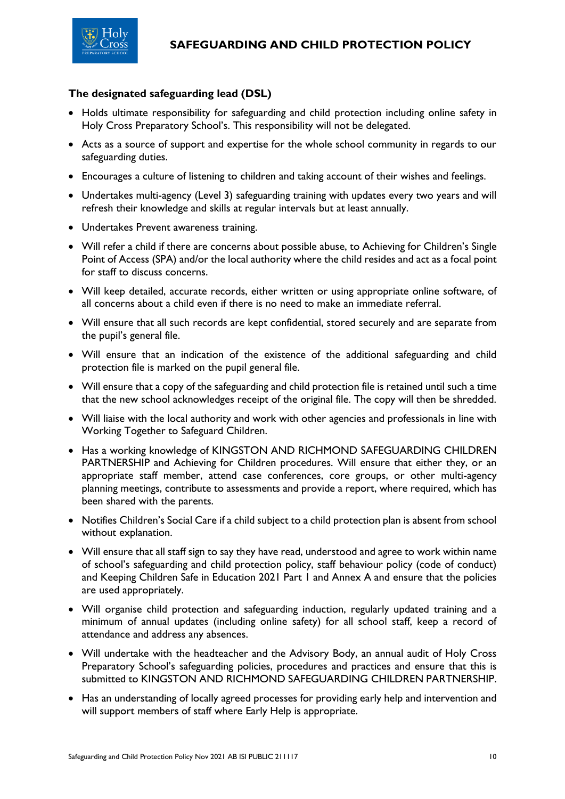

#### **The designated safeguarding lead (DSL)**

- Holds ultimate responsibility for safeguarding and child protection including online safety in Holy Cross Preparatory School's. This responsibility will not be delegated.
- Acts as a source of support and expertise for the whole school community in regards to our safeguarding duties.
- Encourages a culture of listening to children and taking account of their wishes and feelings.
- Undertakes multi-agency (Level 3) safeguarding training with updates every two years and will refresh their knowledge and skills at regular intervals but at least annually.
- Undertakes Prevent awareness training.
- Will refer a child if there are concerns about possible abuse, to Achieving for Children's Single Point of Access (SPA) and/or the local authority where the child resides and act as a focal point for staff to discuss concerns.
- Will keep detailed, accurate records, either written or using appropriate online software, of all concerns about a child even if there is no need to make an immediate referral.
- Will ensure that all such records are kept confidential, stored securely and are separate from the pupil's general file.
- Will ensure that an indication of the existence of the additional safeguarding and child protection file is marked on the pupil general file.
- Will ensure that a copy of the safeguarding and child protection file is retained until such a time that the new school acknowledges receipt of the original file. The copy will then be shredded.
- Will liaise with the local authority and work with other agencies and professionals in line with Working Together to Safeguard Children.
- Has a working knowledge of KINGSTON AND RICHMOND SAFEGUARDING CHILDREN PARTNERSHIP and Achieving for Children procedures. Will ensure that either they, or an appropriate staff member, attend case conferences, core groups, or other multi-agency planning meetings, contribute to assessments and provide a report, where required, which has been shared with the parents.
- Notifies Children's Social Care if a child subject to a child protection plan is absent from school without explanation.
- Will ensure that all staff sign to say they have read, understood and agree to work within name of school's safeguarding and child protection policy, staff behaviour policy (code of conduct) and Keeping Children Safe in Education 2021 Part 1 and Annex A and ensure that the policies are used appropriately.
- Will organise child protection and safeguarding induction, regularly updated training and a minimum of annual updates (including online safety) for all school staff, keep a record of attendance and address any absences.
- Will undertake with the headteacher and the Advisory Body, an annual audit of Holy Cross Preparatory School's safeguarding policies, procedures and practices and ensure that this is submitted to KINGSTON AND RICHMOND SAFEGUARDING CHILDREN PARTNERSHIP.
- Has an understanding of locally agreed processes for providing early help and intervention and will support members of staff where Early Help is appropriate.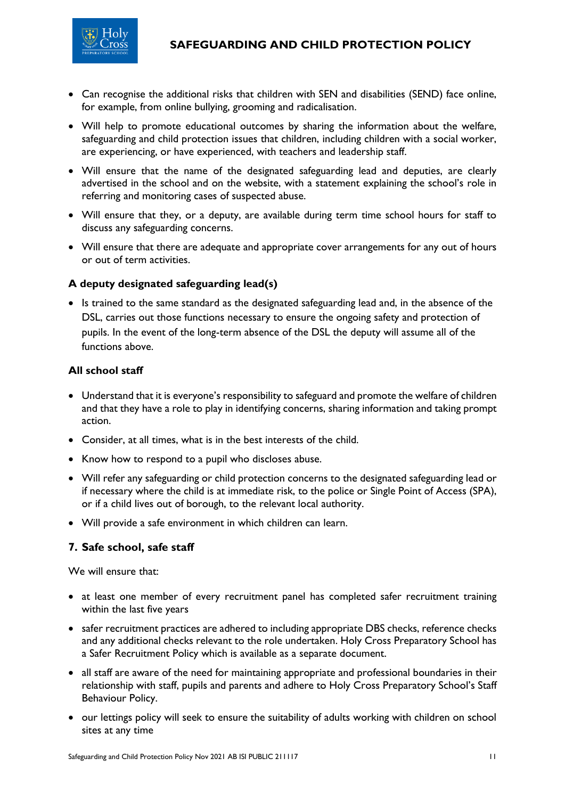

- Can recognise the additional risks that children with SEN and disabilities (SEND) face online, for example, from online bullying, grooming and radicalisation.
- Will help to promote educational outcomes by sharing the information about the welfare, safeguarding and child protection issues that children, including children with a social worker, are experiencing, or have experienced, with teachers and leadership staff.
- Will ensure that the name of the designated safeguarding lead and deputies, are clearly advertised in the school and on the website, with a statement explaining the school's role in referring and monitoring cases of suspected abuse.
- Will ensure that they, or a deputy, are available during term time school hours for staff to discuss any safeguarding concerns.
- Will ensure that there are adequate and appropriate cover arrangements for any out of hours or out of term activities.

#### **A deputy designated safeguarding lead(s)**

• Is trained to the same standard as the designated safeguarding lead and, in the absence of the DSL, carries out those functions necessary to ensure the ongoing safety and protection of pupils. In the event of the long-term absence of the DSL the deputy will assume all of the functions above.

#### **All school staff**

- Understand that it is everyone's responsibility to safeguard and promote the welfare of children and that they have a role to play in identifying concerns, sharing information and taking prompt action.
- Consider, at all times, what is in the best interests of the child.
- Know how to respond to a pupil who discloses abuse.
- Will refer any safeguarding or child protection concerns to the designated safeguarding lead or if necessary where the child is at immediate risk, to the police or Single Point of Access (SPA), or if a child lives out of borough, to the relevant local authority.
- Will provide a safe environment in which children can learn.

#### <span id="page-10-0"></span>**7. Safe school, safe staff**

We will ensure that:

- at least one member of every recruitment panel has completed safer recruitment training within the last five years
- safer recruitment practices are adhered to including appropriate DBS checks, reference checks and any additional checks relevant to the role undertaken. Holy Cross Preparatory School has a Safer Recruitment Policy which is available as a separate document.
- all staff are aware of the need for maintaining appropriate and professional boundaries in their relationship with staff, pupils and parents and adhere to Holy Cross Preparatory School's Staff Behaviour Policy.
- our lettings policy will seek to ensure the suitability of adults working with children on school sites at any time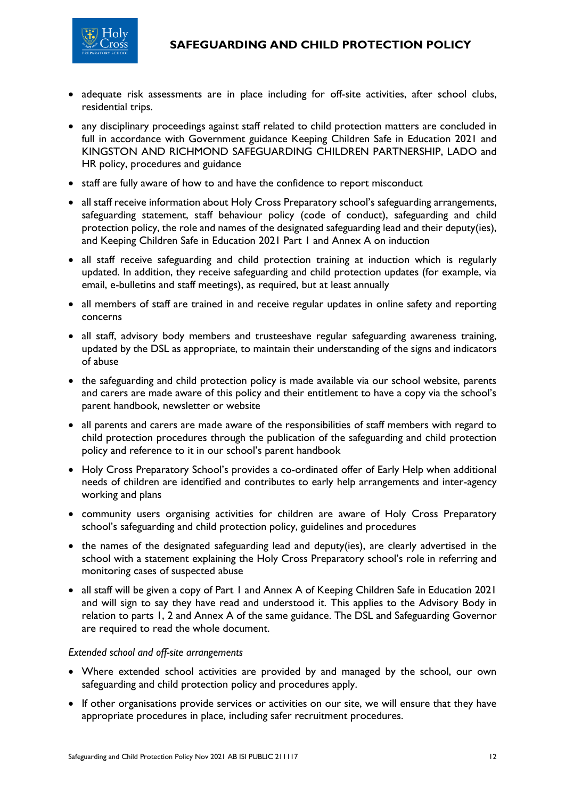

- adequate risk assessments are in place including for off-site activities, after school clubs, residential trips.
- any disciplinary proceedings against staff related to child protection matters are concluded in full in accordance with Government guidance Keeping Children Safe in Education 2021 and KINGSTON AND RICHMOND SAFEGUARDING CHILDREN PARTNERSHIP, LADO and HR policy, procedures and guidance
- staff are fully aware of how to and have the confidence to report misconduct
- all staff receive information about Holy Cross Preparatory school's safeguarding arrangements, safeguarding statement, staff behaviour policy (code of conduct), safeguarding and child protection policy, the role and names of the designated safeguarding lead and their deputy(ies), and Keeping Children Safe in Education 2021 Part 1 and Annex A on induction
- all staff receive safeguarding and child protection training at induction which is regularly updated. In addition, they receive safeguarding and child protection updates (for example, via email, e-bulletins and staff meetings), as required, but at least annually
- all members of staff are trained in and receive regular updates in online safety and reporting concerns
- all staff, advisory body members and trusteeshave regular safeguarding awareness training, updated by the DSL as appropriate, to maintain their understanding of the signs and indicators of abuse
- the safeguarding and child protection policy is made available via our school website, parents and carers are made aware of this policy and their entitlement to have a copy via the school's parent handbook, newsletter or website
- all parents and carers are made aware of the responsibilities of staff members with regard to child protection procedures through the publication of the safeguarding and child protection policy and reference to it in our school's parent handbook
- Holy Cross Preparatory School's provides a co-ordinated offer of Early Help when additional needs of children are identified and contributes to early help arrangements and inter-agency working and plans
- community users organising activities for children are aware of Holy Cross Preparatory school's safeguarding and child protection policy, guidelines and procedures
- the names of the designated safeguarding lead and deputy(ies), are clearly advertised in the school with a statement explaining the Holy Cross Preparatory school's role in referring and monitoring cases of suspected abuse
- all staff will be given a copy of Part 1 and Annex A of Keeping Children Safe in Education 2021 and will sign to say they have read and understood it. This applies to the Advisory Body in relation to parts 1, 2 and Annex A of the same guidance. The DSL and Safeguarding Governor are required to read the whole document.

#### *Extended school and off-site arrangements*

- Where extended school activities are provided by and managed by the school, our own safeguarding and child protection policy and procedures apply.
- If other organisations provide services or activities on our site, we will ensure that they have appropriate procedures in place, including safer recruitment procedures.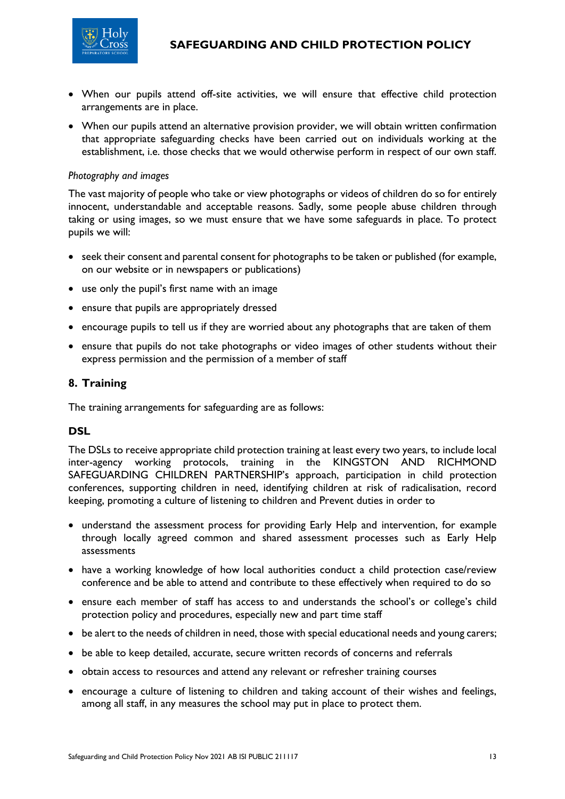

- When our pupils attend off-site activities, we will ensure that effective child protection arrangements are in place.
- When our pupils attend an alternative provision provider, we will obtain written confirmation that appropriate safeguarding checks have been carried out on individuals working at the establishment, i.e. those checks that we would otherwise perform in respect of our own staff.

#### *Photography and images*

The vast majority of people who take or view photographs or videos of children do so for entirely innocent, understandable and acceptable reasons. Sadly, some people abuse children through taking or using images, so we must ensure that we have some safeguards in place. To protect pupils we will:

- seek their consent and parental consent for photographs to be taken or published (for example, on our website or in newspapers or publications)
- use only the pupil's first name with an image
- ensure that pupils are appropriately dressed
- encourage pupils to tell us if they are worried about any photographs that are taken of them
- ensure that pupils do not take photographs or video images of other students without their express permission and the permission of a member of staff

#### <span id="page-12-0"></span>**8. Training**

The training arrangements for safeguarding are as follows:

#### **DSL**

The DSLs to receive appropriate child protection training at least every two years, to include local inter-agency working protocols, training in the KINGSTON AND RICHMOND SAFEGUARDING CHILDREN PARTNERSHIP's approach, participation in child protection conferences, supporting children in need, identifying children at risk of radicalisation, record keeping, promoting a culture of listening to children and Prevent duties in order to

- understand the assessment process for providing Early Help and intervention, for example through locally agreed common and shared assessment processes such as Early Help assessments
- have a working knowledge of how local authorities conduct a child protection case/review conference and be able to attend and contribute to these effectively when required to do so
- ensure each member of staff has access to and understands the school's or college's child protection policy and procedures, especially new and part time staff
- be alert to the needs of children in need, those with special educational needs and young carers;
- be able to keep detailed, accurate, secure written records of concerns and referrals
- obtain access to resources and attend any relevant or refresher training courses
- encourage a culture of listening to children and taking account of their wishes and feelings, among all staff, in any measures the school may put in place to protect them.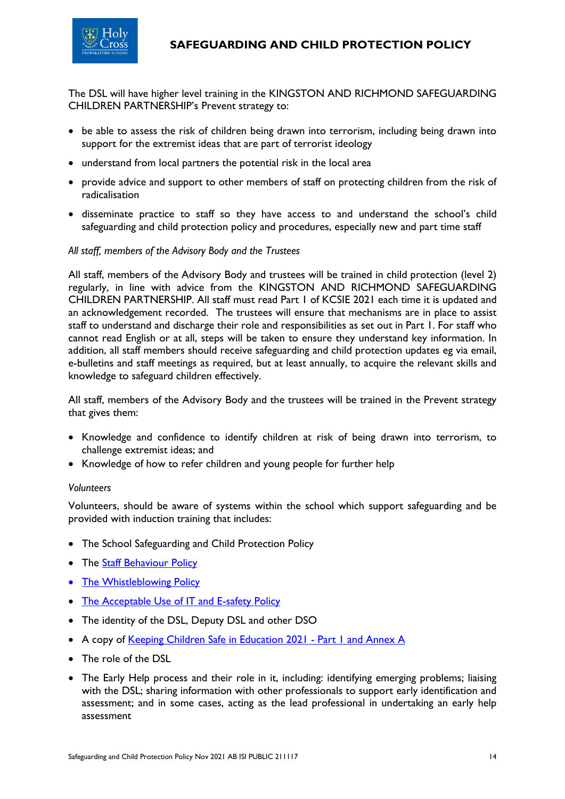

The DSL will have higher level training in the KINGSTON AND RICHMOND SAFEGUARDING CHILDREN PARTNERSHIP's Prevent strategy to:

- be able to assess the risk of children being drawn into terrorism, including being drawn into support for the extremist ideas that are part of terrorist ideology
- understand from local partners the potential risk in the local area
- provide advice and support to other members of staff on protecting children from the risk of radicalisation
- disseminate practice to staff so they have access to and understand the school's child safeguarding and child protection policy and procedures, especially new and part time staff

#### *All staff, members of the Advisory Body and the Trustees*

All staff, members of the Advisory Body and trustees will be trained in child protection (level 2) regularly, in line with advice from the KINGSTON AND RICHMOND SAFEGUARDING CHILDREN PARTNERSHIP. All staff must read Part 1 of KCSIE 2021 each time it is updated and an acknowledgement recorded. The trustees will ensure that mechanisms are in place to assist staff to understand and discharge their role and responsibilities as set out in Part 1. For staff who cannot read English or at all, steps will be taken to ensure they understand key information. In addition, all staff members should receive safeguarding and child protection updates eg via email, e-bulletins and staff meetings as required, but at least annually, to acquire the relevant skills and knowledge to safeguard children effectively.

All staff, members of the Advisory Body and the trustees will be trained in the Prevent strategy that gives them:

- Knowledge and confidence to identify children at risk of being drawn into terrorism, to challenge extremist ideas; and
- Knowledge of how to refer children and young people for further help

#### *Volunteers*

Volunteers, should be aware of systems within the school which support safeguarding and be provided with induction training that includes:

- The School Safeguarding and Child Protection Policy
- The **Staff Behaviour Policy**
- [The Whistleblowing Policy](file://///HCNET.AD/HCP/Share_Policies/Whistleblowing%20Policy.pdf)
- [The Acceptable Use of IT and E-safety Policy](file://///HCNET.AD/HCP/Share_Policies/Acceptable%20Use%20of%20Technology%20and%20e-Safety%20Policy.pdf)
- The identity of the DSL, Deputy DSL and other DSO
- A copy of [Keeping Children Safe](https://www.gov.uk/government/publications/keeping-children-safe-in-education--2) in Education 2021 Part 1 and Annex A
- The role of the DSL
- The Early Help process and their role in it, including: identifying emerging problems; liaising with the DSL; sharing information with other professionals to support early identification and assessment; and in some cases, acting as the lead professional in undertaking an early help assessment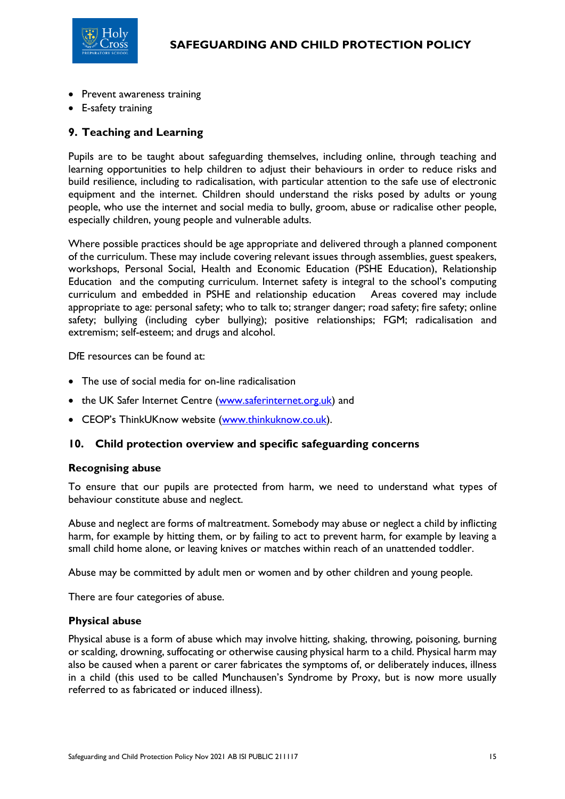

- Prevent awareness training
- E-safety training

## <span id="page-14-0"></span>**9. Teaching and Learning**

Pupils are to be taught about safeguarding themselves, including online, through teaching and learning opportunities to help children to adjust their behaviours in order to reduce risks and build resilience, including to radicalisation, with particular attention to the safe use of electronic equipment and the internet. Children should understand the risks posed by adults or young people, who use the internet and social media to bully, groom, abuse or radicalise other people, especially children, young people and vulnerable adults.

Where possible practices should be age appropriate and delivered through a planned component of the curriculum. These may include covering relevant issues through assemblies, guest speakers, workshops, Personal Social, Health and Economic Education (PSHE Education), Relationship Education and the computing curriculum. Internet safety is integral to the school's computing curriculum and embedded in PSHE and relationship education Areas covered may include appropriate to age: personal safety; who to talk to; stranger danger; road safety; fire safety; online safety; bullying (including cyber bullying); positive relationships; FGM; radicalisation and extremism; self-esteem; and drugs and alcohol.

DfE resources can be found at:

- The use of social media for on-line radicalisation
- the UK Safer Internet Centre [\(www.saferinternet.org.uk\)](http://www.saferinternet.org.uk/) and
- CEOP's ThinkUKnow website ([www.thinkuknow.co.uk\)](http://www.thinkuknow.co.uk/).

#### <span id="page-14-1"></span>**10. Child protection overview and specific safeguarding concerns**

#### <span id="page-14-2"></span>**Recognising abuse**

To ensure that our pupils are protected from harm, we need to understand what types of behaviour constitute abuse and neglect.

Abuse and neglect are forms of maltreatment. Somebody may abuse or neglect a child by inflicting harm, for example by hitting them, or by failing to act to prevent harm, for example by leaving a small child home alone, or leaving knives or matches within reach of an unattended toddler.

Abuse may be committed by adult men or women and by other children and young people.

There are four categories of abuse.

#### <span id="page-14-3"></span>**Physical abuse**

Physical abuse is a form of abuse which may involve hitting, shaking, throwing, poisoning, burning or scalding, drowning, suffocating or otherwise causing physical harm to a child. Physical harm may also be caused when a parent or carer fabricates the symptoms of, or deliberately induces, illness in a child (this used to be called Munchausen's Syndrome by Proxy, but is now more usually referred to as fabricated or induced illness).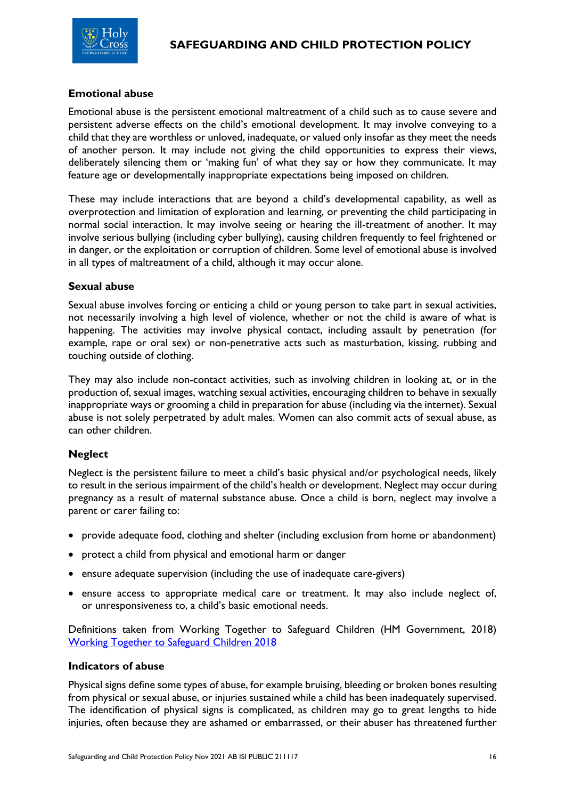

#### <span id="page-15-0"></span>**Emotional abuse**

Emotional abuse is the persistent emotional maltreatment of a child such as to cause severe and persistent adverse effects on the child's emotional development. It may involve conveying to a child that they are worthless or unloved, inadequate, or valued only insofar as they meet the needs of another person. It may include not giving the child opportunities to express their views, deliberately silencing them or 'making fun' of what they say or how they communicate. It may feature age or developmentally inappropriate expectations being imposed on children.

These may include interactions that are beyond a child's developmental capability, as well as overprotection and limitation of exploration and learning, or preventing the child participating in normal social interaction. It may involve seeing or hearing the ill-treatment of another. It may involve serious bullying (including cyber bullying), causing children frequently to feel frightened or in danger, or the exploitation or corruption of children. Some level of emotional abuse is involved in all types of maltreatment of a child, although it may occur alone.

#### <span id="page-15-1"></span>**Sexual abuse**

Sexual abuse involves forcing or enticing a child or young person to take part in sexual activities, not necessarily involving a high level of violence, whether or not the child is aware of what is happening. The activities may involve physical contact, including assault by penetration (for example, rape or oral sex) or non-penetrative acts such as masturbation, kissing, rubbing and touching outside of clothing.

They may also include non-contact activities, such as involving children in looking at, or in the production of, sexual images, watching sexual activities, encouraging children to behave in sexually inappropriate ways or grooming a child in preparation for abuse (including via the internet). Sexual abuse is not solely perpetrated by adult males. Women can also commit acts of sexual abuse, as can other children.

#### <span id="page-15-2"></span>**Neglect**

Neglect is the persistent failure to meet a child's basic physical and/or psychological needs, likely to result in the serious impairment of the child's health or development. Neglect may occur during pregnancy as a result of maternal substance abuse. Once a child is born, neglect may involve a parent or carer failing to:

- provide adequate food, clothing and shelter (including exclusion from home or abandonment)
- protect a child from physical and emotional harm or danger
- ensure adequate supervision (including the use of inadequate care-givers)
- ensure access to appropriate medical care or treatment. It may also include neglect of, or unresponsiveness to, a child's basic emotional needs.

Definitions taken from Working Together to Safeguard Children (HM Government, 2018) [Working Together to Safeguard Children 2018](https://www.gov.uk/government/publications/working-together-to-safeguard-children--2)

#### <span id="page-15-3"></span>**Indicators of abuse**

Physical signs define some types of abuse, for example bruising, bleeding or broken bones resulting from physical or sexual abuse, or injuries sustained while a child has been inadequately supervised. The identification of physical signs is complicated, as children may go to great lengths to hide injuries, often because they are ashamed or embarrassed, or their abuser has threatened further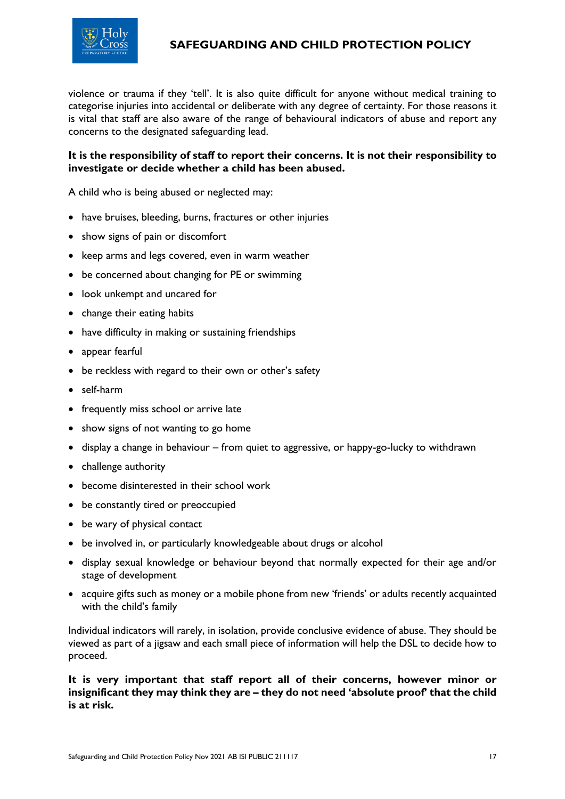

violence or trauma if they 'tell'. It is also quite difficult for anyone without medical training to categorise injuries into accidental or deliberate with any degree of certainty. For those reasons it is vital that staff are also aware of the range of behavioural indicators of abuse and report any concerns to the designated safeguarding lead.

#### **It is the responsibility of staff to report their concerns. It is not their responsibility to investigate or decide whether a child has been abused.**

A child who is being abused or neglected may:

- have bruises, bleeding, burns, fractures or other injuries
- show signs of pain or discomfort
- keep arms and legs covered, even in warm weather
- be concerned about changing for PE or swimming
- look unkempt and uncared for
- change their eating habits
- have difficulty in making or sustaining friendships
- appear fearful
- be reckless with regard to their own or other's safety
- self-harm
- frequently miss school or arrive late
- show signs of not wanting to go home
- display a change in behaviour from quiet to aggressive, or happy-go-lucky to withdrawn
- challenge authority
- become disinterested in their school work
- be constantly tired or preoccupied
- be wary of physical contact
- be involved in, or particularly knowledgeable about drugs or alcohol
- display sexual knowledge or behaviour beyond that normally expected for their age and/or stage of development
- acquire gifts such as money or a mobile phone from new 'friends' or adults recently acquainted with the child's family

Individual indicators will rarely, in isolation, provide conclusive evidence of abuse. They should be viewed as part of a jigsaw and each small piece of information will help the DSL to decide how to proceed.

**It is very important that staff report all of their concerns, however minor or insignificant they may think they are – they do not need 'absolute proof' that the child is at risk.**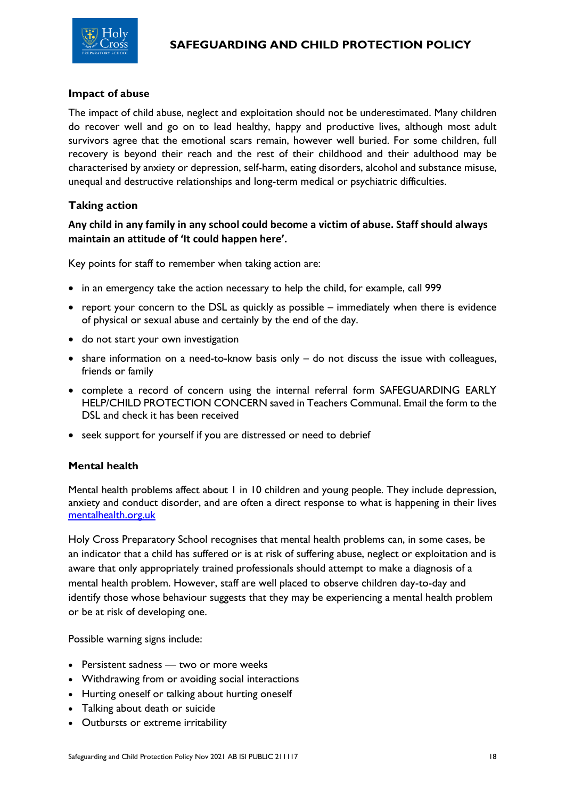

#### <span id="page-17-0"></span>**Impact of abuse**

The impact of child abuse, neglect and exploitation should not be underestimated. Many children do recover well and go on to lead healthy, happy and productive lives, although most adult survivors agree that the emotional scars remain, however well buried. For some children, full recovery is beyond their reach and the rest of their childhood and their adulthood may be characterised by anxiety or depression, self-harm, eating disorders, alcohol and substance misuse, unequal and destructive relationships and long-term medical or psychiatric difficulties.

#### <span id="page-17-1"></span>**Taking action**

## **Any child in any family in any school could become a victim of abuse. Staff should always maintain an attitude of 'It could happen here'.**

Key points for staff to remember when taking action are:

- in an emergency take the action necessary to help the child, for example, call 999
- report your concern to the DSL as quickly as possible immediately when there is evidence of physical or sexual abuse and certainly by the end of the day.
- do not start your own investigation
- share information on a need-to-know basis only do not discuss the issue with colleagues, friends or family
- complete a record of concern using the internal referral form SAFEGUARDING EARLY HELP/CHILD PROTECTION CONCERN saved in Teachers Communal. Email the form to the DSL and check it has been received
- seek support for yourself if you are distressed or need to debrief

#### <span id="page-17-2"></span>**Mental health**

Mental health problems affect about 1 in 10 children and young people. They include depression, anxiety and conduct disorder, and are often a direct response to what is happening in their lives [mentalhealth.org.uk](https://www.mentalhealth.org.uk/a-to-z/c/children-and-young-people)

Holy Cross Preparatory School recognises that mental health problems can, in some cases, be an indicator that a child has suffered or is at risk of suffering abuse, neglect or exploitation and is aware that only appropriately trained professionals should attempt to make a diagnosis of a mental health problem. However, staff are well placed to observe children day-to-day and identify those whose behaviour suggests that they may be experiencing a mental health problem or be at risk of developing one.

Possible warning signs include:

- Persistent sadness two or more weeks
- Withdrawing from or avoiding social interactions
- Hurting oneself or talking about hurting oneself
- Talking about death or suicide
- Outbursts or extreme irritability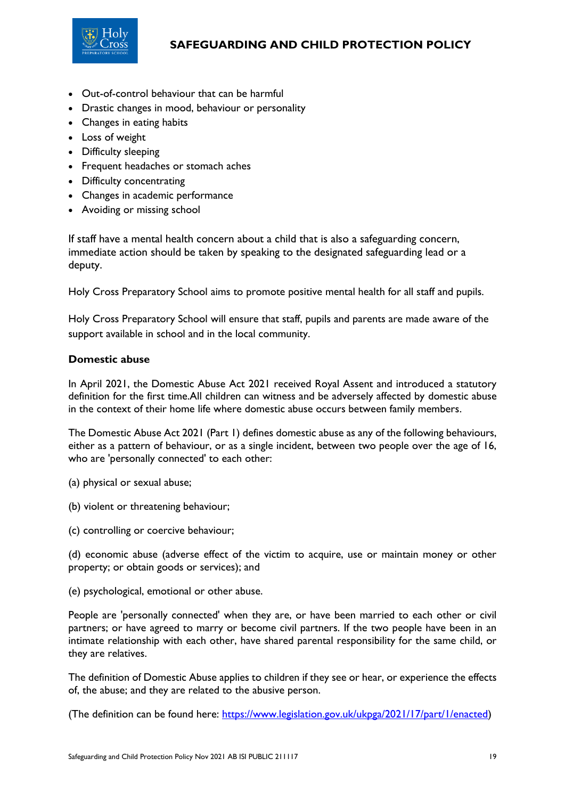

- Out-of-control behaviour that can be harmful
- Drastic changes in mood, behaviour or personality
- Changes in eating habits
- Loss of weight
- Difficulty sleeping
- Frequent headaches or stomach aches
- Difficulty concentrating
- Changes in academic performance
- Avoiding or missing school

If staff have a mental health concern about a child that is also a safeguarding concern, immediate action should be taken by speaking to the designated safeguarding lead or a deputy.

Holy Cross Preparatory School aims to promote positive mental health for all staff and pupils.

Holy Cross Preparatory School will ensure that staff, pupils and parents are made aware of the support available in school and in the local community.

## **Domestic abuse**

In April 2021, the Domestic Abuse Act 2021 received Royal Assent and introduced a statutory definition for the first time.All children can witness and be adversely affected by domestic abuse in the context of their home life where domestic abuse occurs between family members.

The Domestic Abuse Act 2021 (Part 1) defines domestic abuse as any of the following behaviours, either as a pattern of behaviour, or as a single incident, between two people over the age of 16, who are 'personally connected' to each other:

- (a) physical or sexual abuse;
- (b) violent or threatening behaviour;
- (c) controlling or coercive behaviour;

(d) economic abuse (adverse effect of the victim to acquire, use or maintain money or other property; or obtain goods or services); and

(e) psychological, emotional or other abuse.

People are 'personally connected' when they are, or have been married to each other or civil partners; or have agreed to marry or become civil partners. If the two people have been in an intimate relationship with each other, have shared parental responsibility for the same child, or they are relatives.

The definition of Domestic Abuse applies to children if they see or hear, or experience the effects of, the abuse; and they are related to the abusive person.

(The definition can be found here: [https://www.legislation.gov.uk/ukpga/2021/17/part/1/enacted\)](https://www.legislation.gov.uk/ukpga/2021/17/part/1/enacted)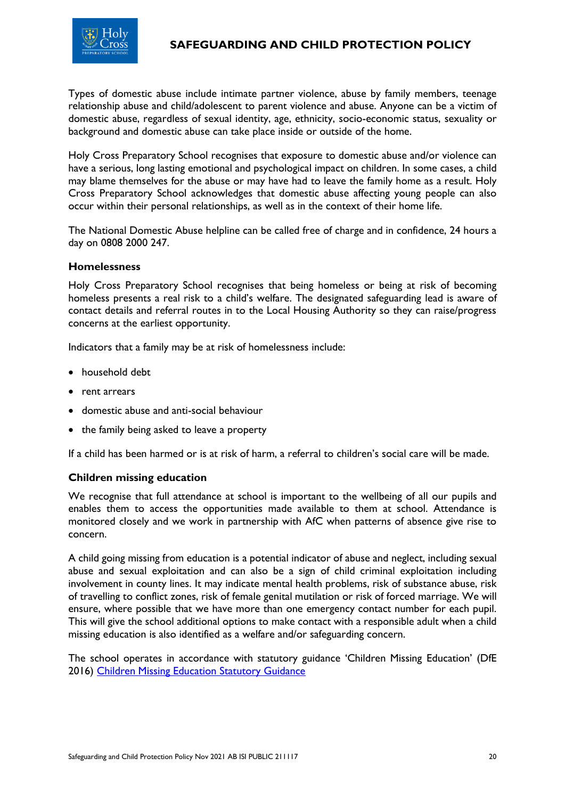

Types of domestic abuse include intimate partner violence, abuse by family members, teenage relationship abuse and child/adolescent to parent violence and abuse. Anyone can be a victim of domestic abuse, regardless of sexual identity, age, ethnicity, socio-economic status, sexuality or background and domestic abuse can take place inside or outside of the home.

Holy Cross Preparatory School recognises that exposure to domestic abuse and/or violence can have a serious, long lasting emotional and psychological impact on children. In some cases, a child may blame themselves for the abuse or may have had to leave the family home as a result. Holy Cross Preparatory School acknowledges that domestic abuse affecting young people can also occur within their personal relationships, as well as in the context of their home life.

The National Domestic Abuse helpline can be called free of charge and in confidence, 24 hours a day on 0808 2000 247.

#### <span id="page-19-0"></span>**Homelessness**

Holy Cross Preparatory School recognises that being homeless or being at risk of becoming homeless presents a real risk to a child's welfare. The designated safeguarding lead is aware of contact details and referral routes in to the Local Housing Authority so they can raise/progress concerns at the earliest opportunity.

Indicators that a family may be at risk of homelessness include:

- household debt
- rent arrears
- domestic abuse and anti-social behaviour
- the family being asked to leave a property

If a child has been harmed or is at risk of harm, a referral to children's social care will be made.

#### <span id="page-19-1"></span>**Children missing education**

We recognise that full attendance at school is important to the wellbeing of all our pupils and enables them to access the opportunities made available to them at school. Attendance is monitored closely and we work in partnership with AfC when patterns of absence give rise to concern.

A child going missing from education is a potential indicator of abuse and neglect, including sexual abuse and sexual exploitation and can also be a sign of child criminal exploitation including involvement in county lines. It may indicate mental health problems, risk of substance abuse, risk of travelling to conflict zones, risk of female genital mutilation or risk of forced marriage. We will ensure, where possible that we have more than one emergency contact number for each pupil. This will give the school additional options to make contact with a responsible adult when a child missing education is also identified as a welfare and/or safeguarding concern.

The school operates in accordance with statutory guidance 'Children Missing Education' (DfE 2016) [Children Missing Education Statutory Guidance](https://www.gov.uk/government/publications/children-missing-education)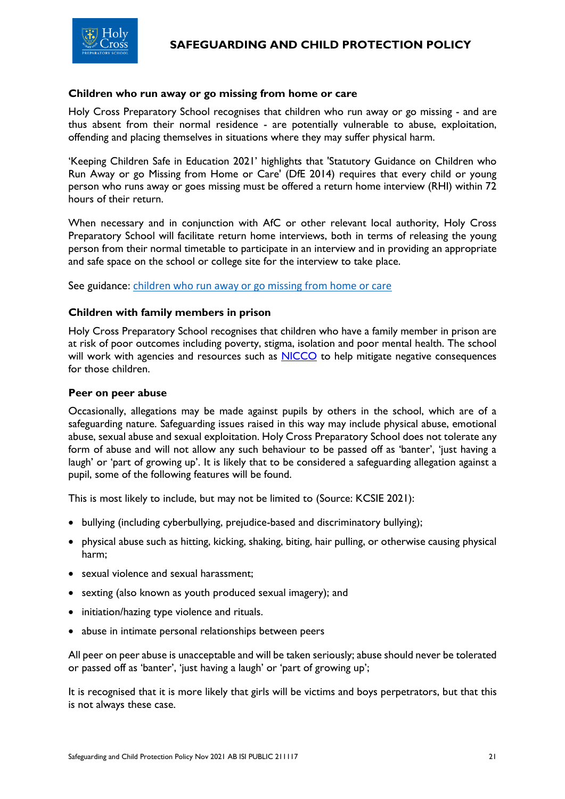

#### <span id="page-20-0"></span>**Children who run away or go missing from home or care**

Holy Cross Preparatory School recognises that children who run away or go missing - and are thus absent from their normal residence - are potentially vulnerable to abuse, exploitation, offending and placing themselves in situations where they may suffer physical harm.

'Keeping Children Safe in Education 2021' highlights that 'Statutory Guidance on Children who Run Away or go Missing from Home or Care' (DfE 2014) requires that every child or young person who runs away or goes missing must be offered a return home interview (RHI) within 72 hours of their return.

When necessary and in conjunction with AfC or other relevant local authority, Holy Cross Preparatory School will facilitate return home interviews, both in terms of releasing the young person from their normal timetable to participate in an interview and in providing an appropriate and safe space on the school or college site for the interview to take place.

See guidance: children [who run away or go missing from home or care](https://www.gov.uk/government/publications/children-who-run-away-or-go-missing-from-home-or-care)

#### <span id="page-20-1"></span>**Children with family members in prison**

Holy Cross Preparatory School recognises that children who have a family member in prison are at risk of poor outcomes including poverty, stigma, isolation and poor mental health. The school will work with agencies and resources such as **NICCO** to help mitigate negative consequences for those children.

#### <span id="page-20-2"></span>**Peer on peer abuse**

Occasionally, allegations may be made against pupils by others in the school, which are of a safeguarding nature. Safeguarding issues raised in this way may include physical abuse, emotional abuse, sexual abuse and sexual exploitation. Holy Cross Preparatory School does not tolerate any form of abuse and will not allow any such behaviour to be passed off as 'banter', 'just having a laugh' or 'part of growing up'. It is likely that to be considered a safeguarding allegation against a pupil, some of the following features will be found.

This is most likely to include, but may not be limited to (Source: KCSIE 2021):

- bullying (including cyberbullying, prejudice-based and discriminatory bullying);
- physical abuse such as hitting, kicking, shaking, biting, hair pulling, or otherwise causing physical harm;
- sexual violence and sexual harassment;
- sexting (also known as youth produced sexual imagery); and
- initiation/hazing type violence and rituals.
- abuse in intimate personal relationships between peers

All peer on peer abuse is unacceptable and will be taken seriously; abuse should never be tolerated or passed off as 'banter', 'just having a laugh' or 'part of growing up';

It is recognised that it is more likely that girls will be victims and boys perpetrators, but that this is not always these case.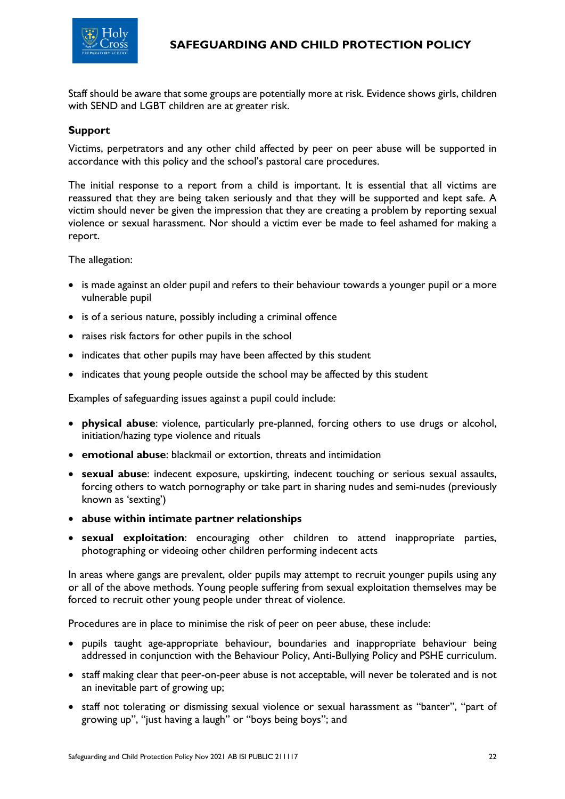

Staff should be aware that some groups are potentially more at risk. Evidence shows girls, children with SEND and LGBT children are at greater risk.

#### **Support**

Victims, perpetrators and any other child affected by peer on peer abuse will be supported in accordance with this policy and the school's pastoral care procedures.

The initial response to a report from a child is important. It is essential that all victims are reassured that they are being taken seriously and that they will be supported and kept safe. A victim should never be given the impression that they are creating a problem by reporting sexual violence or sexual harassment. Nor should a victim ever be made to feel ashamed for making a report.

The allegation:

- is made against an older pupil and refers to their behaviour towards a younger pupil or a more vulnerable pupil
- is of a serious nature, possibly including a criminal offence
- raises risk factors for other pupils in the school
- indicates that other pupils may have been affected by this student
- indicates that young people outside the school may be affected by this student

Examples of safeguarding issues against a pupil could include:

- **physical abuse**: violence, particularly pre-planned, forcing others to use drugs or alcohol, initiation/hazing type violence and rituals
- **emotional abuse**: blackmail or extortion, threats and intimidation
- **sexual abuse**: indecent exposure, upskirting, indecent touching or serious sexual assaults, forcing others to watch pornography or take part in sharing nudes and semi-nudes (previously known as 'sexting')
- **abuse within intimate partner relationships**
- **sexual exploitation**: encouraging other children to attend inappropriate parties, photographing or videoing other children performing indecent acts

In areas where gangs are prevalent, older pupils may attempt to recruit younger pupils using any or all of the above methods. Young people suffering from sexual exploitation themselves may be forced to recruit other young people under threat of violence.

Procedures are in place to minimise the risk of peer on peer abuse, these include:

- pupils taught age-appropriate behaviour, boundaries and inappropriate behaviour being addressed in conjunction with the Behaviour Policy, Anti-Bullying Policy and PSHE curriculum.
- staff making clear that peer-on-peer abuse is not acceptable, will never be tolerated and is not an inevitable part of growing up;
- staff not tolerating or dismissing sexual violence or sexual harassment as "banter", "part of growing up", "just having a laugh" or "boys being boys"; and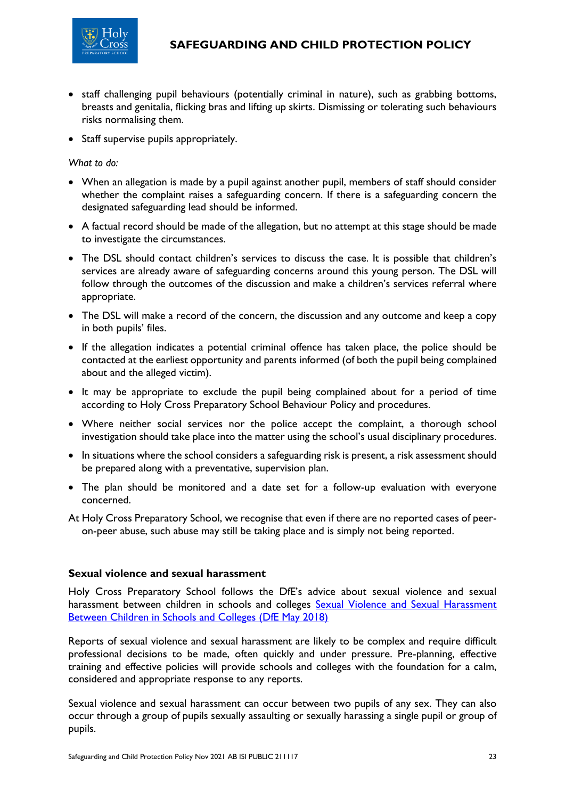

- staff challenging pupil behaviours (potentially criminal in nature), such as grabbing bottoms, breasts and genitalia, flicking bras and lifting up skirts. Dismissing or tolerating such behaviours risks normalising them.
- Staff supervise pupils appropriately.

#### *What to do:*

- When an allegation is made by a pupil against another pupil, members of staff should consider whether the complaint raises a safeguarding concern. If there is a safeguarding concern the designated safeguarding lead should be informed.
- A factual record should be made of the allegation, but no attempt at this stage should be made to investigate the circumstances.
- The DSL should contact children's services to discuss the case. It is possible that children's services are already aware of safeguarding concerns around this young person. The DSL will follow through the outcomes of the discussion and make a children's services referral where appropriate.
- The DSL will make a record of the concern, the discussion and any outcome and keep a copy in both pupils' files.
- If the allegation indicates a potential criminal offence has taken place, the police should be contacted at the earliest opportunity and parents informed (of both the pupil being complained about and the alleged victim).
- It may be appropriate to exclude the pupil being complained about for a period of time according to Holy Cross Preparatory School Behaviour Policy and procedures.
- Where neither social services nor the police accept the complaint, a thorough school investigation should take place into the matter using the school's usual disciplinary procedures.
- In situations where the school considers a safeguarding risk is present, a risk assessment should be prepared along with a preventative, supervision plan.
- The plan should be monitored and a date set for a follow-up evaluation with everyone concerned.
- At Holy Cross Preparatory School, we recognise that even if there are no reported cases of peeron-peer abuse, such abuse may still be taking place and is simply not being reported.

#### <span id="page-22-0"></span>**Sexual violence and sexual harassment**

Holy Cross Preparatory School follows the DfE's advice about sexual violence and sexual harassment between children in schools and colleges **Sexual Violence and Sexual Harassment** [Between Children in Schools and Colleges \(DfE May 2018\)](https://www.gov.uk/government/publications/sexual-violence-and-sexual-harassment-between-children-in-schools-and-colleges)

Reports of sexual violence and sexual harassment are likely to be complex and require difficult professional decisions to be made, often quickly and under pressure. Pre-planning, effective training and effective policies will provide schools and colleges with the foundation for a calm, considered and appropriate response to any reports.

Sexual violence and sexual harassment can occur between two pupils of any sex. They can also occur through a group of pupils sexually assaulting or sexually harassing a single pupil or group of pupils.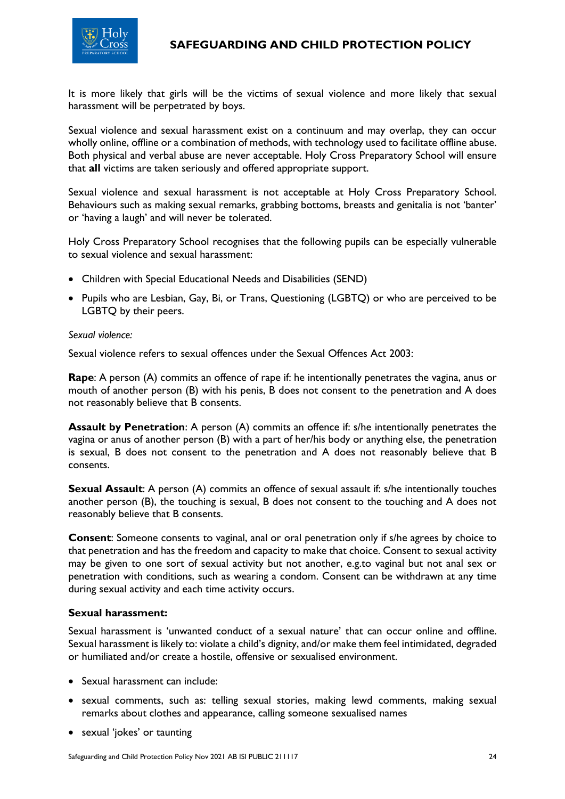

It is more likely that girls will be the victims of sexual violence and more likely that sexual harassment will be perpetrated by boys.

Sexual violence and sexual harassment exist on a continuum and may overlap, they can occur wholly online, offline or a combination of methods, with technology used to facilitate offline abuse. Both physical and verbal abuse are never acceptable. Holy Cross Preparatory School will ensure that **all** victims are taken seriously and offered appropriate support.

Sexual violence and sexual harassment is not acceptable at Holy Cross Preparatory School. Behaviours such as making sexual remarks, grabbing bottoms, breasts and genitalia is not 'banter' or 'having a laugh' and will never be tolerated.

Holy Cross Preparatory School recognises that the following pupils can be especially vulnerable to sexual violence and sexual harassment:

- Children with Special Educational Needs and Disabilities (SEND)
- Pupils who are Lesbian, Gay, Bi, or Trans, Questioning (LGBTQ) or who are perceived to be LGBTQ by their peers.

#### *Sexual violence:*

Sexual violence refers to sexual offences under the Sexual Offences Act 2003:

**Rape**: A person (A) commits an offence of rape if: he intentionally penetrates the vagina, anus or mouth of another person (B) with his penis, B does not consent to the penetration and A does not reasonably believe that B consents.

**Assault by Penetration:** A person (A) commits an offence if: s/he intentionally penetrates the vagina or anus of another person (B) with a part of her/his body or anything else, the penetration is sexual, B does not consent to the penetration and A does not reasonably believe that B consents.

**Sexual Assault:** A person (A) commits an offence of sexual assault if: s/he intentionally touches another person (B), the touching is sexual, B does not consent to the touching and A does not reasonably believe that B consents.

**Consent**: Someone consents to vaginal, anal or oral penetration only if s/he agrees by choice to that penetration and has the freedom and capacity to make that choice. Consent to sexual activity may be given to one sort of sexual activity but not another, e.g.to vaginal but not anal sex or penetration with conditions, such as wearing a condom. Consent can be withdrawn at any time during sexual activity and each time activity occurs.

#### **Sexual harassment:**

Sexual harassment is 'unwanted conduct of a sexual nature' that can occur online and offline. Sexual harassment is likely to: violate a child's dignity, and/or make them feel intimidated, degraded or humiliated and/or create a hostile, offensive or sexualised environment.

- Sexual harassment can include:
- sexual comments, such as: telling sexual stories, making lewd comments, making sexual remarks about clothes and appearance, calling someone sexualised names
- sexual 'jokes' or taunting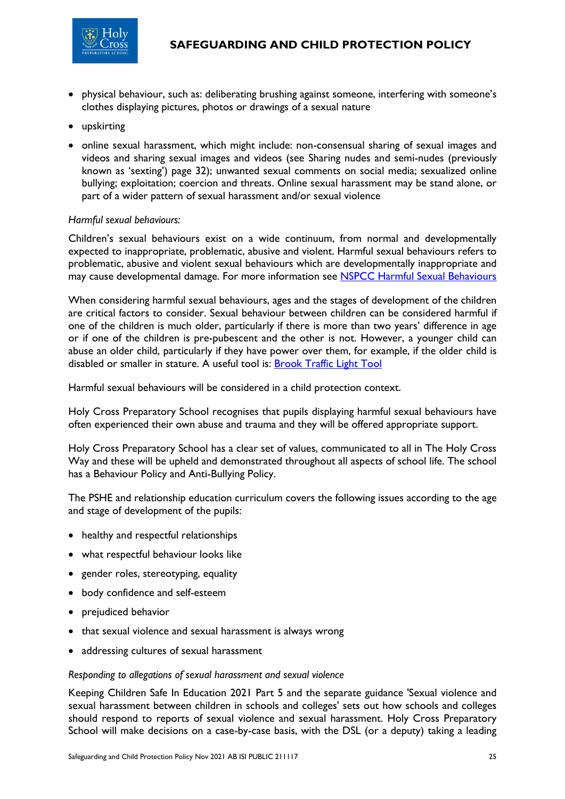

- physical behaviour, such as: deliberating brushing against someone, interfering with someone's clothes displaying pictures, photos or drawings of a sexual nature
- upskirting
- online sexual harassment, which might include: non-consensual sharing of sexual images and videos and sharing sexual images and videos (see Sharing nudes and semi-nudes (previously known as 'sexting') page 32); unwanted sexual comments on social media; sexualized online bullying; exploitation; coercion and threats. Online sexual harassment may be stand alone, or part of a wider pattern of sexual harassment and/or sexual violence

#### *Harmful sexual behaviours:*

Children's sexual behaviours exist on a wide continuum, from normal and developmentally expected to inappropriate, problematic, abusive and violent. Harmful sexual behaviours refers to problematic, abusive and violent sexual behaviours which are developmentally inappropriate and may cause developmental damage. For more information see [NSPCC Harmful Sexual Behaviours](https://www.nspcc.org.uk/preventing-abuse/child-abuse-and-neglect/harmful-sexual-behaviour/signs-symptoms-effects/) 

When considering harmful sexual behaviours, ages and the stages of development of the children are critical factors to consider. Sexual behaviour between children can be considered harmful if one of the children is much older, particularly if there is more than two years' difference in age or if one of the children is pre-pubescent and the other is not. However, a younger child can abuse an older child, particularly if they have power over them, for example, if the older child is disabled or smaller in stature. A useful tool is: **Brook Traffic Light Tool** 

Harmful sexual behaviours will be considered in a child protection context.

Holy Cross Preparatory School recognises that pupils displaying harmful sexual behaviours have often experienced their own abuse and trauma and they will be offered appropriate support.

Holy Cross Preparatory School has a clear set of values, communicated to all in The Holy Cross Way and these will be upheld and demonstrated throughout all aspects of school life. The school has a Behaviour Policy and Anti-Bullying Policy.

The PSHE and relationship education curriculum covers the following issues according to the age and stage of development of the pupils:

- healthy and respectful relationships
- what respectful behaviour looks like
- gender roles, stereotyping, equality
- body confidence and self-esteem
- prejudiced behavior
- that sexual violence and sexual harassment is always wrong
- addressing cultures of sexual harassment

#### *Responding to allegations of sexual harassment and sexual violence*

Keeping Children Safe In Education 2021 Part 5 and the separate guidance 'Sexual violence and sexual harassment between children in schools and colleges' sets out how schools and colleges should respond to reports of sexual violence and sexual harassment. Holy Cross Preparatory School will make decisions on a case-by-case basis, with the DSL (or a deputy) taking a leading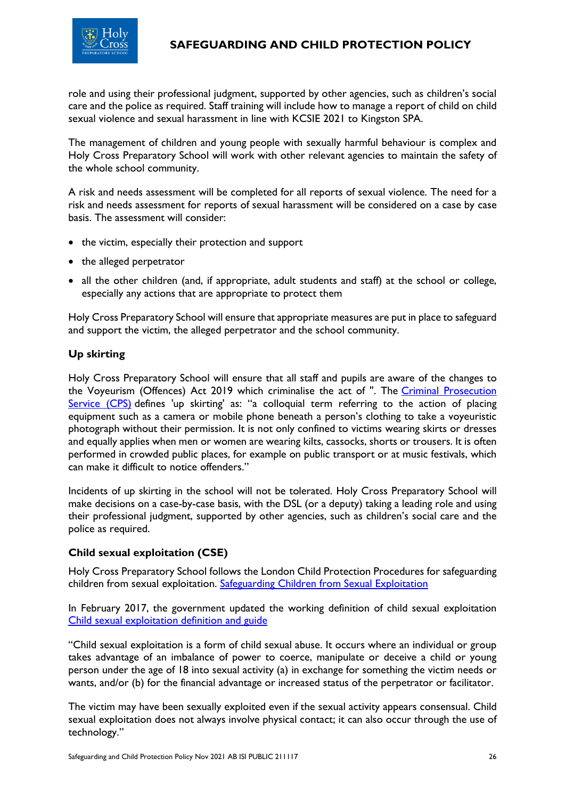

role and using their professional judgment, supported by other agencies, such as children's social care and the police as required. Staff training will include how to manage a report of child on child sexual violence and sexual harassment in line with KCSIE 2021 to Kingston SPA.

The management of children and young people with sexually harmful behaviour is complex and Holy Cross Preparatory School will work with other relevant agencies to maintain the safety of the whole school community.

A risk and needs assessment will be completed for all reports of sexual violence. The need for a risk and needs assessment for reports of sexual harassment will be considered on a case by case basis. The assessment will consider:

- the victim, especially their protection and support
- the alleged perpetrator
- all the other children (and, if appropriate, adult students and staff) at the school or college, especially any actions that are appropriate to protect them

Holy Cross Preparatory School will ensure that appropriate measures are put in place to safeguard and support the victim, the alleged perpetrator and the school community.

## <span id="page-25-0"></span>**Up skirting**

Holy Cross Preparatory School will ensure that all staff and pupils are aware of the changes to the Voyeurism (Offences) Act 2019 which criminalise the act of ". The Criminal Prosecution [Service \(CPS\)](https://www.cps.gov.uk/legal-guidance/voyeurism) defines 'up skirting' as: "a colloquial term referring to the action of placing equipment such as a camera or mobile phone beneath a person's clothing to take a voyeuristic photograph without their permission. It is not only confined to victims wearing skirts or dresses and equally applies when men or women are wearing kilts, cassocks, shorts or trousers. It is often performed in crowded public places, for example on public transport or at music festivals, which can make it difficult to notice offenders."

Incidents of up skirting in the school will not be tolerated. Holy Cross Preparatory School will make decisions on a case-by-case basis, with the DSL (or a deputy) taking a leading role and using their professional judgment, supported by other agencies, such as children's social care and the police as required.

## <span id="page-25-1"></span>**Child sexual exploitation (CSE)**

Holy Cross Preparatory School follows the London Child Protection Procedures for safeguarding children from sexual exploitation. [Safeguarding Children from Sexual Exploitation](http://www.londoncp.co.uk/chapters/sg_sex_exploit_ch.html)

In February 2017, the government updated the working definition of child sexual exploitation [Child sexual exploitation definition and guide](https://www.gov.uk/government/publications/child-sexual-exploitation-definition-and-guide-for-practitioners)

"Child sexual exploitation is a form of child sexual abuse. It occurs where an individual or group takes advantage of an imbalance of power to coerce, manipulate or deceive a child or young person under the age of 18 into sexual activity (a) in exchange for something the victim needs or wants, and/or (b) for the financial advantage or increased status of the perpetrator or facilitator.

The victim may have been sexually exploited even if the sexual activity appears consensual. Child sexual exploitation does not always involve physical contact; it can also occur through the use of technology."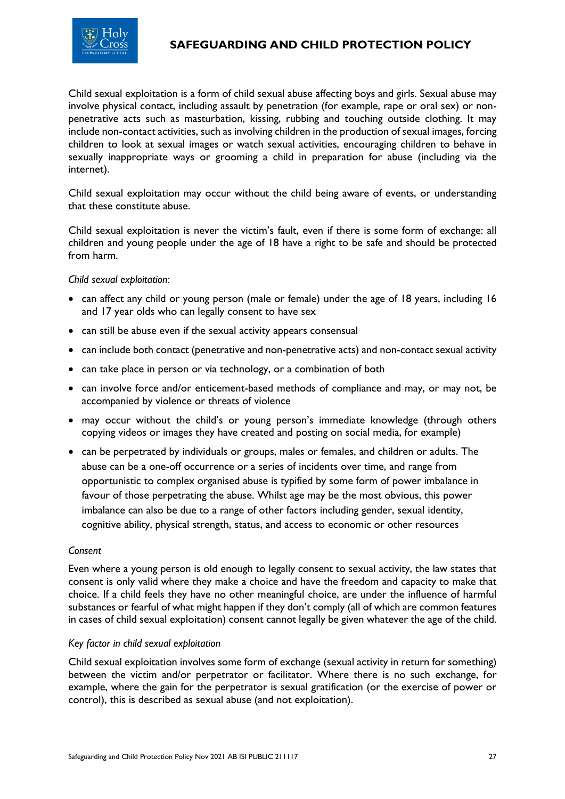

Child sexual exploitation is a form of child sexual abuse affecting boys and girls. Sexual abuse may involve physical contact, including assault by penetration (for example, rape or oral sex) or nonpenetrative acts such as masturbation, kissing, rubbing and touching outside clothing. It may include non-contact activities, such as involving children in the production of sexual images, forcing children to look at sexual images or watch sexual activities, encouraging children to behave in sexually inappropriate ways or grooming a child in preparation for abuse (including via the internet).

Child sexual exploitation may occur without the child being aware of events, or understanding that these constitute abuse.

Child sexual exploitation is never the victim's fault, even if there is some form of exchange: all children and young people under the age of 18 have a right to be safe and should be protected from harm.

#### *Child sexual exploitation:*

- can affect any child or young person (male or female) under the age of 18 years, including 16 and 17 year olds who can legally consent to have sex
- can still be abuse even if the sexual activity appears consensual
- can include both contact (penetrative and non-penetrative acts) and non-contact sexual activity
- can take place in person or via technology, or a combination of both
- can involve force and/or enticement-based methods of compliance and may, or may not, be accompanied by violence or threats of violence
- may occur without the child's or young person's immediate knowledge (through others copying videos or images they have created and posting on social media, for example)
- can be perpetrated by individuals or groups, males or females, and children or adults. The abuse can be a one-off occurrence or a series of incidents over time, and range from opportunistic to complex organised abuse is typified by some form of power imbalance in favour of those perpetrating the abuse. Whilst age may be the most obvious, this power imbalance can also be due to a range of other factors including gender, sexual identity, cognitive ability, physical strength, status, and access to economic or other resources

#### *Consent*

Even where a young person is old enough to legally consent to sexual activity, the law states that consent is only valid where they make a choice and have the freedom and capacity to make that choice. If a child feels they have no other meaningful choice, are under the influence of harmful substances or fearful of what might happen if they don't comply (all of which are common features in cases of child sexual exploitation) consent cannot legally be given whatever the age of the child.

#### *Key factor in child sexual exploitation*

Child sexual exploitation involves some form of exchange (sexual activity in return for something) between the victim and/or perpetrator or facilitator. Where there is no such exchange, for example, where the gain for the perpetrator is sexual gratification (or the exercise of power or control), this is described as sexual abuse (and not exploitation).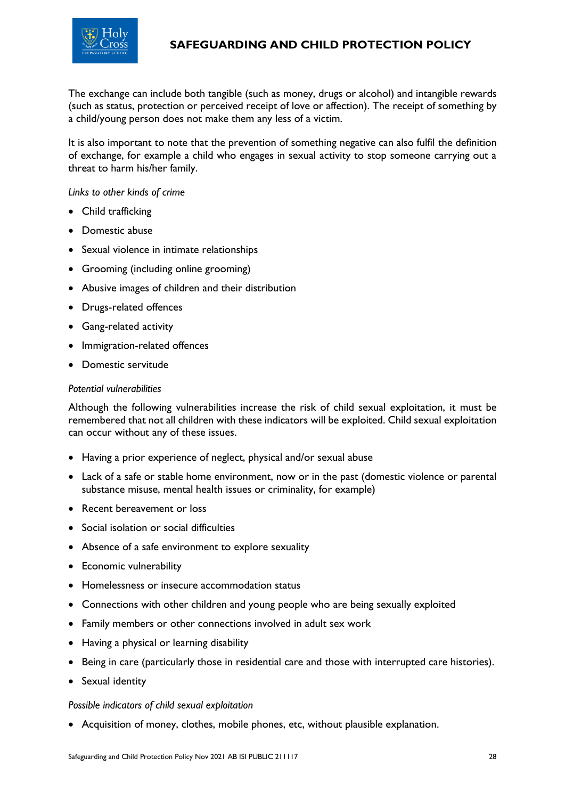

The exchange can include both tangible (such as money, drugs or alcohol) and intangible rewards (such as status, protection or perceived receipt of love or affection). The receipt of something by a child/young person does not make them any less of a victim.

It is also important to note that the prevention of something negative can also fulfil the definition of exchange, for example a child who engages in sexual activity to stop someone carrying out a threat to harm his/her family.

*Links to other kinds of crime*

- Child trafficking
- Domestic abuse
- Sexual violence in intimate relationships
- Grooming (including online grooming)
- Abusive images of children and their distribution
- Drugs-related offences
- Gang-related activity
- Immigration-related offences
- Domestic servitude

#### *Potential vulnerabilities*

Although the following vulnerabilities increase the risk of child sexual exploitation, it must be remembered that not all children with these indicators will be exploited. Child sexual exploitation can occur without any of these issues.

- Having a prior experience of neglect, physical and/or sexual abuse
- Lack of a safe or stable home environment, now or in the past (domestic violence or parental substance misuse, mental health issues or criminality, for example)
- Recent bereavement or loss
- Social isolation or social difficulties
- Absence of a safe environment to explore sexuality
- Economic vulnerability
- Homelessness or insecure accommodation status
- Connections with other children and young people who are being sexually exploited
- Family members or other connections involved in adult sex work
- Having a physical or learning disability
- Being in care (particularly those in residential care and those with interrupted care histories).
- Sexual identity

#### *Possible indicators of child sexual exploitation*

• Acquisition of money, clothes, mobile phones, etc, without plausible explanation.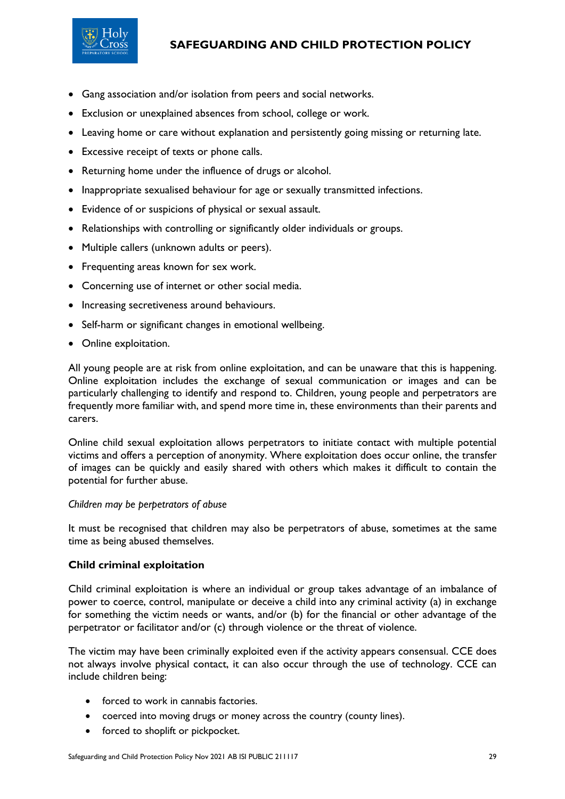

- Gang association and/or isolation from peers and social networks.
- Exclusion or unexplained absences from school, college or work.
- Leaving home or care without explanation and persistently going missing or returning late.
- Excessive receipt of texts or phone calls.
- Returning home under the influence of drugs or alcohol.
- Inappropriate sexualised behaviour for age or sexually transmitted infections.
- Evidence of or suspicions of physical or sexual assault.
- Relationships with controlling or significantly older individuals or groups.
- Multiple callers (unknown adults or peers).
- Frequenting areas known for sex work.
- Concerning use of internet or other social media.
- Increasing secretiveness around behaviours.
- Self-harm or significant changes in emotional wellbeing.
- Online exploitation.

All young people are at risk from online exploitation, and can be unaware that this is happening. Online exploitation includes the exchange of sexual communication or images and can be particularly challenging to identify and respond to. Children, young people and perpetrators are frequently more familiar with, and spend more time in, these environments than their parents and carers.

Online child sexual exploitation allows perpetrators to initiate contact with multiple potential victims and offers a perception of anonymity. Where exploitation does occur online, the transfer of images can be quickly and easily shared with others which makes it difficult to contain the potential for further abuse.

#### *Children may be perpetrators of abuse*

It must be recognised that children may also be perpetrators of abuse, sometimes at the same time as being abused themselves.

#### <span id="page-28-0"></span>**Child criminal exploitation**

Child criminal exploitation is where an individual or group takes advantage of an imbalance of power to coerce, control, manipulate or deceive a child into any criminal activity (a) in exchange for something the victim needs or wants, and/or (b) for the financial or other advantage of the perpetrator or facilitator and/or (c) through violence or the threat of violence.

The victim may have been criminally exploited even if the activity appears consensual. CCE does not always involve physical contact, it can also occur through the use of technology. CCE can include children being:

- forced to work in cannabis factories.
- coerced into moving drugs or money across the country (county lines).
- forced to shoplift or pickpocket.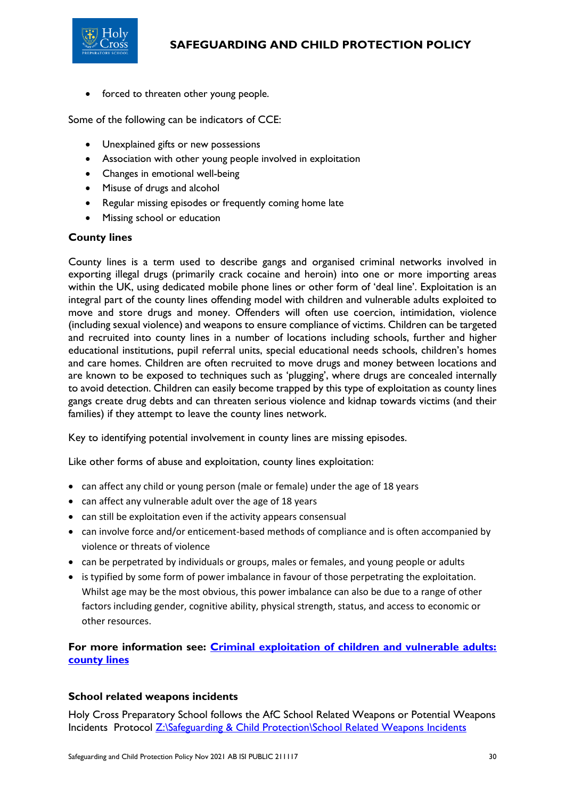

forced to threaten other young people.

Some of the following can be indicators of CCE:

- Unexplained gifts or new possessions
- Association with other young people involved in exploitation
- Changes in emotional well-being
- Misuse of drugs and alcohol
- Regular missing episodes or frequently coming home late
- Missing school or education

#### **County lines**

County lines is a term used to describe gangs and organised criminal networks involved in exporting illegal drugs (primarily crack cocaine and heroin) into one or more importing areas within the UK, using dedicated mobile phone lines or other form of 'deal line'. Exploitation is an integral part of the county lines offending model with children and vulnerable adults exploited to move and store drugs and money. Offenders will often use coercion, intimidation, violence (including sexual violence) and weapons to ensure compliance of victims. Children can be targeted and recruited into county lines in a number of locations including schools, further and higher educational institutions, pupil referral units, special educational needs schools, children's homes and care homes. Children are often recruited to move drugs and money between locations and are known to be exposed to techniques such as 'plugging', where drugs are concealed internally to avoid detection. Children can easily become trapped by this type of exploitation as county lines gangs create drug debts and can threaten serious violence and kidnap towards victims (and their families) if they attempt to leave the county lines network.

Key to identifying potential involvement in county lines are missing episodes.

Like other forms of abuse and exploitation, county lines exploitation:

- can affect any child or young person (male or female) under the age of 18 years
- can affect any vulnerable adult over the age of 18 years
- can still be exploitation even if the activity appears consensual
- can involve force and/or enticement-based methods of compliance and is often accompanied by violence or threats of violence
- can be perpetrated by individuals or groups, males or females, and young people or adults
- is typified by some form of power imbalance in favour of those perpetrating the exploitation. Whilst age may be the most obvious, this power imbalance can also be due to a range of other factors including gender, cognitive ability, physical strength, status, and access to economic or other resources.

**For more information see: [Criminal exploitation of children and vulnerable adults:](https://www.gov.uk/government/publications/criminal-exploitation-of-children-and-vulnerable-adults-county-lines)  [county lines](https://www.gov.uk/government/publications/criminal-exploitation-of-children-and-vulnerable-adults-county-lines)**

#### <span id="page-29-0"></span>**School related weapons incidents**

Holy Cross Preparatory School follows the AfC School Related Weapons or Potential Weapons Incidents Protocol [Z:\Safeguarding & Child Protection\School Related Weapons Incidents](file://///HCNET.AD/HCP/Share_TeachersCommunal/Safeguarding%20&%20Child%20Protection/School%20Related%20Weapons%20Incidents%20Protocol%20November%202019%20(1).pdf)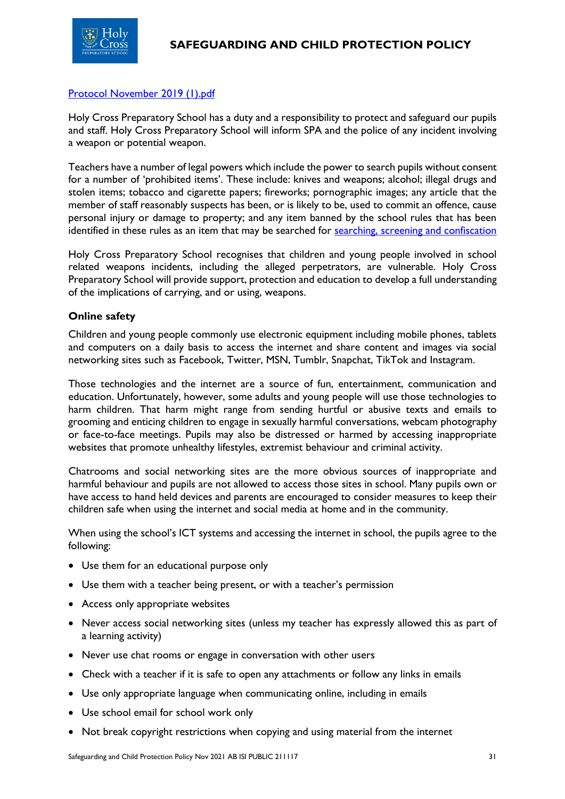

## [Protocol November 2019 \(1\).pdf](file://///HCNET.AD/HCP/Share_TeachersCommunal/Safeguarding%20&%20Child%20Protection/School%20Related%20Weapons%20Incidents%20Protocol%20November%202019%20(1).pdf)

Holy Cross Preparatory School has a duty and a responsibility to protect and safeguard our pupils and staff. Holy Cross Preparatory School will inform SPA and the police of any incident involving a weapon or potential weapon.

Teachers have a number of legal powers which include the power to search pupils without consent for a number of 'prohibited items'. These include: knives and weapons; alcohol; illegal drugs and stolen items; tobacco and cigarette papers; fireworks; pornographic images; any article that the member of staff reasonably suspects has been, or is likely to be, used to commit an offence, cause personal injury or damage to property; and any item banned by the school rules that has been identified in these rules as an item that may be searched for [searching, screening and confiscation](https://assets.publishing.service.gov.uk/government/uploads/system/uploads/attachment_data/file/674416/Searching_screening_and_confiscation.pdf)

Holy Cross Preparatory School recognises that children and young people involved in school related weapons incidents, including the alleged perpetrators, are vulnerable. Holy Cross Preparatory School will provide support, protection and education to develop a full understanding of the implications of carrying, and or using, weapons.

#### **Online safety**

Children and young people commonly use electronic equipment including mobile phones, tablets and computers on a daily basis to access the internet and share content and images via social networking sites such as Facebook, Twitter, MSN, Tumblr, Snapchat, TikTok and Instagram.

Those technologies and the internet are a source of fun, entertainment, communication and education. Unfortunately, however, some adults and young people will use those technologies to harm children. That harm might range from sending hurtful or abusive texts and emails to grooming and enticing children to engage in sexually harmful conversations, webcam photography or face-to-face meetings. Pupils may also be distressed or harmed by accessing inappropriate websites that promote unhealthy lifestyles, extremist behaviour and criminal activity.

Chatrooms and social networking sites are the more obvious sources of inappropriate and harmful behaviour and pupils are not allowed to access those sites in school. Many pupils own or have access to hand held devices and parents are encouraged to consider measures to keep their children safe when using the internet and social media at home and in the community.

When using the school's ICT systems and accessing the internet in school, the pupils agree to the following:

- Use them for an educational purpose only
- Use them with a teacher being present, or with a teacher's permission
- Access only appropriate websites
- Never access social networking sites (unless my teacher has expressly allowed this as part of a learning activity)
- Never use chat rooms or engage in conversation with other users
- Check with a teacher if it is safe to open any attachments or follow any links in emails
- Use only appropriate language when communicating online, including in emails
- Use school email for school work only
- Not break copyright restrictions when copying and using material from the internet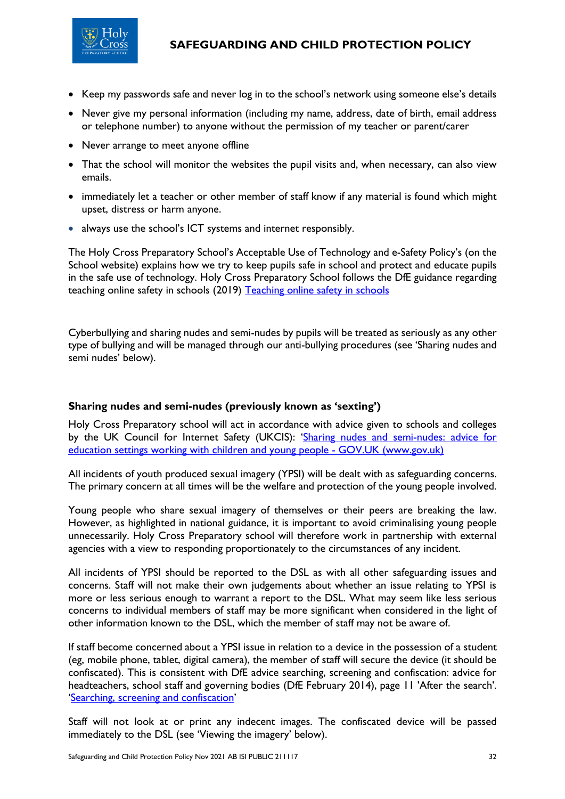

- Keep my passwords safe and never log in to the school's network using someone else's details
- Never give my personal information (including my name, address, date of birth, email address or telephone number) to anyone without the permission of my teacher or parent/carer
- Never arrange to meet anyone offline
- That the school will monitor the websites the pupil visits and, when necessary, can also view emails.
- immediately let a teacher or other member of staff know if any material is found which might upset, distress or harm anyone.
- always use the school's ICT systems and internet responsibly.

The Holy Cross Preparatory School's Acceptable Use of Technology and e-Safety Policy's (on the School website) explains how we try to keep pupils safe in school and protect and educate pupils in the safe use of technology. Holy Cross Preparatory School follows the DfE guidance regarding teaching online safety in schools (2019) [Teaching online safety in schools](https://www.gov.uk/government/publications/teaching-online-safety-in-schools)

Cyberbullying and sharing nudes and semi-nudes by pupils will be treated as seriously as any other type of bullying and will be managed through our anti-bullying procedures (see 'Sharing nudes and semi nudes' below).

#### **Sharing nudes and semi-nudes (previously known as 'sexting')**

Holy Cross Preparatory school will act in accordance with advice given to schools and colleges by the UK Council for Internet Safety (UKCIS): 'Sharing nudes and semi-nudes: advice for [education settings working with children and young people -](https://www.gov.uk/government/publications/sharing-nudes-and-semi-nudes-advice-for-education-settings-working-with-children-and-young-people) GOV.UK (www.gov.uk)

All incidents of youth produced sexual imagery (YPSI) will be dealt with as safeguarding concerns. The primary concern at all times will be the welfare and protection of the young people involved.

Young people who share sexual imagery of themselves or their peers are breaking the law. However, as highlighted in national guidance, it is important to avoid criminalising young people unnecessarily. Holy Cross Preparatory school will therefore work in partnership with external agencies with a view to responding proportionately to the circumstances of any incident.

All incidents of YPSI should be reported to the DSL as with all other safeguarding issues and concerns. Staff will not make their own judgements about whether an issue relating to YPSI is more or less serious enough to warrant a report to the DSL. What may seem like less serious concerns to individual members of staff may be more significant when considered in the light of other information known to the DSL, which the member of staff may not be aware of.

If staff become concerned about a YPSI issue in relation to a device in the possession of a student (eg, mobile phone, tablet, digital camera), the member of staff will secure the device (it should be confiscated). This is consistent with DfE advice searching, screening and confiscation: advice for headteachers, school staff and governing bodies (DfE February 2014), page 11 'After the search'. '[Searching, screening and confiscation](https://www.gov.uk/government/publications/searching-screening-and-confiscation)'

Staff will not look at or print any indecent images. The confiscated device will be passed immediately to the DSL (see 'Viewing the imagery' below).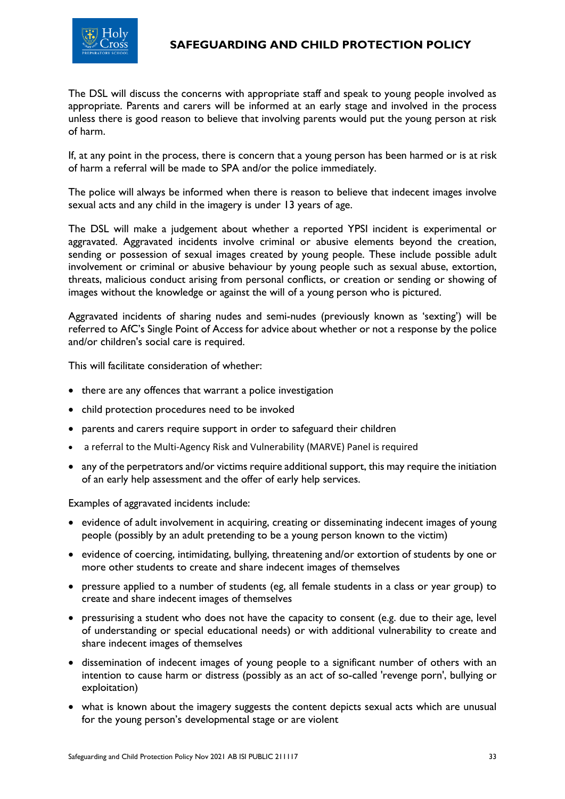

The DSL will discuss the concerns with appropriate staff and speak to young people involved as appropriate. Parents and carers will be informed at an early stage and involved in the process unless there is good reason to believe that involving parents would put the young person at risk of harm.

If, at any point in the process, there is concern that a young person has been harmed or is at risk of harm a referral will be made to SPA and/or the police immediately.

The police will always be informed when there is reason to believe that indecent images involve sexual acts and any child in the imagery is under 13 years of age.

The DSL will make a judgement about whether a reported YPSI incident is experimental or aggravated. Aggravated incidents involve criminal or abusive elements beyond the creation, sending or possession of sexual images created by young people. These include possible adult involvement or criminal or abusive behaviour by young people such as sexual abuse, extortion, threats, malicious conduct arising from personal conflicts, or creation or sending or showing of images without the knowledge or against the will of a young person who is pictured.

Aggravated incidents of sharing nudes and semi-nudes (previously known as 'sexting') will be referred to AfC's Single Point of Access for advice about whether or not a response by the police and/or children's social care is required.

This will facilitate consideration of whether:

- there are any offences that warrant a police investigation
- child protection procedures need to be invoked
- parents and carers require support in order to safeguard their children
- a referral to the Multi-Agency Risk and Vulnerability (MARVE) Panel is required
- any of the perpetrators and/or victims require additional support, this may require the initiation of an early help assessment and the offer of early help services.

Examples of aggravated incidents include:

- evidence of adult involvement in acquiring, creating or disseminating indecent images of young people (possibly by an adult pretending to be a young person known to the victim)
- evidence of coercing, intimidating, bullying, threatening and/or extortion of students by one or more other students to create and share indecent images of themselves
- pressure applied to a number of students (eg, all female students in a class or year group) to create and share indecent images of themselves
- pressurising a student who does not have the capacity to consent (e.g. due to their age, level of understanding or special educational needs) or with additional vulnerability to create and share indecent images of themselves
- dissemination of indecent images of young people to a significant number of others with an intention to cause harm or distress (possibly as an act of so-called 'revenge porn', bullying or exploitation)
- what is known about the imagery suggests the content depicts sexual acts which are unusual for the young person's developmental stage or are violent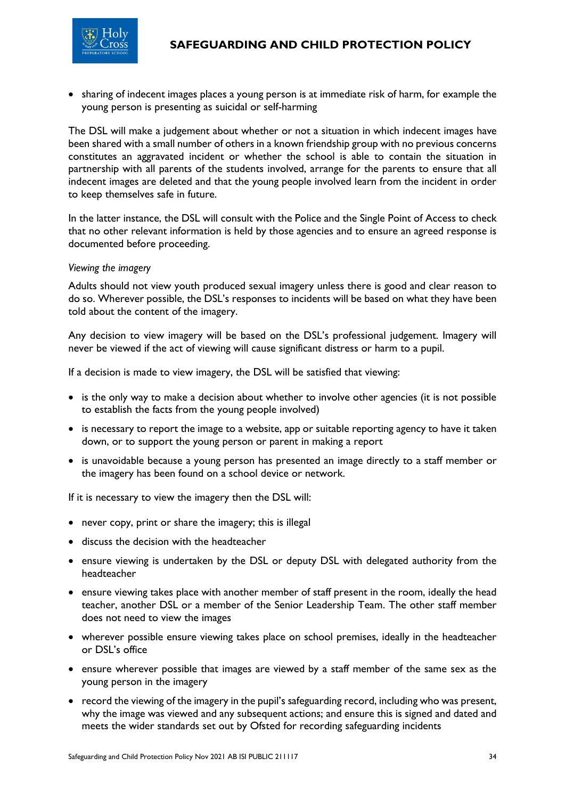

• sharing of indecent images places a young person is at immediate risk of harm, for example the young person is presenting as suicidal or self-harming

The DSL will make a judgement about whether or not a situation in which indecent images have been shared with a small number of others in a known friendship group with no previous concerns constitutes an aggravated incident or whether the school is able to contain the situation in partnership with all parents of the students involved, arrange for the parents to ensure that all indecent images are deleted and that the young people involved learn from the incident in order to keep themselves safe in future.

In the latter instance, the DSL will consult with the Police and the Single Point of Access to check that no other relevant information is held by those agencies and to ensure an agreed response is documented before proceeding.

#### *Viewing the imagery*

Adults should not view youth produced sexual imagery unless there is good and clear reason to do so. Wherever possible, the DSL's responses to incidents will be based on what they have been told about the content of the imagery.

Any decision to view imagery will be based on the DSL's professional judgement. Imagery will never be viewed if the act of viewing will cause significant distress or harm to a pupil.

If a decision is made to view imagery, the DSL will be satisfied that viewing:

- is the only way to make a decision about whether to involve other agencies (it is not possible to establish the facts from the young people involved)
- is necessary to report the image to a website, app or suitable reporting agency to have it taken down, or to support the young person or parent in making a report
- is unavoidable because a young person has presented an image directly to a staff member or the imagery has been found on a school device or network.

If it is necessary to view the imagery then the DSL will:

- never copy, print or share the imagery; this is illegal
- discuss the decision with the headteacher
- ensure viewing is undertaken by the DSL or deputy DSL with delegated authority from the headteacher
- ensure viewing takes place with another member of staff present in the room, ideally the head teacher, another DSL or a member of the Senior Leadership Team. The other staff member does not need to view the images
- wherever possible ensure viewing takes place on school premises, ideally in the headteacher or DSL's office
- ensure wherever possible that images are viewed by a staff member of the same sex as the young person in the imagery
- record the viewing of the imagery in the pupil's safeguarding record, including who was present, why the image was viewed and any subsequent actions; and ensure this is signed and dated and meets the wider standards set out by Ofsted for recording safeguarding incidents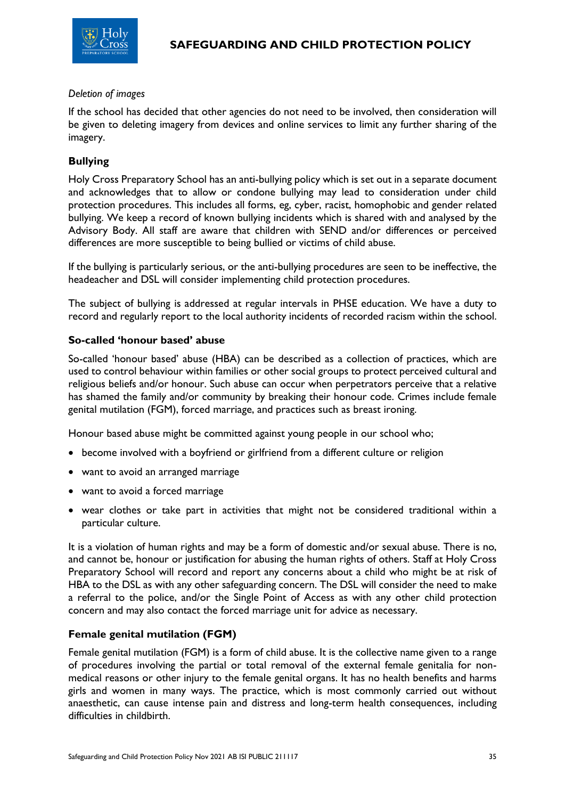

#### *Deletion of images*

If the school has decided that other agencies do not need to be involved, then consideration will be given to deleting imagery from devices and online services to limit any further sharing of the imagery.

## <span id="page-34-0"></span>**Bullying**

Holy Cross Preparatory School has an anti-bullying policy which is set out in a separate document and acknowledges that to allow or condone bullying may lead to consideration under child protection procedures. This includes all forms, eg, cyber, racist, homophobic and gender related bullying. We keep a record of known bullying incidents which is shared with and analysed by the Advisory Body. All staff are aware that children with SEND and/or differences or perceived differences are more susceptible to being bullied or victims of child abuse.

If the bullying is particularly serious, or the anti-bullying procedures are seen to be ineffective, the headeacher and DSL will consider implementing child protection procedures.

The subject of bullying is addressed at regular intervals in PHSE education. We have a duty to record and regularly report to the local authority incidents of recorded racism within the school.

#### <span id="page-34-1"></span>**So-called 'honour based' abuse**

So-called 'honour based' abuse (HBA) can be described as a collection of practices, which are used to control behaviour within families or other social groups to protect perceived cultural and religious beliefs and/or honour. Such abuse can occur when perpetrators perceive that a relative has shamed the family and/or community by breaking their honour code. Crimes include female genital mutilation (FGM), forced marriage, and practices such as breast ironing.

Honour based abuse might be committed against young people in our school who;

- become involved with a boyfriend or girlfriend from a different culture or religion
- want to avoid an arranged marriage
- want to avoid a forced marriage
- wear clothes or take part in activities that might not be considered traditional within a particular culture.

It is a violation of human rights and may be a form of domestic and/or sexual abuse. There is no, and cannot be, honour or justification for abusing the human rights of others. Staff at Holy Cross Preparatory School will record and report any concerns about a child who might be at risk of HBA to the DSL as with any other safeguarding concern. The DSL will consider the need to make a referral to the police, and/or the Single Point of Access as with any other child protection concern and may also contact the forced marriage unit for advice as necessary.

#### <span id="page-34-2"></span>**Female genital mutilation (FGM)**

Female genital mutilation (FGM) is a form of child abuse. It is the collective name given to a range of procedures involving the partial or total removal of the external female genitalia for nonmedical reasons or other injury to the female genital organs. It has no health benefits and harms girls and women in many ways. The practice, which is most commonly carried out without anaesthetic, can cause intense pain and distress and long-term health consequences, including difficulties in childbirth.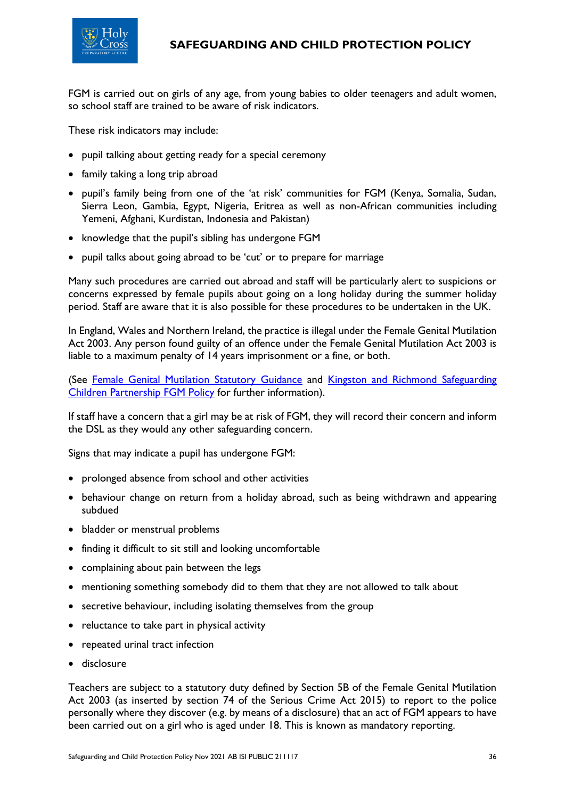

FGM is carried out on girls of any age, from young babies to older teenagers and adult women, so school staff are trained to be aware of risk indicators.

These risk indicators may include:

- pupil talking about getting ready for a special ceremony
- family taking a long trip abroad
- pupil's family being from one of the 'at risk' communities for FGM (Kenya, Somalia, Sudan, Sierra Leon, Gambia, Egypt, Nigeria, Eritrea as well as non-African communities including Yemeni, Afghani, Kurdistan, Indonesia and Pakistan)
- knowledge that the pupil's sibling has undergone FGM
- pupil talks about going abroad to be 'cut' or to prepare for marriage

Many such procedures are carried out abroad and staff will be particularly alert to suspicions or concerns expressed by female pupils about going on a long holiday during the summer holiday period. Staff are aware that it is also possible for these procedures to be undertaken in the UK.

In England, Wales and Northern Ireland, the practice is illegal under the Female Genital Mutilation Act 2003. Any person found guilty of an offence under the Female Genital Mutilation Act 2003 is liable to a maximum penalty of 14 years imprisonment or a fine, or both.

(See [Female Genital Mutilation Statutory Guidance](https://www.gov.uk/government/publications/female-genital-mutilation-guidelines) and [Kingston and Richmond Safeguarding](https://kingstonandrichmondlscb.org.uk/news-resources/policies-and-procedures-87/female-genital-mutilation-policy-203.php)  [Children Partnership FGM Policy](https://kingstonandrichmondlscb.org.uk/news-resources/policies-and-procedures-87/female-genital-mutilation-policy-203.php) for further information).

If staff have a concern that a girl may be at risk of FGM, they will record their concern and inform the DSL as they would any other safeguarding concern.

Signs that may indicate a pupil has undergone FGM:

- prolonged absence from school and other activities
- behaviour change on return from a holiday abroad, such as being withdrawn and appearing subdued
- bladder or menstrual problems
- finding it difficult to sit still and looking uncomfortable
- complaining about pain between the legs
- mentioning something somebody did to them that they are not allowed to talk about
- secretive behaviour, including isolating themselves from the group
- reluctance to take part in physical activity
- repeated urinal tract infection
- disclosure

Teachers are subject to a statutory duty defined by Section 5B of the Female Genital Mutilation Act 2003 (as inserted by section 74 of the Serious Crime Act 2015) to report to the police personally where they discover (e.g. by means of a disclosure) that an act of FGM appears to have been carried out on a girl who is aged under 18. This is known as mandatory reporting.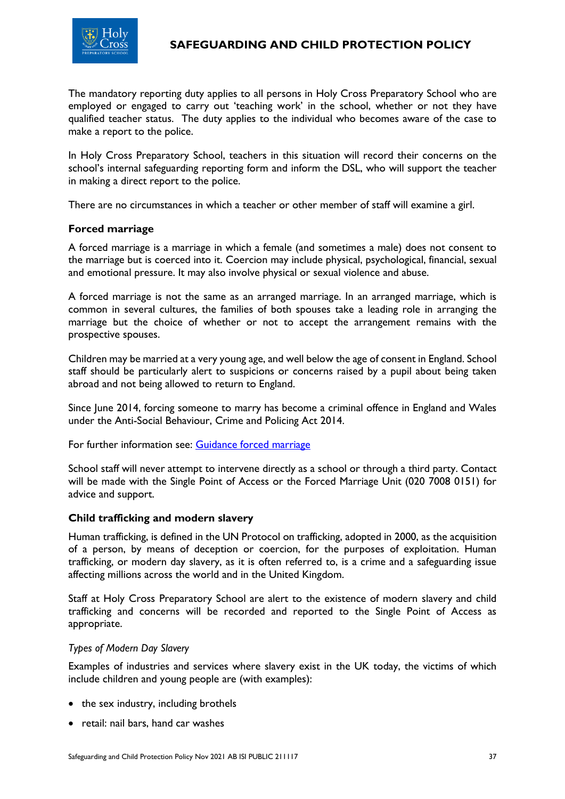

The mandatory reporting duty applies to all persons in Holy Cross Preparatory School who are employed or engaged to carry out 'teaching work' in the school, whether or not they have qualified teacher status. The duty applies to the individual who becomes aware of the case to make a report to the police.

In Holy Cross Preparatory School, teachers in this situation will record their concerns on the school's internal safeguarding reporting form and inform the DSL, who will support the teacher in making a direct report to the police.

There are no circumstances in which a teacher or other member of staff will examine a girl.

#### <span id="page-36-0"></span>**Forced marriage**

A forced marriage is a marriage in which a female (and sometimes a male) does not consent to the marriage but is coerced into it. Coercion may include physical, psychological, financial, sexual and emotional pressure. It may also involve physical or sexual violence and abuse.

A forced marriage is not the same as an arranged marriage. In an arranged marriage, which is common in several cultures, the families of both spouses take a leading role in arranging the marriage but the choice of whether or not to accept the arrangement remains with the prospective spouses.

Children may be married at a very young age, and well below the age of consent in England. School staff should be particularly alert to suspicions or concerns raised by a pupil about being taken abroad and not being allowed to return to England.

Since June 2014, forcing someone to marry has become a criminal offence in England and Wales under the Anti-Social Behaviour, Crime and Policing Act 2014.

For further information see: [Guidance forced marriage](https://www.gov.uk/guidance/forced-marriage)

School staff will never attempt to intervene directly as a school or through a third party. Contact will be made with the Single Point of Access or the Forced Marriage Unit (020 7008 0151) for advice and support.

#### <span id="page-36-1"></span>**Child trafficking and modern slavery**

Human trafficking, is defined in the UN Protocol on trafficking, adopted in 2000, as the acquisition of a person, by means of deception or coercion, for the purposes of exploitation. Human trafficking, or modern day slavery, as it is often referred to, is a crime and a safeguarding issue affecting millions across the world and in the United Kingdom.

Staff at Holy Cross Preparatory School are alert to the existence of modern slavery and child trafficking and concerns will be recorded and reported to the Single Point of Access as appropriate.

#### *Types of Modern Day Slavery*

Examples of industries and services where slavery exist in the UK today, the victims of which include children and young people are (with examples):

- the sex industry, including brothels
- retail: nail bars, hand car washes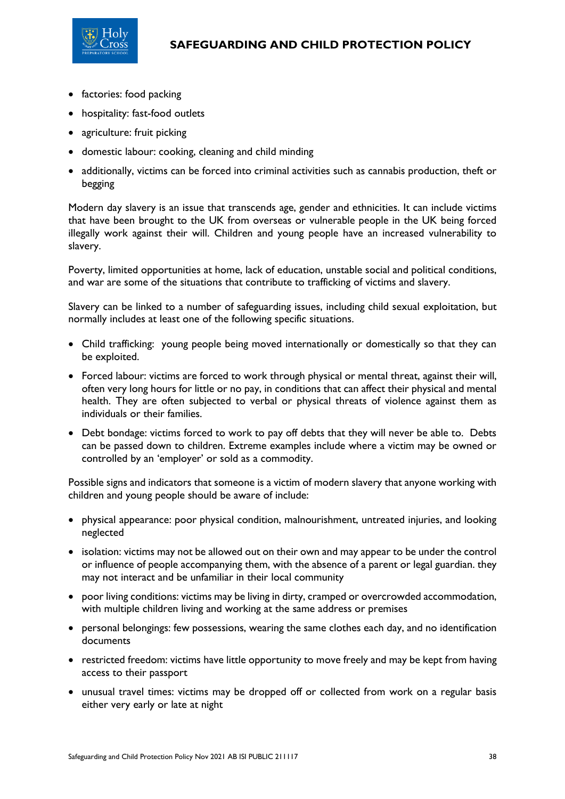

- factories: food packing
- hospitality: fast-food outlets
- agriculture: fruit picking
- domestic labour: cooking, cleaning and child minding
- additionally, victims can be forced into criminal activities such as cannabis production, theft or begging

Modern day slavery is an issue that transcends age, gender and ethnicities. It can include victims that have been brought to the UK from overseas or vulnerable people in the UK being forced illegally work against their will. Children and young people have an increased vulnerability to slavery.

Poverty, limited opportunities at home, lack of education, unstable social and political conditions, and war are some of the situations that contribute to trafficking of victims and slavery.

Slavery can be linked to a number of safeguarding issues, including child sexual exploitation, but normally includes at least one of the following specific situations.

- Child trafficking: young people being moved internationally or domestically so that they can be exploited.
- Forced labour: victims are forced to work through physical or mental threat, against their will, often very long hours for little or no pay, in conditions that can affect their physical and mental health. They are often subjected to verbal or physical threats of violence against them as individuals or their families.
- Debt bondage: victims forced to work to pay off debts that they will never be able to. Debts can be passed down to children. Extreme examples include where a victim may be owned or controlled by an 'employer' or sold as a commodity.

Possible signs and indicators that someone is a victim of modern slavery that anyone working with children and young people should be aware of include:

- physical appearance: poor physical condition, malnourishment, untreated injuries, and looking neglected
- isolation: victims may not be allowed out on their own and may appear to be under the control or influence of people accompanying them, with the absence of a parent or legal guardian. they may not interact and be unfamiliar in their local community
- poor living conditions: victims may be living in dirty, cramped or overcrowded accommodation, with multiple children living and working at the same address or premises
- personal belongings: few possessions, wearing the same clothes each day, and no identification documents
- restricted freedom: victims have little opportunity to move freely and may be kept from having access to their passport
- unusual travel times: victims may be dropped off or collected from work on a regular basis either very early or late at night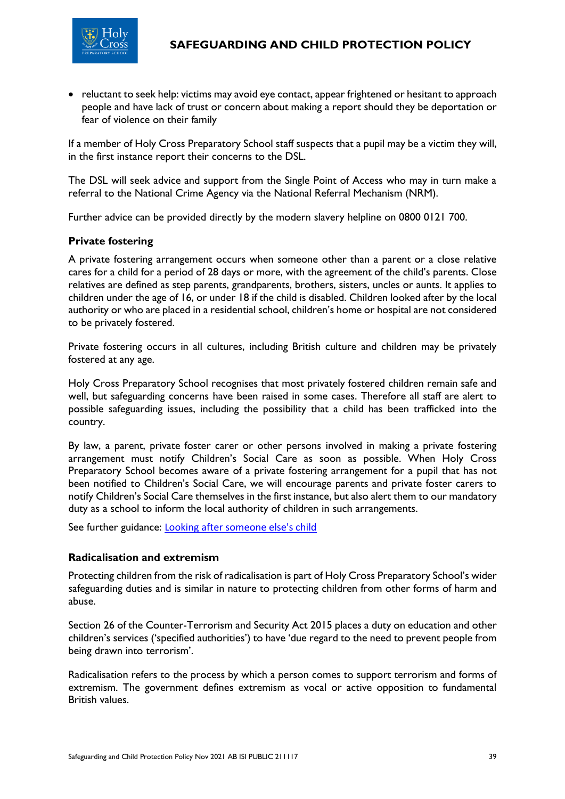



• reluctant to seek help: victims may avoid eye contact, appear frightened or hesitant to approach people and have lack of trust or concern about making a report should they be deportation or fear of violence on their family

If a member of Holy Cross Preparatory School staff suspects that a pupil may be a victim they will, in the first instance report their concerns to the DSL.

The DSL will seek advice and support from the Single Point of Access who may in turn make a referral to the National Crime Agency via the National Referral Mechanism (NRM).

Further advice can be provided directly by the modern slavery helpline on 0800 0121 700.

#### <span id="page-38-0"></span>**Private fostering**

A private fostering arrangement occurs when someone other than a parent or a close relative cares for a child for a period of 28 days or more, with the agreement of the child's parents. Close relatives are defined as step parents, grandparents, brothers, sisters, uncles or aunts. It applies to children under the age of 16, or under 18 if the child is disabled. Children looked after by the local authority or who are placed in a residential school, children's home or hospital are not considered to be privately fostered.

Private fostering occurs in all cultures, including British culture and children may be privately fostered at any age.

Holy Cross Preparatory School recognises that most privately fostered children remain safe and well, but safeguarding concerns have been raised in some cases. Therefore all staff are alert to possible safeguarding issues, including the possibility that a child has been trafficked into the country.

By law, a parent, private foster carer or other persons involved in making a private fostering arrangement must notify Children's Social Care as soon as possible. When Holy Cross Preparatory School becomes aware of a private fostering arrangement for a pupil that has not been notified to Children's Social Care, we will encourage parents and private foster carers to notify Children's Social Care themselves in the first instance, but also alert them to our mandatory duty as a school to inform the local authority of children in such arrangements.

See further guidance: [Looking after someone else's child](https://www.gov.uk/looking-after-someone-elses-child)

#### <span id="page-38-1"></span>**Radicalisation and extremism**

Protecting children from the risk of radicalisation is part of Holy Cross Preparatory School's wider safeguarding duties and is similar in nature to protecting children from other forms of harm and abuse.

Section 26 of the Counter-Terrorism and Security Act 2015 places a duty on education and other children's services ('specified authorities') to have 'due regard to the need to prevent people from being drawn into terrorism'.

Radicalisation refers to the process by which a person comes to support terrorism and forms of extremism. The government defines extremism as vocal or active opposition to fundamental British values.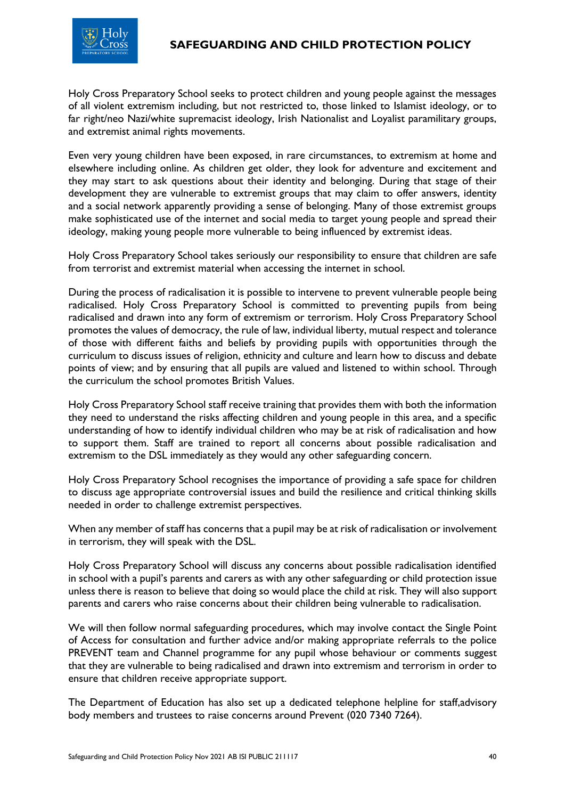

Holy Cross Preparatory School seeks to protect children and young people against the messages of all violent extremism including, but not restricted to, those linked to Islamist ideology, or to far right/neo Nazi/white supremacist ideology, Irish Nationalist and Loyalist paramilitary groups, and extremist animal rights movements.

Even very young children have been exposed, in rare circumstances, to extremism at home and elsewhere including online. As children get older, they look for adventure and excitement and they may start to ask questions about their identity and belonging. During that stage of their development they are vulnerable to extremist groups that may claim to offer answers, identity and a social network apparently providing a sense of belonging. Many of those extremist groups make sophisticated use of the internet and social media to target young people and spread their ideology, making young people more vulnerable to being influenced by extremist ideas.

Holy Cross Preparatory School takes seriously our responsibility to ensure that children are safe from terrorist and extremist material when accessing the internet in school.

During the process of radicalisation it is possible to intervene to prevent vulnerable people being radicalised. Holy Cross Preparatory School is committed to preventing pupils from being radicalised and drawn into any form of extremism or terrorism. Holy Cross Preparatory School promotes the values of democracy, the rule of law, individual liberty, mutual respect and tolerance of those with different faiths and beliefs by providing pupils with opportunities through the curriculum to discuss issues of religion, ethnicity and culture and learn how to discuss and debate points of view; and by ensuring that all pupils are valued and listened to within school. Through the curriculum the school promotes British Values.

Holy Cross Preparatory School staff receive training that provides them with both the information they need to understand the risks affecting children and young people in this area, and a specific understanding of how to identify individual children who may be at risk of radicalisation and how to support them. Staff are trained to report all concerns about possible radicalisation and extremism to the DSL immediately as they would any other safeguarding concern.

Holy Cross Preparatory School recognises the importance of providing a safe space for children to discuss age appropriate controversial issues and build the resilience and critical thinking skills needed in order to challenge extremist perspectives.

When any member of staff has concerns that a pupil may be at risk of radicalisation or involvement in terrorism, they will speak with the DSL.

Holy Cross Preparatory School will discuss any concerns about possible radicalisation identified in school with a pupil's parents and carers as with any other safeguarding or child protection issue unless there is reason to believe that doing so would place the child at risk. They will also support parents and carers who raise concerns about their children being vulnerable to radicalisation.

We will then follow normal safeguarding procedures, which may involve contact the Single Point of Access for consultation and further advice and/or making appropriate referrals to the police PREVENT team and Channel programme for any pupil whose behaviour or comments suggest that they are vulnerable to being radicalised and drawn into extremism and terrorism in order to ensure that children receive appropriate support.

The Department of Education has also set up a dedicated telephone helpline for staff,advisory body members and trustees to raise concerns around Prevent (020 7340 7264).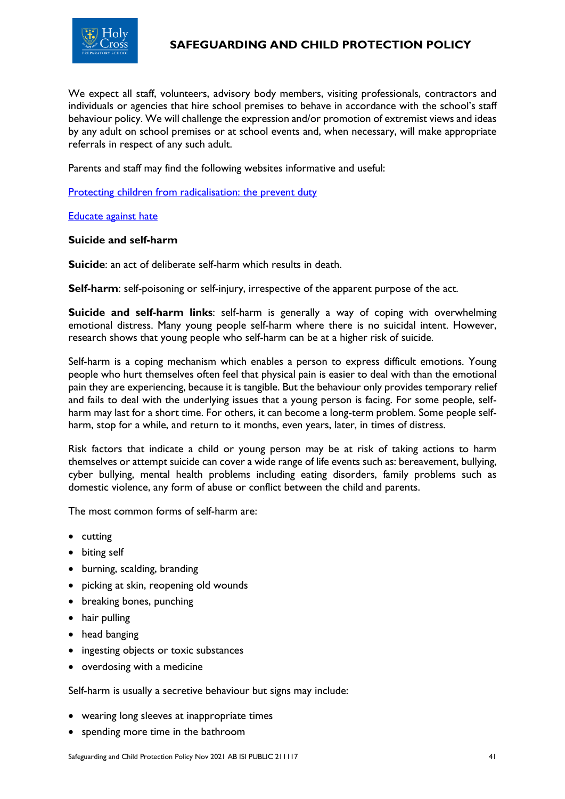

We expect all staff, volunteers, advisory body members, visiting professionals, contractors and individuals or agencies that hire school premises to behave in accordance with the school's staff behaviour policy. We will challenge the expression and/or promotion of extremist views and ideas by any adult on school premises or at school events and, when necessary, will make appropriate referrals in respect of any such adult.

Parents and staff may find the following websites informative and useful:

[Protecting children from radicalisation: the prevent duty](https://www.gov.uk/government/publications/protecting-children-from-radicalisation-the-prevent-duty)

#### [Educate against hate](http://educateagainsthate.com/)

#### <span id="page-40-0"></span>**Suicide and self-harm**

**Suicide**: an act of deliberate self-harm which results in death.

**Self-harm**: self-poisoning or self-injury, irrespective of the apparent purpose of the act.

**Suicide and self-harm links**: self-harm is generally a way of coping with overwhelming emotional distress. Many young people self-harm where there is no suicidal intent. However, research shows that young people who self-harm can be at a higher risk of suicide.

Self-harm is a coping mechanism which enables a person to express difficult emotions. Young people who hurt themselves often feel that physical pain is easier to deal with than the emotional pain they are experiencing, because it is tangible. But the behaviour only provides temporary relief and fails to deal with the underlying issues that a young person is facing. For some people, selfharm may last for a short time. For others, it can become a long-term problem. Some people selfharm, stop for a while, and return to it months, even years, later, in times of distress.

Risk factors that indicate a child or young person may be at risk of taking actions to harm themselves or attempt suicide can cover a wide range of life events such as: bereavement, bullying, cyber bullying, mental health problems including eating disorders, family problems such as domestic violence, any form of abuse or conflict between the child and parents.

The most common forms of self-harm are:

- cutting
- biting self
- burning, scalding, branding
- picking at skin, reopening old wounds
- breaking bones, punching
- hair pulling
- head banging
- ingesting objects or toxic substances
- overdosing with a medicine

Self-harm is usually a secretive behaviour but signs may include:

- wearing long sleeves at inappropriate times
- spending more time in the bathroom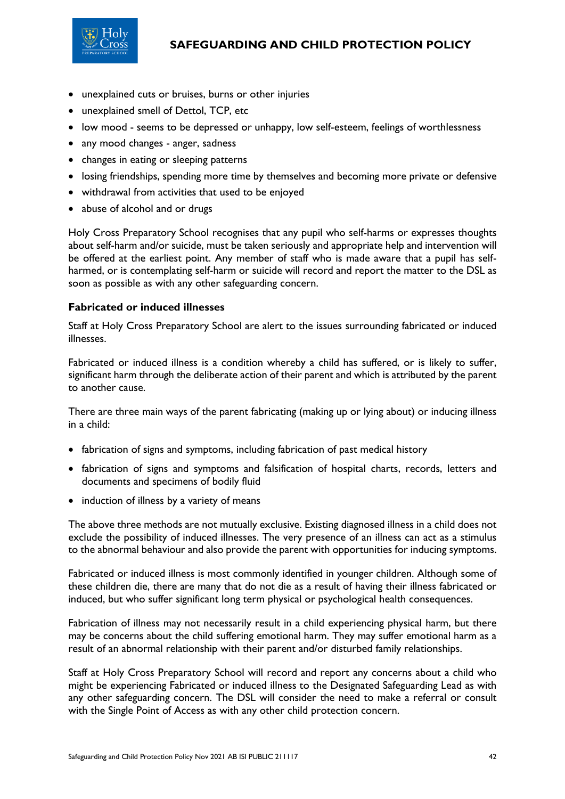

- unexplained cuts or bruises, burns or other injuries
- unexplained smell of Dettol, TCP, etc
- low mood seems to be depressed or unhappy, low self-esteem, feelings of worthlessness
- any mood changes anger, sadness
- changes in eating or sleeping patterns
- losing friendships, spending more time by themselves and becoming more private or defensive
- withdrawal from activities that used to be enjoyed
- abuse of alcohol and or drugs

Holy Cross Preparatory School recognises that any pupil who self-harms or expresses thoughts about self-harm and/or suicide, must be taken seriously and appropriate help and intervention will be offered at the earliest point. Any member of staff who is made aware that a pupil has selfharmed, or is contemplating self-harm or suicide will record and report the matter to the DSL as soon as possible as with any other safeguarding concern.

#### <span id="page-41-0"></span>**Fabricated or induced illnesses**

Staff at Holy Cross Preparatory School are alert to the issues surrounding fabricated or induced illnesses.

Fabricated or induced illness is a condition whereby a child has suffered, or is likely to suffer, significant harm through the deliberate action of their parent and which is attributed by the parent to another cause.

There are three main ways of the parent fabricating (making up or lying about) or inducing illness in a child:

- fabrication of signs and symptoms, including fabrication of past medical history
- fabrication of signs and symptoms and falsification of hospital charts, records, letters and documents and specimens of bodily fluid
- induction of illness by a variety of means

The above three methods are not mutually exclusive. Existing diagnosed illness in a child does not exclude the possibility of induced illnesses. The very presence of an illness can act as a stimulus to the abnormal behaviour and also provide the parent with opportunities for inducing symptoms.

Fabricated or induced illness is most commonly identified in younger children. Although some of these children die, there are many that do not die as a result of having their illness fabricated or induced, but who suffer significant long term physical or psychological health consequences.

Fabrication of illness may not necessarily result in a child experiencing physical harm, but there may be concerns about the child suffering emotional harm. They may suffer emotional harm as a result of an abnormal relationship with their parent and/or disturbed family relationships.

Staff at Holy Cross Preparatory School will record and report any concerns about a child who might be experiencing Fabricated or induced illness to the Designated Safeguarding Lead as with any other safeguarding concern. The DSL will consider the need to make a referral or consult with the Single Point of Access as with any other child protection concern.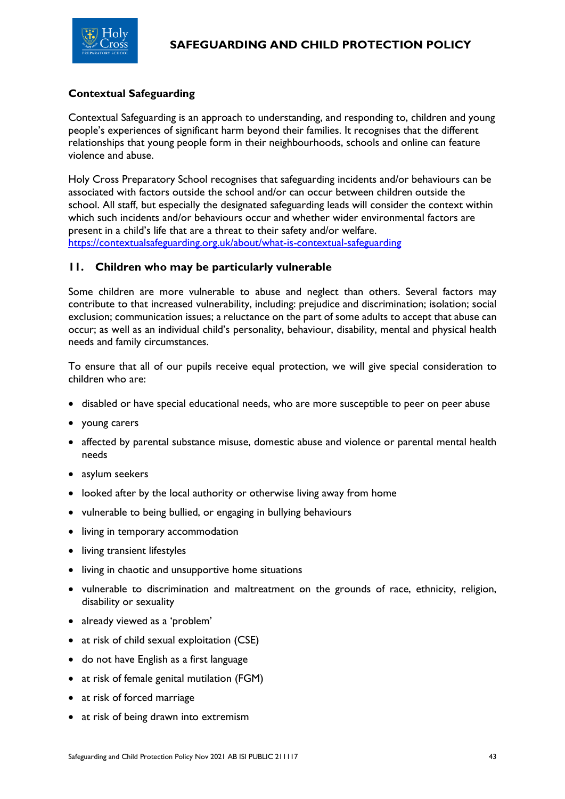

## <span id="page-42-0"></span>**Contextual Safeguarding**

Contextual Safeguarding is an approach to understanding, and responding to, children and young people's experiences of significant harm beyond their families. It recognises that the different relationships that young people form in their neighbourhoods, schools and online can feature violence and abuse.

Holy Cross Preparatory School recognises that safeguarding incidents and/or behaviours can be associated with factors outside the school and/or can occur between children outside the school. All staff, but especially the designated safeguarding leads will consider the context within which such incidents and/or behaviours occur and whether wider environmental factors are present in a child's life that are a threat to their safety and/or welfare. <https://contextualsafeguarding.org.uk/about/what-is-contextual-safeguarding>

## <span id="page-42-1"></span>**11. Children who may be particularly vulnerable**

Some children are more vulnerable to abuse and neglect than others. Several factors may contribute to that increased vulnerability, including: prejudice and discrimination; isolation; social exclusion; communication issues; a reluctance on the part of some adults to accept that abuse can occur; as well as an individual child's personality, behaviour, disability, mental and physical health needs and family circumstances.

To ensure that all of our pupils receive equal protection, we will give special consideration to children who are:

- disabled or have special educational needs, who are more susceptible to peer on peer abuse
- young carers
- affected by parental substance misuse, domestic abuse and violence or parental mental health needs
- asylum seekers
- looked after by the local authority or otherwise living away from home
- vulnerable to being bullied, or engaging in bullying behaviours
- living in temporary accommodation
- living transient lifestyles
- living in chaotic and unsupportive home situations
- vulnerable to discrimination and maltreatment on the grounds of race, ethnicity, religion, disability or sexuality
- already viewed as a 'problem'
- at risk of child sexual exploitation (CSE)
- do not have English as a first language
- at risk of female genital mutilation (FGM)
- at risk of forced marriage
- at risk of being drawn into extremism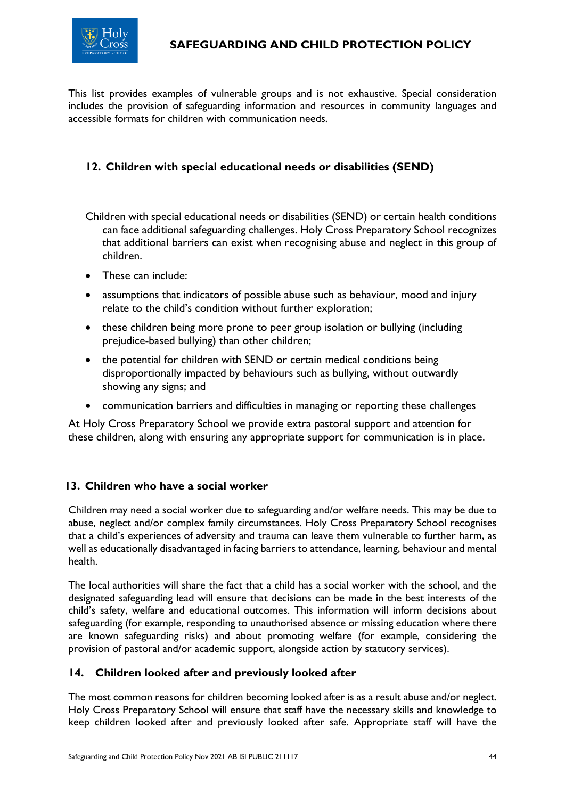

This list provides examples of vulnerable groups and is not exhaustive. Special consideration includes the provision of safeguarding information and resources in community languages and accessible formats for children with communication needs.

## **12. Children with special educational needs or disabilities (SEND)**

- Children with special educational needs or disabilities (SEND) or certain health conditions can face additional safeguarding challenges. Holy Cross Preparatory School recognizes that additional barriers can exist when recognising abuse and neglect in this group of children.
- These can include:
- assumptions that indicators of possible abuse such as behaviour, mood and injury relate to the child's condition without further exploration;
- these children being more prone to peer group isolation or bullying (including prejudice-based bullying) than other children;
- the potential for children with SEND or certain medical conditions being disproportionally impacted by behaviours such as bullying, without outwardly showing any signs; and
- communication barriers and difficulties in managing or reporting these challenges

At Holy Cross Preparatory School we provide extra pastoral support and attention for these children, along with ensuring any appropriate support for communication is in place.

## **13. Children who have a social worker**

Children may need a social worker due to safeguarding and/or welfare needs. This may be due to abuse, neglect and/or complex family circumstances. Holy Cross Preparatory School recognises that a child's experiences of adversity and trauma can leave them vulnerable to further harm, as well as educationally disadvantaged in facing barriers to attendance, learning, behaviour and mental health.

The local authorities will share the fact that a child has a social worker with the school, and the designated safeguarding lead will ensure that decisions can be made in the best interests of the child's safety, welfare and educational outcomes. This information will inform decisions about safeguarding (for example, responding to unauthorised absence or missing education where there are known safeguarding risks) and about promoting welfare (for example, considering the provision of pastoral and/or academic support, alongside action by statutory services).

#### <span id="page-43-0"></span>**14. Children looked after and previously looked after**

The most common reasons for children becoming looked after is as a result abuse and/or neglect. Holy Cross Preparatory School will ensure that staff have the necessary skills and knowledge to keep children looked after and previously looked after safe. Appropriate staff will have the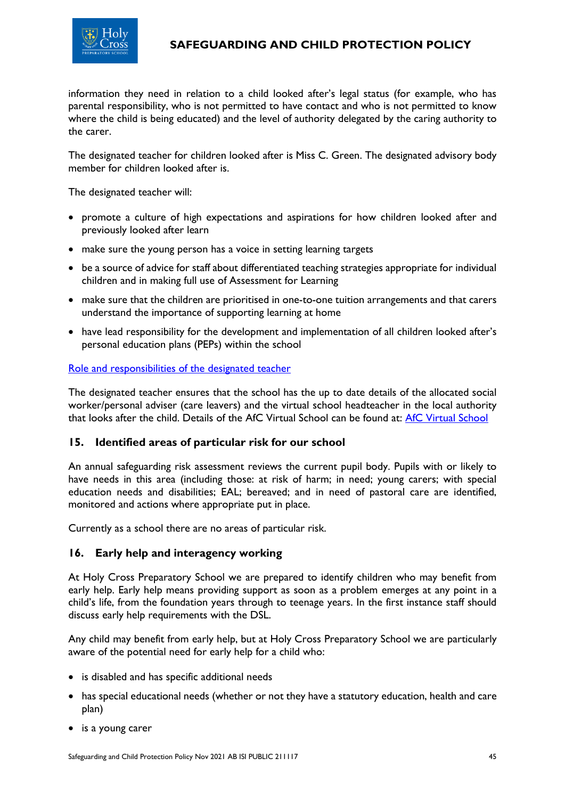

information they need in relation to a child looked after's legal status (for example, who has parental responsibility, who is not permitted to have contact and who is not permitted to know where the child is being educated) and the level of authority delegated by the caring authority to the carer.

The designated teacher for children looked after is Miss C. Green. The designated advisory body member for children looked after is.

The designated teacher will:

- promote a culture of high expectations and aspirations for how children looked after and previously looked after learn
- make sure the young person has a voice in setting learning targets
- be a source of advice for staff about differentiated teaching strategies appropriate for individual children and in making full use of Assessment for Learning
- make sure that the children are prioritised in one-to-one tuition arrangements and that carers understand the importance of supporting learning at home
- have lead responsibility for the development and implementation of all children looked after's personal education plans (PEPs) within the school

#### [Role and responsibilities of the designated teacher](https://www.gov.uk/government/publications/designated-teacher-for-looked-after-children)

The designated teacher ensures that the school has the up to date details of the allocated social worker/personal adviser (care leavers) and the virtual school headteacher in the local authority that looks after the child. Details of the AfC Virtual School can be found at: [AfC Virtual School](http://www.afcvirtualschool.org.uk/)

#### <span id="page-44-0"></span>**15. Identified areas of particular risk for our school**

An annual safeguarding risk assessment reviews the current pupil body. Pupils with or likely to have needs in this area (including those: at risk of harm; in need; young carers; with special education needs and disabilities; EAL; bereaved; and in need of pastoral care are identified, monitored and actions where appropriate put in place.

Currently as a school there are no areas of particular risk.

#### <span id="page-44-1"></span>**16. Early help and interagency working**

At Holy Cross Preparatory School we are prepared to identify children who may benefit from early help. Early help means providing support as soon as a problem emerges at any point in a child's life, from the foundation years through to teenage years. In the first instance staff should discuss early help requirements with the DSL.

Any child may benefit from early help, but at Holy Cross Preparatory School we are particularly aware of the potential need for early help for a child who:

- is disabled and has specific additional needs
- has special educational needs (whether or not they have a statutory education, health and care plan)
- is a young carer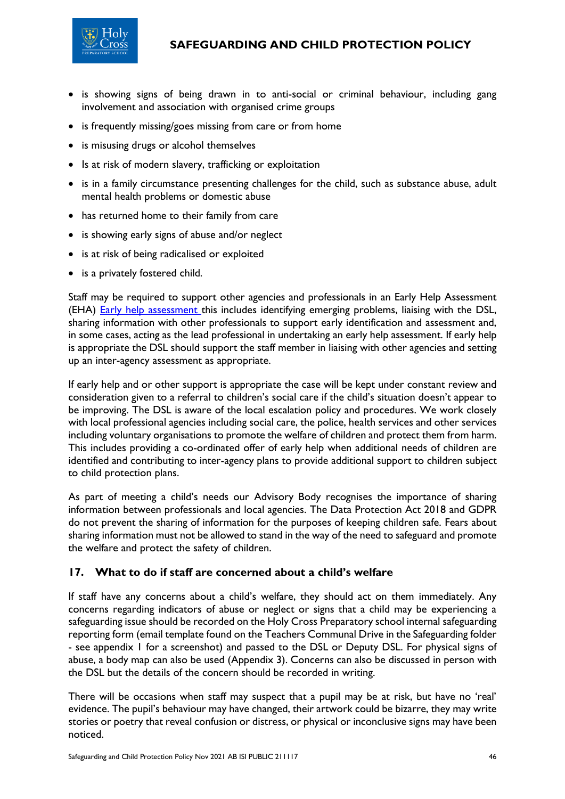

- is showing signs of being drawn in to anti-social or criminal behaviour, including gang involvement and association with organised crime groups
- is frequently missing/goes missing from care or from home
- is misusing drugs or alcohol themselves
- Is at risk of modern slavery, trafficking or exploitation
- is in a family circumstance presenting challenges for the child, such as substance abuse, adult mental health problems or domestic abuse
- has returned home to their family from care
- is showing early signs of abuse and/or neglect
- is at risk of being radicalised or exploited
- is a privately fostered child.

Staff may be required to support other agencies and professionals in an Early Help Assessment (EHA) **Early help assessment** this includes identifying emerging problems, liaising with the DSL, sharing information with other professionals to support early identification and assessment and, in some cases, acting as the lead professional in undertaking an early help assessment. If early help is appropriate the DSL should support the staff member in liaising with other agencies and setting up an inter-agency assessment as appropriate.

If early help and or other support is appropriate the case will be kept under constant review and consideration given to a referral to children's social care if the child's situation doesn't appear to be improving. The DSL is aware of the local escalation policy and procedures. We work closely with local professional agencies including social care, the police, health services and other services including voluntary organisations to promote the welfare of children and protect them from harm. This includes providing a co-ordinated offer of early help when additional needs of children are identified and contributing to inter-agency plans to provide additional support to children subject to child protection plans.

As part of meeting a child's needs our Advisory Body recognises the importance of sharing information between professionals and local agencies. The Data Protection Act 2018 and GDPR do not prevent the sharing of information for the purposes of keeping children safe. Fears about sharing information must not be allowed to stand in the way of the need to safeguard and promote the welfare and protect the safety of children.

#### <span id="page-45-0"></span>**17. What to do if staff are concerned about a child's welfare**

If staff have any concerns about a child's welfare, they should act on them immediately. Any concerns regarding indicators of abuse or neglect or signs that a child may be experiencing a safeguarding issue should be recorded on the Holy Cross Preparatory school internal safeguarding reporting form (email template found on the Teachers Communal Drive in the Safeguarding folder - see appendix 1 for a screenshot) and passed to the DSL or Deputy DSL. For physical signs of abuse, a body map can also be used (Appendix 3). Concerns can also be discussed in person with the DSL but the details of the concern should be recorded in writing.

There will be occasions when staff may suspect that a pupil may be at risk, but have no 'real' evidence. The pupil's behaviour may have changed, their artwork could be bizarre, they may write stories or poetry that reveal confusion or distress, or physical or inconclusive signs may have been noticed.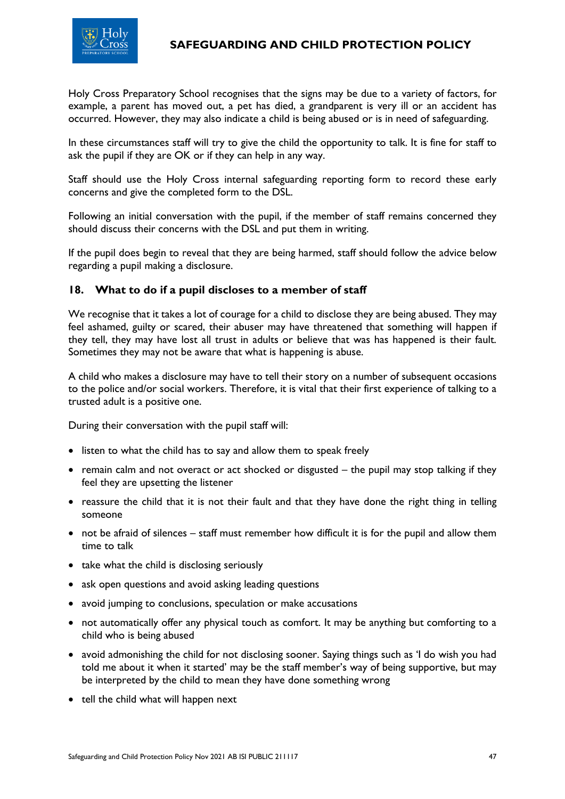

Holy Cross Preparatory School recognises that the signs may be due to a variety of factors, for example, a parent has moved out, a pet has died, a grandparent is very ill or an accident has occurred. However, they may also indicate a child is being abused or is in need of safeguarding.

In these circumstances staff will try to give the child the opportunity to talk. It is fine for staff to ask the pupil if they are OK or if they can help in any way.

Staff should use the Holy Cross internal safeguarding reporting form to record these early concerns and give the completed form to the DSL.

Following an initial conversation with the pupil, if the member of staff remains concerned they should discuss their concerns with the DSL and put them in writing.

If the pupil does begin to reveal that they are being harmed, staff should follow the advice below regarding a pupil making a disclosure.

#### <span id="page-46-0"></span>**18. What to do if a pupil discloses to a member of staff**

We recognise that it takes a lot of courage for a child to disclose they are being abused. They may feel ashamed, guilty or scared, their abuser may have threatened that something will happen if they tell, they may have lost all trust in adults or believe that was has happened is their fault. Sometimes they may not be aware that what is happening is abuse.

A child who makes a disclosure may have to tell their story on a number of subsequent occasions to the police and/or social workers. Therefore, it is vital that their first experience of talking to a trusted adult is a positive one.

During their conversation with the pupil staff will:

- listen to what the child has to say and allow them to speak freely
- remain calm and not overact or act shocked or disgusted the pupil may stop talking if they feel they are upsetting the listener
- reassure the child that it is not their fault and that they have done the right thing in telling someone
- not be afraid of silences staff must remember how difficult it is for the pupil and allow them time to talk
- take what the child is disclosing seriously
- ask open questions and avoid asking leading questions
- avoid jumping to conclusions, speculation or make accusations
- not automatically offer any physical touch as comfort. It may be anything but comforting to a child who is being abused
- avoid admonishing the child for not disclosing sooner. Saying things such as 'I do wish you had told me about it when it started' may be the staff member's way of being supportive, but may be interpreted by the child to mean they have done something wrong
- tell the child what will happen next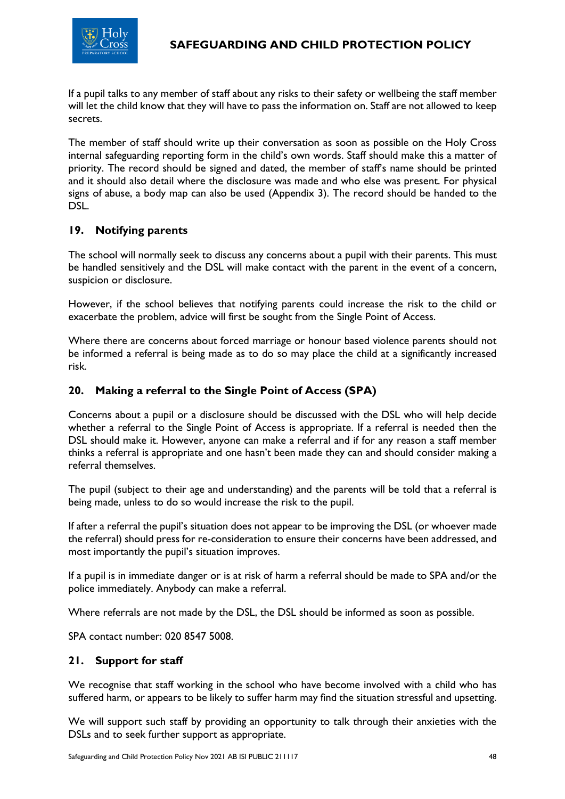

If a pupil talks to any member of staff about any risks to their safety or wellbeing the staff member will let the child know that they will have to pass the information on. Staff are not allowed to keep secrets.

The member of staff should write up their conversation as soon as possible on the Holy Cross internal safeguarding reporting form in the child's own words. Staff should make this a matter of priority. The record should be signed and dated, the member of staff's name should be printed and it should also detail where the disclosure was made and who else was present. For physical signs of abuse, a body map can also be used (Appendix 3). The record should be handed to the DSL.

## <span id="page-47-0"></span>**19. Notifying parents**

The school will normally seek to discuss any concerns about a pupil with their parents. This must be handled sensitively and the DSL will make contact with the parent in the event of a concern, suspicion or disclosure.

However, if the school believes that notifying parents could increase the risk to the child or exacerbate the problem, advice will first be sought from the Single Point of Access.

Where there are concerns about forced marriage or honour based violence parents should not be informed a referral is being made as to do so may place the child at a significantly increased risk.

## <span id="page-47-1"></span>**20. Making a referral to the Single Point of Access (SPA)**

Concerns about a pupil or a disclosure should be discussed with the DSL who will help decide whether a referral to the Single Point of Access is appropriate. If a referral is needed then the DSL should make it. However, anyone can make a referral and if for any reason a staff member thinks a referral is appropriate and one hasn't been made they can and should consider making a referral themselves.

The pupil (subject to their age and understanding) and the parents will be told that a referral is being made, unless to do so would increase the risk to the pupil.

If after a referral the pupil's situation does not appear to be improving the DSL (or whoever made the referral) should press for re-consideration to ensure their concerns have been addressed, and most importantly the pupil's situation improves.

If a pupil is in immediate danger or is at risk of harm a referral should be made to SPA and/or the police immediately. Anybody can make a referral.

Where referrals are not made by the DSL, the DSL should be informed as soon as possible.

SPA contact number: 020 8547 5008.

## <span id="page-47-2"></span>**21. Support for staff**

We recognise that staff working in the school who have become involved with a child who has suffered harm, or appears to be likely to suffer harm may find the situation stressful and upsetting.

We will support such staff by providing an opportunity to talk through their anxieties with the DSLs and to seek further support as appropriate.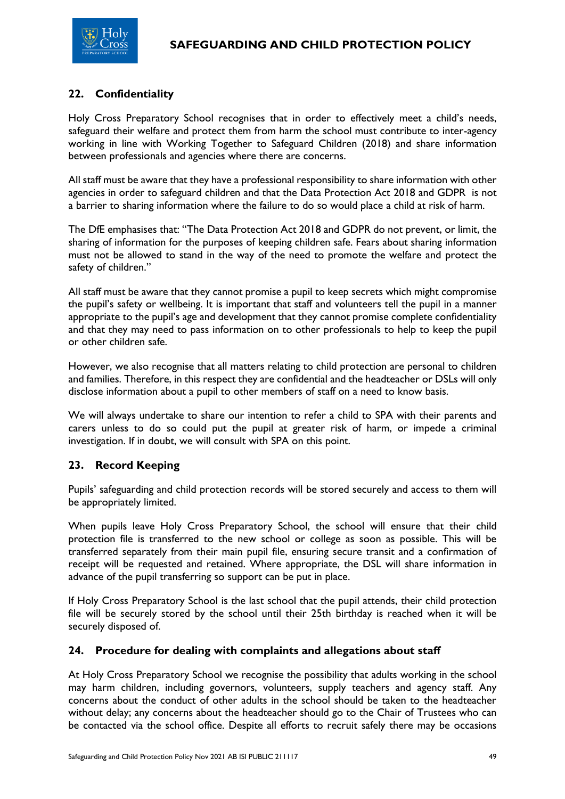## <span id="page-48-0"></span>**22. Confidentiality**

Holy Cross Preparatory School recognises that in order to effectively meet a child's needs, safeguard their welfare and protect them from harm the school must contribute to inter-agency working in line with Working Together to Safeguard Children (2018) and share information between professionals and agencies where there are concerns.

All staff must be aware that they have a professional responsibility to share information with other agencies in order to safeguard children and that the Data Protection Act 2018 and GDPR is not a barrier to sharing information where the failure to do so would place a child at risk of harm.

The DfE emphasises that: "The Data Protection Act 2018 and GDPR do not prevent, or limit, the sharing of information for the purposes of keeping children safe. Fears about sharing information must not be allowed to stand in the way of the need to promote the welfare and protect the safety of children."

All staff must be aware that they cannot promise a pupil to keep secrets which might compromise the pupil's safety or wellbeing. It is important that staff and volunteers tell the pupil in a manner appropriate to the pupil's age and development that they cannot promise complete confidentiality and that they may need to pass information on to other professionals to help to keep the pupil or other children safe.

However, we also recognise that all matters relating to child protection are personal to children and families. Therefore, in this respect they are confidential and the headteacher or DSLs will only disclose information about a pupil to other members of staff on a need to know basis.

We will always undertake to share our intention to refer a child to SPA with their parents and carers unless to do so could put the pupil at greater risk of harm, or impede a criminal investigation. If in doubt, we will consult with SPA on this point.

## <span id="page-48-1"></span>**23. Record Keeping**

Pupils' safeguarding and child protection records will be stored securely and access to them will be appropriately limited.

When pupils leave Holy Cross Preparatory School, the school will ensure that their child protection file is transferred to the new school or college as soon as possible. This will be transferred separately from their main pupil file, ensuring secure transit and a confirmation of receipt will be requested and retained. Where appropriate, the DSL will share information in advance of the pupil transferring so support can be put in place.

If Holy Cross Preparatory School is the last school that the pupil attends, their child protection file will be securely stored by the school until their 25th birthday is reached when it will be securely disposed of.

## <span id="page-48-2"></span>**24. Procedure for dealing with complaints and allegations about staff**

At Holy Cross Preparatory School we recognise the possibility that adults working in the school may harm children, including governors, volunteers, supply teachers and agency staff. Any concerns about the conduct of other adults in the school should be taken to the headteacher without delay; any concerns about the headteacher should go to the Chair of Trustees who can be contacted via the school office. Despite all efforts to recruit safely there may be occasions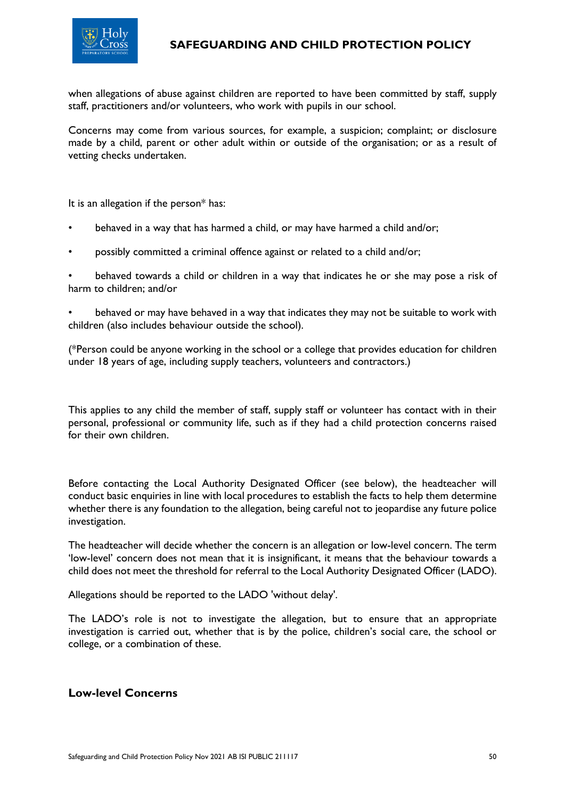

when allegations of abuse against children are reported to have been committed by staff, supply staff, practitioners and/or volunteers, who work with pupils in our school.

Concerns may come from various sources, for example, a suspicion; complaint; or disclosure made by a child, parent or other adult within or outside of the organisation; or as a result of vetting checks undertaken.

It is an allegation if the person\* has:

- behaved in a way that has harmed a child, or may have harmed a child and/or;
- possibly committed a criminal offence against or related to a child and/or;

• behaved towards a child or children in a way that indicates he or she may pose a risk of harm to children; and/or

• behaved or may have behaved in a way that indicates they may not be suitable to work with children (also includes behaviour outside the school).

(\*Person could be anyone working in the school or a college that provides education for children under 18 years of age, including supply teachers, volunteers and contractors.)

This applies to any child the member of staff, supply staff or volunteer has contact with in their personal, professional or community life, such as if they had a child protection concerns raised for their own children.

Before contacting the Local Authority Designated Officer (see below), the headteacher will conduct basic enquiries in line with local procedures to establish the facts to help them determine whether there is any foundation to the allegation, being careful not to jeopardise any future police investigation.

The headteacher will decide whether the concern is an allegation or low-level concern. The term 'low-level' concern does not mean that it is insignificant, it means that the behaviour towards a child does not meet the threshold for referral to the Local Authority Designated Officer (LADO).

Allegations should be reported to the LADO 'without delay'.

The LADO's role is not to investigate the allegation, but to ensure that an appropriate investigation is carried out, whether that is by the police, children's social care, the school or college, or a combination of these.

## **Low-level Concerns**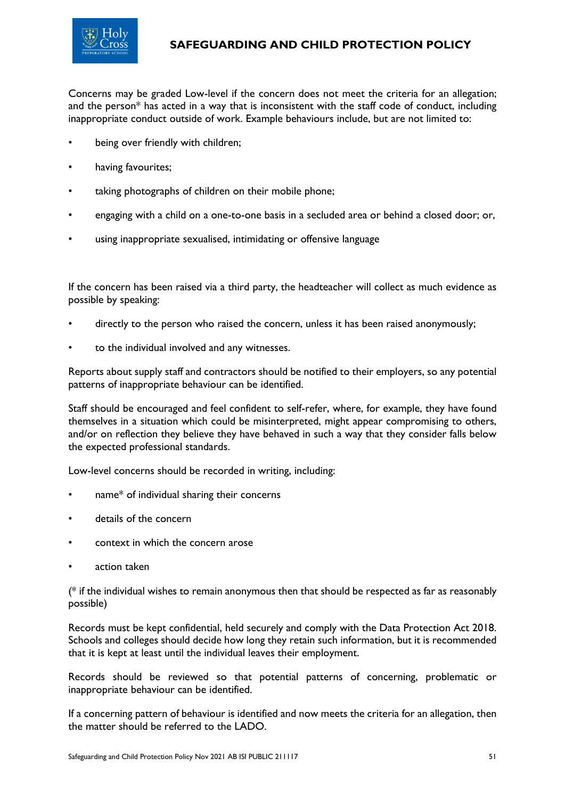

Concerns may be graded Low-level if the concern does not meet the criteria for an allegation; and the person\* has acted in a way that is inconsistent with the staff code of conduct, including inappropriate conduct outside of work. Example behaviours include, but are not limited to:

- being over friendly with children;
- having favourites;
- taking photographs of children on their mobile phone;
- engaging with a child on a one-to-one basis in a secluded area or behind a closed door; or,
- using inappropriate sexualised, intimidating or offensive language

If the concern has been raised via a third party, the headteacher will collect as much evidence as possible by speaking:

- directly to the person who raised the concern, unless it has been raised anonymously;
- to the individual involved and any witnesses.

Reports about supply staff and contractors should be notified to their employers, so any potential patterns of inappropriate behaviour can be identified.

Staff should be encouraged and feel confident to self-refer, where, for example, they have found themselves in a situation which could be misinterpreted, might appear compromising to others, and/or on reflection they believe they have behaved in such a way that they consider falls below the expected professional standards.

Low-level concerns should be recorded in writing, including:

- name\* of individual sharing their concerns
- details of the concern
- context in which the concern arose
- action taken

(\* if the individual wishes to remain anonymous then that should be respected as far as reasonably possible)

Records must be kept confidential, held securely and comply with the Data Protection Act 2018. Schools and colleges should decide how long they retain such information, but it is recommended that it is kept at least until the individual leaves their employment.

Records should be reviewed so that potential patterns of concerning, problematic or inappropriate behaviour can be identified.

If a concerning pattern of behaviour is identified and now meets the criteria for an allegation, then the matter should be referred to the LADO.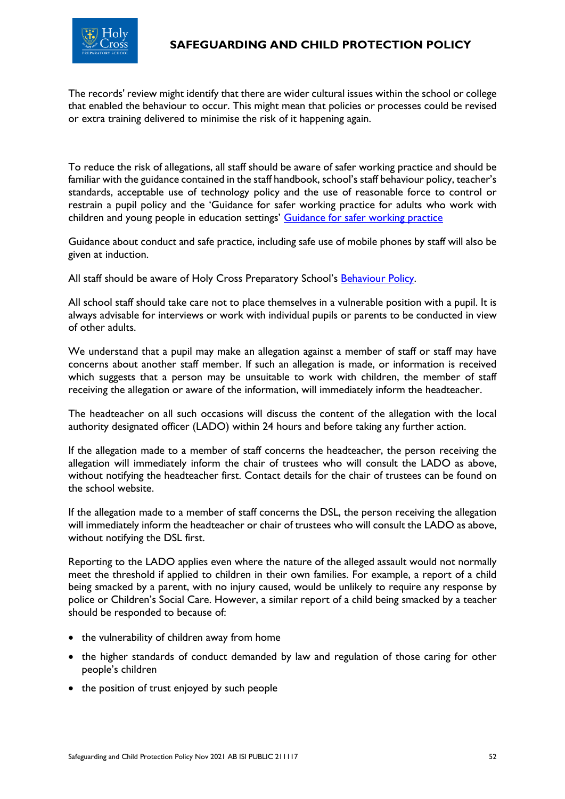

The records' review might identify that there are wider cultural issues within the school or college that enabled the behaviour to occur. This might mean that policies or processes could be revised or extra training delivered to minimise the risk of it happening again.

To reduce the risk of allegations, all staff should be aware of safer working practice and should be familiar with the guidance contained in the staff handbook, school's staff behaviour policy, teacher's standards, acceptable use of technology policy and the use of reasonable force to control or restrain a pupil policy and the 'Guidance for safer working practice for adults who work with children and young people in education settings' [Guidance for safer working practice](https://www.safeguardinginschools.co.uk/wp-content/uploads/2015/10/Guidance-for-Safer-Working-Practices-2015-final1.pdf)

Guidance about conduct and safe practice, including safe use of mobile phones by staff will also be given at induction.

All staff should be aware of Holy Cross Preparatory School's [Behaviour Policy.](file://///HCNET.AD/HCP/Share_Policies/Behaviour%20Policy%20inc%20EYFS%20and%20Exclusions.pdf)

All school staff should take care not to place themselves in a vulnerable position with a pupil. It is always advisable for interviews or work with individual pupils or parents to be conducted in view of other adults.

We understand that a pupil may make an allegation against a member of staff or staff may have concerns about another staff member. If such an allegation is made, or information is received which suggests that a person may be unsuitable to work with children, the member of staff receiving the allegation or aware of the information, will immediately inform the headteacher.

The headteacher on all such occasions will discuss the content of the allegation with the local authority designated officer (LADO) within 24 hours and before taking any further action.

If the allegation made to a member of staff concerns the headteacher, the person receiving the allegation will immediately inform the chair of trustees who will consult the LADO as above, without notifying the headteacher first. Contact details for the chair of trustees can be found on the school website.

If the allegation made to a member of staff concerns the DSL, the person receiving the allegation will immediately inform the headteacher or chair of trustees who will consult the LADO as above, without notifying the DSL first.

Reporting to the LADO applies even where the nature of the alleged assault would not normally meet the threshold if applied to children in their own families. For example, a report of a child being smacked by a parent, with no injury caused, would be unlikely to require any response by police or Children's Social Care. However, a similar report of a child being smacked by a teacher should be responded to because of:

- the vulnerability of children away from home
- the higher standards of conduct demanded by law and regulation of those caring for other people's children
- the position of trust enjoyed by such people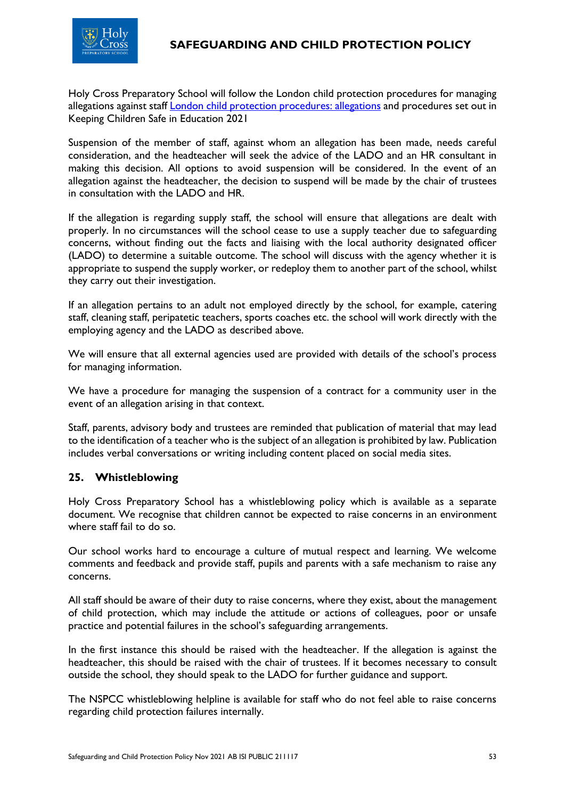

Holy Cross Preparatory School will follow the London child protection procedures for managing allegations against staff [London child protection procedures: allegations](http://www.londoncp.co.uk/chapters/alleg_staff.html) and procedures set out in Keeping Children Safe in Education 2021

Suspension of the member of staff, against whom an allegation has been made, needs careful consideration, and the headteacher will seek the advice of the LADO and an HR consultant in making this decision. All options to avoid suspension will be considered. In the event of an allegation against the headteacher, the decision to suspend will be made by the chair of trustees in consultation with the LADO and HR.

If the allegation is regarding supply staff, the school will ensure that allegations are dealt with properly. In no circumstances will the school cease to use a supply teacher due to safeguarding concerns, without finding out the facts and liaising with the local authority designated officer (LADO) to determine a suitable outcome. The school will discuss with the agency whether it is appropriate to suspend the supply worker, or redeploy them to another part of the school, whilst they carry out their investigation.

If an allegation pertains to an adult not employed directly by the school, for example, catering staff, cleaning staff, peripatetic teachers, sports coaches etc. the school will work directly with the employing agency and the LADO as described above.

We will ensure that all external agencies used are provided with details of the school's process for managing information.

We have a procedure for managing the suspension of a contract for a community user in the event of an allegation arising in that context.

Staff, parents, advisory body and trustees are reminded that publication of material that may lead to the identification of a teacher who is the subject of an allegation is prohibited by law. Publication includes verbal conversations or writing including content placed on social media sites.

## <span id="page-52-0"></span>**25. Whistleblowing**

Holy Cross Preparatory School has a whistleblowing policy which is available as a separate document. We recognise that children cannot be expected to raise concerns in an environment where staff fail to do so.

Our school works hard to encourage a culture of mutual respect and learning. We welcome comments and feedback and provide staff, pupils and parents with a safe mechanism to raise any concerns.

All staff should be aware of their duty to raise concerns, where they exist, about the management of child protection, which may include the attitude or actions of colleagues, poor or unsafe practice and potential failures in the school's safeguarding arrangements.

In the first instance this should be raised with the headteacher. If the allegation is against the headteacher, this should be raised with the chair of trustees. If it becomes necessary to consult outside the school, they should speak to the LADO for further guidance and support.

The NSPCC whistleblowing helpline is available for staff who do not feel able to raise concerns regarding child protection failures internally.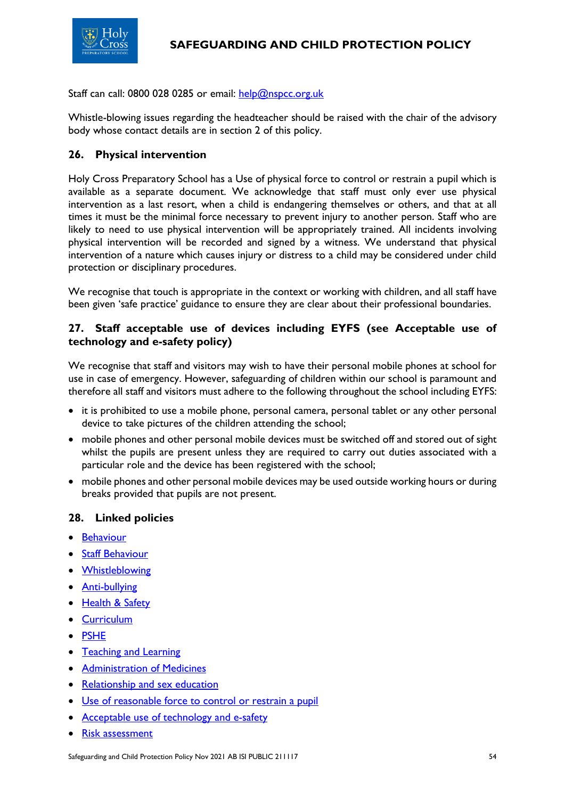

#### Staff can call: 0800 028 0285 or email: [help@nspcc.org.uk](file://///richmond/data/Childrens%20Services%20&%20Culture/CDSI/PPC%20-%20Comms/3223%20Model%20Safeguarding%20Policy/help@nspcc.org.uk)

Whistle-blowing issues regarding the headteacher should be raised with the chair of the advisory body whose contact details are in section 2 of this policy.

#### <span id="page-53-0"></span>**26. Physical intervention**

Holy Cross Preparatory School has a Use of physical force to control or restrain a pupil which is available as a separate document. We acknowledge that staff must only ever use physical intervention as a last resort, when a child is endangering themselves or others, and that at all times it must be the minimal force necessary to prevent injury to another person. Staff who are likely to need to use physical intervention will be appropriately trained. All incidents involving physical intervention will be recorded and signed by a witness. We understand that physical intervention of a nature which causes injury or distress to a child may be considered under child protection or disciplinary procedures.

We recognise that touch is appropriate in the context or working with children, and all staff have been given 'safe practice' guidance to ensure they are clear about their professional boundaries.

### <span id="page-53-1"></span>**27. Staff acceptable use of devices including EYFS (see Acceptable use of technology and e-safety policy)**

We recognise that staff and visitors may wish to have their personal mobile phones at school for use in case of emergency. However, safeguarding of children within our school is paramount and therefore all staff and visitors must adhere to the following throughout the school including EYFS:

- it is prohibited to use a mobile phone, personal camera, personal tablet or any other personal device to take pictures of the children attending the school;
- mobile phones and other personal mobile devices must be switched off and stored out of sight whilst the pupils are present unless they are required to carry out duties associated with a particular role and the device has been registered with the school;
- mobile phones and other personal mobile devices may be used outside working hours or during breaks provided that pupils are not present.

#### <span id="page-53-2"></span>**28. Linked policies**

- [Behaviour](file://///HCNET.AD/HCP/Share_Policies/Behaviour%20Policy%20inc%20EYFS%20and%20Exclusions.pdf)
- [Staff Behaviour](file://///HCNET.AD/HCP/Share_Policies/Staff%20Behaviour%20Policy.pdf)
- [Whistleblowing](file://///HCNET.AD/HCP/Share_Policies/Whistleblowing%20Policy.pdf)
- [Anti-bullying](file://///HCNET.AD/HCP/Share_Policies/Anti-Bullying%20Policy.pdf)
- [Health & Safety](file://///HCNET.AD/HCP/Share_Policies/Health%20&%20Safety%20Policy.pdf)
- [Curriculum](file://///HCNET.AD/HCP/Share_Policies/Curriculum%20Policy.pdf)
- [PSHE](file://///HCNET.AD/HCP/Share_Policies/Curriculum%20-%20PSHE%20Education%20Policy%20inc%20EYFS.pdf)
- [Teaching and Learning](file://///HCNET.AD/HCP/Share_Policies/Teaching%20and%20Learning%20Policy.pdf)
- [Administration of Medicines](file://///HCNET.AD/HCP/Share_Policies/Administration%20of%20Medicines%20Policy%20inc%20EYFS.pdf)
- [Relationship and sex education](file://///HCNET.AD/HCP/Share_Policies/Sex%20Education%20Policy.pdf)
- [Use of reasonable force to control or restrain a pupil](file://///HCNET.AD/HCP/Share_Policies/Use%20of%20Reasonable%20Force%20to%20Control%20or%20Restrain%20a%20Pupil%20Policy.pdf)
- [Acceptable use of technology and e-safety](file://///HCNET.AD/HCP/Share_Policies/Acceptable%20Use%20of%20Technology%20and%20e-Safety%20Policy.pdf)
- [Risk assessment](file://///HCNET.AD/HCP/Share_Policies/Risk%20Assessment%20Policy.pdf)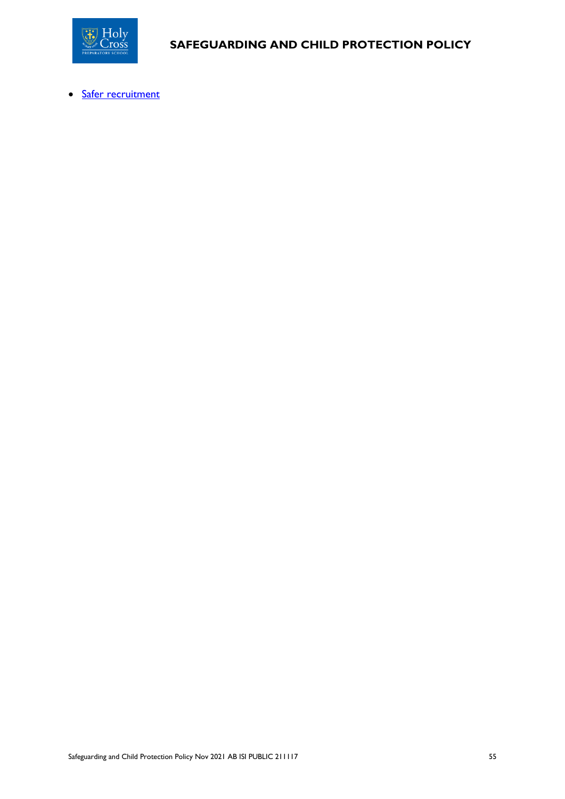

• **[Safer recruitment](file://///HCNET.AD/HCP/Share_Policies/Safer%20Recruitment%20Policy.pdf)**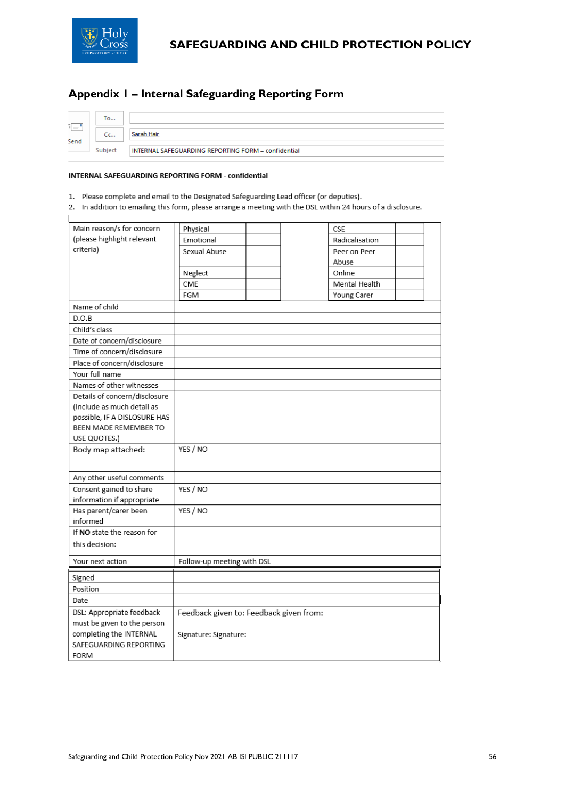

 $To...$ 

 $C_{\mathsf{C},\alpha}$ Subject

## <span id="page-55-0"></span>**Appendix 1 – Internal Safeguarding Reporting Form**

 $\overline{1}$ 

Sarah Hair INTERNAL SAFEGUARDING REPORTING FORM - confidential

#### INTERNAL SAFEGUARDING REPORTING FORM - confidential

- 1. Please complete and email to the Designated Safeguarding Lead officer (or deputies).
- 2. In addition to emailing this form, please arrange a meeting with the DSL within 24 hours of a disclosure.

| Main reason/s for concern     | Physical                                |  | <b>CSE</b>     |  |
|-------------------------------|-----------------------------------------|--|----------------|--|
| (please highlight relevant    | Emotional                               |  | Radicalisation |  |
| criteria)                     | Sexual Abuse                            |  | Peer on Peer   |  |
|                               |                                         |  | Abuse          |  |
|                               | Neglect                                 |  | Online         |  |
|                               | CME                                     |  | Mental Health  |  |
|                               | FGM                                     |  | Young Carer    |  |
| Name of child                 |                                         |  |                |  |
| D.O.B                         |                                         |  |                |  |
| Child's class                 |                                         |  |                |  |
| Date of concern/disclosure    |                                         |  |                |  |
| Time of concern/disclosure    |                                         |  |                |  |
| Place of concern/disclosure   |                                         |  |                |  |
| Your full name                |                                         |  |                |  |
| Names of other witnesses      |                                         |  |                |  |
| Details of concern/disclosure |                                         |  |                |  |
| (Include as much detail as    |                                         |  |                |  |
| possible, IF A DISLOSURE HAS  |                                         |  |                |  |
| BEEN MADE REMEMBER TO         |                                         |  |                |  |
| USE QUOTES.)                  |                                         |  |                |  |
| Body map attached:            | YES / NO                                |  |                |  |
|                               |                                         |  |                |  |
| Any other useful comments     |                                         |  |                |  |
| Consent gained to share       | YES / NO                                |  |                |  |
| information if appropriate    |                                         |  |                |  |
| Has parent/carer been         | YES / NO                                |  |                |  |
| informed                      |                                         |  |                |  |
| If NO state the reason for    |                                         |  |                |  |
| this decision:                |                                         |  |                |  |
| Your next action              | Follow-up meeting with DSL              |  |                |  |
| Signed                        |                                         |  |                |  |
| Position                      |                                         |  |                |  |
| Date                          |                                         |  |                |  |
| DSL: Appropriate feedback     | Feedback given to: Feedback given from: |  |                |  |
| must be given to the person   |                                         |  |                |  |
| completing the INTERNAL       | Signature: Signature:                   |  |                |  |
| SAFEGUARDING REPORTING        |                                         |  |                |  |
| FORM                          |                                         |  |                |  |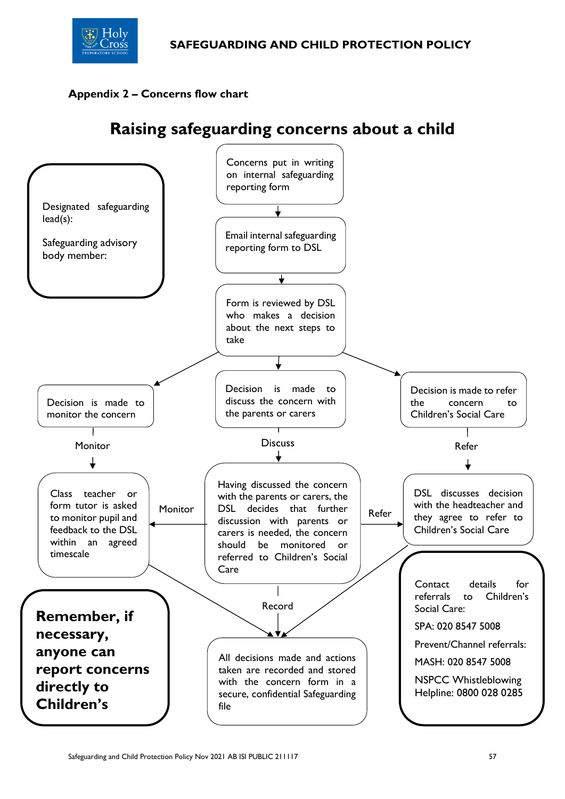

# <span id="page-56-0"></span>**Appendix 2 – Concerns flow chart**

# **Raising safeguarding concerns about a child**

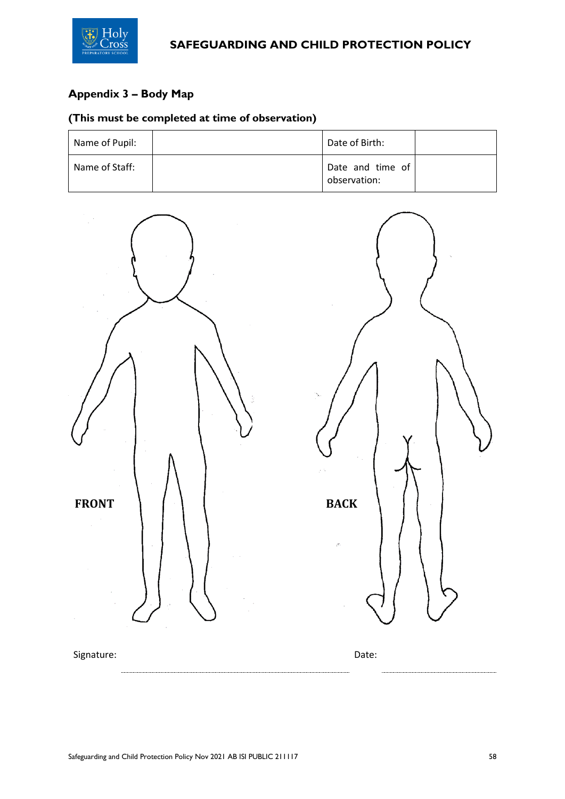

# <span id="page-57-0"></span>**Appendix 3 – Body Map**

## **(This must be completed at time of observation)**

| Name of Pupil: | Date of Birth:                   |  |
|----------------|----------------------------------|--|
| Name of Staff: | Date and time of<br>observation: |  |

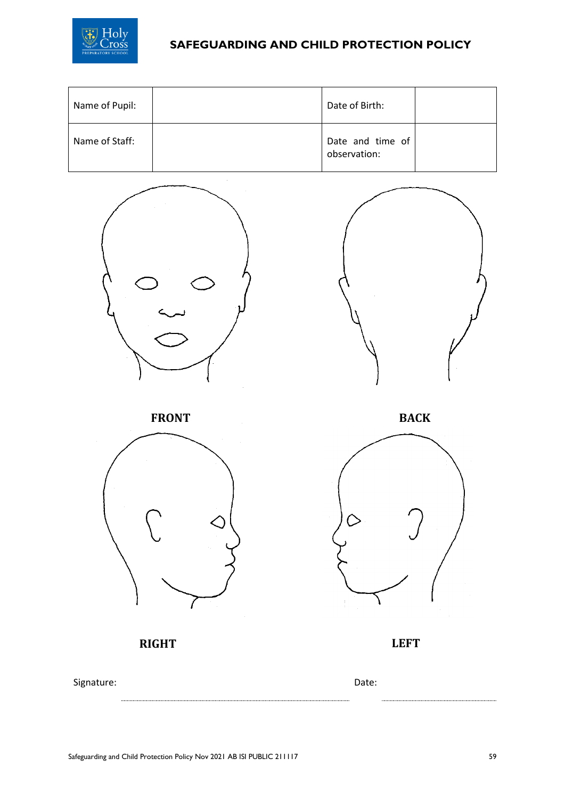







**FRONT**



**BACK**



**RIGHT LEFT**

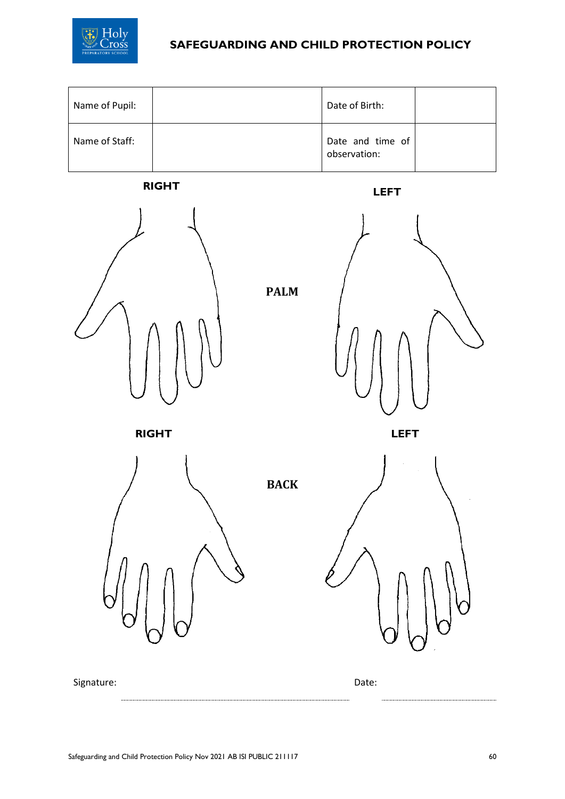





Safeguarding and Child Protection Policy Nov 2021 AB ISI PUBLIC 211117

Signature: Date: Date: Date: Date: Date: Date: Date: Date: Date: Date: Date: Date: Date: Date: Date: Date: Date: Date: Date: Date: Date: Date: Date: Date: Date: Date: Date: Date: Date: Date: Date: Date: Date: Date: Date: D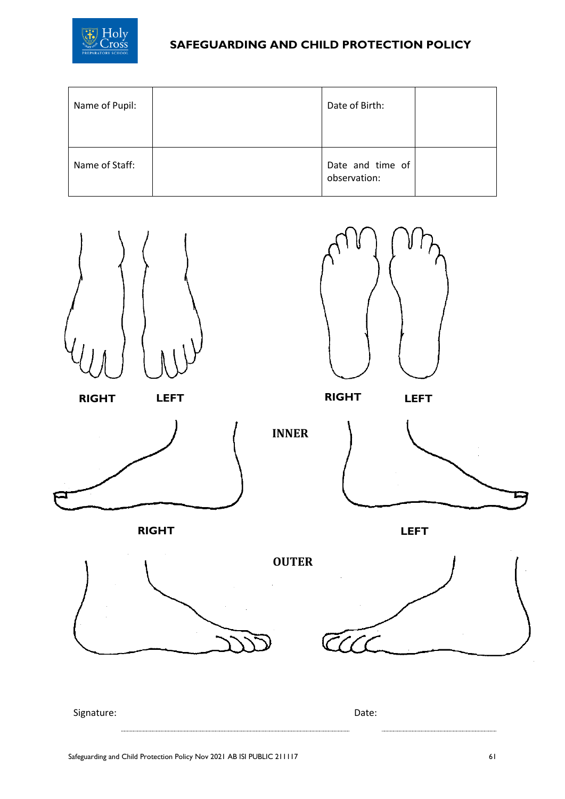

| Name of Pupil: | Date of Birth:                   |  |
|----------------|----------------------------------|--|
| Name of Staff: | Date and time of<br>observation: |  |

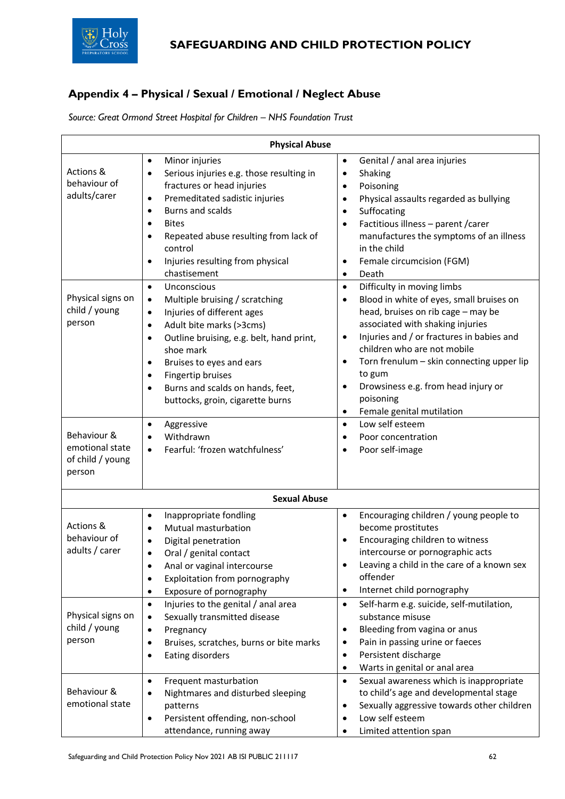

# <span id="page-61-0"></span>**Appendix 4 – Physical / Sexual / Emotional / Neglect Abuse**

*Source: Great Ormond Street Hospital for Children – NHS Foundation Trust*

| <b>Physical Abuse</b>                                                                                                                           |                                                                                                                                                                                                                                                                                                                                                                                                                                                                                                                                                                                                                                                                                                                                                                                                                                  |                                                                                                                                                                                                                                                                                                                                                                                                                                                                                                                                                                                                                                                                                                                                                                                                                                                                   |  |
|-------------------------------------------------------------------------------------------------------------------------------------------------|----------------------------------------------------------------------------------------------------------------------------------------------------------------------------------------------------------------------------------------------------------------------------------------------------------------------------------------------------------------------------------------------------------------------------------------------------------------------------------------------------------------------------------------------------------------------------------------------------------------------------------------------------------------------------------------------------------------------------------------------------------------------------------------------------------------------------------|-------------------------------------------------------------------------------------------------------------------------------------------------------------------------------------------------------------------------------------------------------------------------------------------------------------------------------------------------------------------------------------------------------------------------------------------------------------------------------------------------------------------------------------------------------------------------------------------------------------------------------------------------------------------------------------------------------------------------------------------------------------------------------------------------------------------------------------------------------------------|--|
| Actions &<br>behaviour of<br>adults/carer<br>Physical signs on<br>child / young<br>person<br>Behaviour &<br>emotional state<br>of child / young | Minor injuries<br>$\bullet$<br>Serious injuries e.g. those resulting in<br>$\bullet$<br>fractures or head injuries<br>Premeditated sadistic injuries<br>$\bullet$<br>Burns and scalds<br>$\bullet$<br><b>Bites</b><br>$\bullet$<br>Repeated abuse resulting from lack of<br>$\bullet$<br>control<br>Injuries resulting from physical<br>$\bullet$<br>chastisement<br>Unconscious<br>$\bullet$<br>Multiple bruising / scratching<br>$\bullet$<br>Injuries of different ages<br>$\bullet$<br>Adult bite marks (>3cms)<br>$\bullet$<br>Outline bruising, e.g. belt, hand print,<br>$\bullet$<br>shoe mark<br>Bruises to eyes and ears<br>٠<br>Fingertip bruises<br>٠<br>Burns and scalds on hands, feet,<br>$\bullet$<br>buttocks, groin, cigarette burns<br>Aggressive<br>$\bullet$<br>Withdrawn<br>Fearful: 'frozen watchfulness' | Genital / anal area injuries<br>$\bullet$<br>Shaking<br>٠<br>Poisoning<br>٠<br>Physical assaults regarded as bullying<br>$\bullet$<br>Suffocating<br>$\bullet$<br>Factitious illness - parent / carer<br>$\bullet$<br>manufactures the symptoms of an illness<br>in the child<br>Female circumcision (FGM)<br>$\bullet$<br>Death<br>$\bullet$<br>Difficulty in moving limbs<br>$\bullet$<br>Blood in white of eyes, small bruises on<br>٠<br>head, bruises on rib cage - may be<br>associated with shaking injuries<br>Injuries and / or fractures in babies and<br>$\bullet$<br>children who are not mobile<br>Torn frenulum - skin connecting upper lip<br>٠<br>to gum<br>Drowsiness e.g. from head injury or<br>$\bullet$<br>poisoning<br>Female genital mutilation<br>$\bullet$<br>Low self esteem<br>$\bullet$<br>Poor concentration<br>٠<br>Poor self-image |  |
| person                                                                                                                                          |                                                                                                                                                                                                                                                                                                                                                                                                                                                                                                                                                                                                                                                                                                                                                                                                                                  |                                                                                                                                                                                                                                                                                                                                                                                                                                                                                                                                                                                                                                                                                                                                                                                                                                                                   |  |
|                                                                                                                                                 | <b>Sexual Abuse</b>                                                                                                                                                                                                                                                                                                                                                                                                                                                                                                                                                                                                                                                                                                                                                                                                              |                                                                                                                                                                                                                                                                                                                                                                                                                                                                                                                                                                                                                                                                                                                                                                                                                                                                   |  |
| Actions &<br>behaviour of<br>adults / carer                                                                                                     | Inappropriate fondling<br>$\bullet$<br>Mutual masturbation<br>Digital penetration<br>Oral / genital contact<br>$\bullet$<br>Anal or vaginal intercourse<br>Exploitation from pornography<br>Exposure of pornography<br>٠                                                                                                                                                                                                                                                                                                                                                                                                                                                                                                                                                                                                         | Encouraging children / young people to<br>$\bullet$<br>become prostitutes<br>Encouraging children to witness<br>$\bullet$<br>intercourse or pornographic acts<br>Leaving a child in the care of a known sex<br>٠<br>offender<br>Internet child pornography<br>$\bullet$                                                                                                                                                                                                                                                                                                                                                                                                                                                                                                                                                                                           |  |
| Physical signs on<br>child / young<br>person                                                                                                    | Injuries to the genital / anal area<br>$\bullet$<br>Sexually transmitted disease<br>$\bullet$<br>Pregnancy<br>$\bullet$<br>Bruises, scratches, burns or bite marks<br>$\bullet$<br>Eating disorders<br>$\bullet$                                                                                                                                                                                                                                                                                                                                                                                                                                                                                                                                                                                                                 | Self-harm e.g. suicide, self-mutilation,<br>$\bullet$<br>substance misuse<br>Bleeding from vagina or anus<br>$\bullet$<br>Pain in passing urine or faeces<br>٠<br>Persistent discharge<br>٠<br>Warts in genital or anal area<br>$\bullet$                                                                                                                                                                                                                                                                                                                                                                                                                                                                                                                                                                                                                         |  |
| Behaviour &<br>emotional state                                                                                                                  | Frequent masturbation<br>$\bullet$<br>Nightmares and disturbed sleeping<br>patterns<br>Persistent offending, non-school<br>$\bullet$<br>attendance, running away                                                                                                                                                                                                                                                                                                                                                                                                                                                                                                                                                                                                                                                                 | Sexual awareness which is inappropriate<br>$\bullet$<br>to child's age and developmental stage<br>Sexually aggressive towards other children<br>$\bullet$<br>Low self esteem<br>$\bullet$<br>Limited attention span<br>٠                                                                                                                                                                                                                                                                                                                                                                                                                                                                                                                                                                                                                                          |  |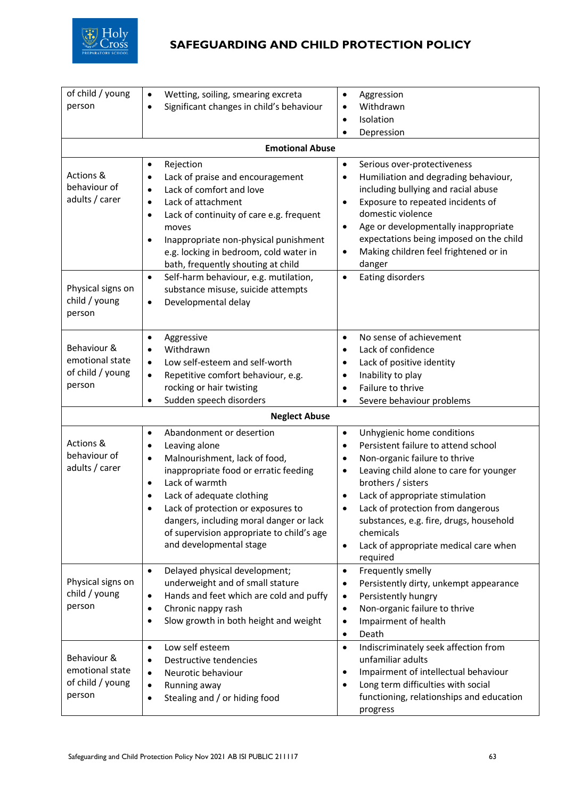

| of child / young<br>person                                   | Wetting, soiling, smearing excreta<br>$\bullet$<br>Significant changes in child's behaviour<br>$\bullet$                                                                                                                                                                                                                                                                        | Aggression<br>$\bullet$<br>Withdrawn<br>$\bullet$<br>Isolation<br>$\bullet$                                                                                                                                                                                                                                                                                                                                                    |
|--------------------------------------------------------------|---------------------------------------------------------------------------------------------------------------------------------------------------------------------------------------------------------------------------------------------------------------------------------------------------------------------------------------------------------------------------------|--------------------------------------------------------------------------------------------------------------------------------------------------------------------------------------------------------------------------------------------------------------------------------------------------------------------------------------------------------------------------------------------------------------------------------|
|                                                              |                                                                                                                                                                                                                                                                                                                                                                                 | Depression<br>٠                                                                                                                                                                                                                                                                                                                                                                                                                |
|                                                              | <b>Emotional Abuse</b>                                                                                                                                                                                                                                                                                                                                                          |                                                                                                                                                                                                                                                                                                                                                                                                                                |
| Actions &<br>behaviour of<br>adults / carer                  | Rejection<br>$\bullet$<br>Lack of praise and encouragement<br>$\bullet$<br>Lack of comfort and love<br>$\bullet$<br>Lack of attachment<br>$\bullet$<br>Lack of continuity of care e.g. frequent<br>$\bullet$<br>moves<br>Inappropriate non-physical punishment<br>٠<br>e.g. locking in bedroom, cold water in<br>bath, frequently shouting at child                             | Serious over-protectiveness<br>$\bullet$<br>Humiliation and degrading behaviour,<br>$\bullet$<br>including bullying and racial abuse<br>Exposure to repeated incidents of<br>$\bullet$<br>domestic violence<br>Age or developmentally inappropriate<br>٠<br>expectations being imposed on the child<br>Making children feel frightened or in<br>$\bullet$<br>danger                                                            |
| Physical signs on<br>child / young<br>person                 | Self-harm behaviour, e.g. mutilation,<br>$\bullet$<br>substance misuse, suicide attempts<br>Developmental delay<br>$\bullet$                                                                                                                                                                                                                                                    | Eating disorders<br>$\bullet$                                                                                                                                                                                                                                                                                                                                                                                                  |
| Behaviour &<br>emotional state<br>of child / young<br>person | Aggressive<br>$\bullet$<br>Withdrawn<br>$\bullet$<br>Low self-esteem and self-worth<br>$\bullet$<br>Repetitive comfort behaviour, e.g.<br>$\bullet$<br>rocking or hair twisting<br>Sudden speech disorders<br>$\bullet$                                                                                                                                                         | No sense of achievement<br>$\bullet$<br>Lack of confidence<br>$\bullet$<br>Lack of positive identity<br>٠<br>Inability to play<br>$\bullet$<br>Failure to thrive<br>$\bullet$<br>Severe behaviour problems<br>$\bullet$                                                                                                                                                                                                        |
|                                                              | <b>Neglect Abuse</b>                                                                                                                                                                                                                                                                                                                                                            |                                                                                                                                                                                                                                                                                                                                                                                                                                |
| Actions &<br>behaviour of<br>adults / carer                  | Abandonment or desertion<br>$\bullet$<br>Leaving alone<br>$\bullet$<br>Malnourishment, lack of food,<br>$\bullet$<br>inappropriate food or erratic feeding<br>Lack of warmth<br>$\bullet$<br>Lack of adequate clothing<br>Lack of protection or exposures to<br>dangers, including moral danger or lack<br>of supervision appropriate to child's age<br>and developmental stage | Unhygienic home conditions<br>$\bullet$<br>Persistent failure to attend school<br>$\bullet$<br>Non-organic failure to thrive<br>$\bullet$<br>Leaving child alone to care for younger<br>٠<br>brothers / sisters<br>Lack of appropriate stimulation<br>$\bullet$<br>Lack of protection from dangerous<br>substances, e.g. fire, drugs, household<br>chemicals<br>Lack of appropriate medical care when<br>$\bullet$<br>required |
| Physical signs on<br>child / young<br>person                 | Delayed physical development;<br>$\bullet$<br>underweight and of small stature<br>Hands and feet which are cold and puffy<br>$\bullet$<br>Chronic nappy rash<br>$\bullet$<br>Slow growth in both height and weight<br>$\bullet$                                                                                                                                                 | Frequently smelly<br>$\bullet$<br>Persistently dirty, unkempt appearance<br>$\bullet$<br>Persistently hungry<br>$\bullet$<br>Non-organic failure to thrive<br>$\bullet$<br>Impairment of health<br>٠<br>Death<br>$\bullet$                                                                                                                                                                                                     |
| Behaviour &<br>emotional state<br>of child / young<br>person | Low self esteem<br>$\bullet$<br>Destructive tendencies<br>$\bullet$<br>Neurotic behaviour<br>$\bullet$<br>Running away<br>$\bullet$<br>Stealing and / or hiding food<br>$\bullet$                                                                                                                                                                                               | Indiscriminately seek affection from<br>$\bullet$<br>unfamiliar adults<br>Impairment of intellectual behaviour<br>$\bullet$<br>Long term difficulties with social<br>$\bullet$<br>functioning, relationships and education<br>progress                                                                                                                                                                                         |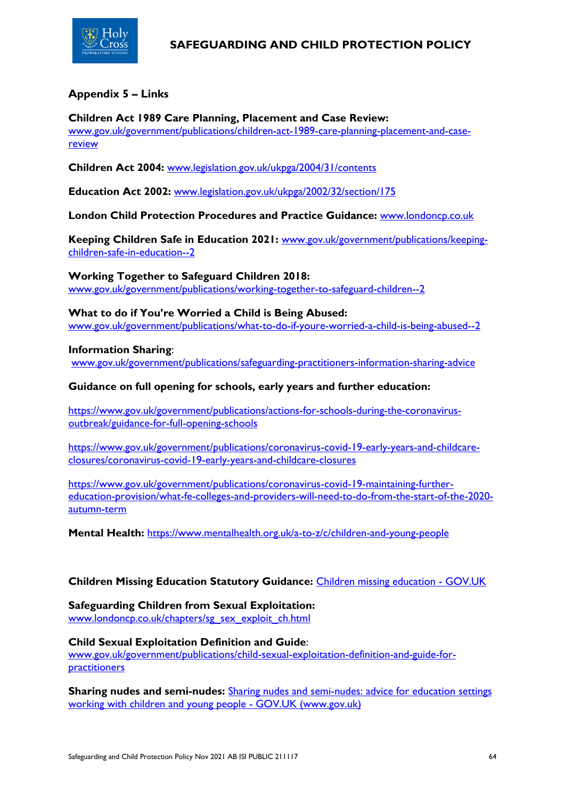

## <span id="page-63-0"></span>**Appendix 5 – Links**

**Children Act 1989 Care Planning, Placement and Case Review:** [www.gov.uk/government/publications/children-act-1989-care-planning-placement-and-case](http://www.gov.uk/government/publications/children-act-1989-care-planning-placement-and-case-review)[review](http://www.gov.uk/government/publications/children-act-1989-care-planning-placement-and-case-review)

**Children Act 2004:** [www.legislation.gov.uk/ukpga/2004/31/contents](http://www.legislation.gov.uk/ukpga/2004/31/contents)

**Education Act 2002:** [www.legislation.gov.uk/ukpga/2002/32/section/175](http://www.legislation.gov.uk/ukpga/2002/32/section/175)

**London Child Protection Procedures and Practice Guidance:** [www.londoncp.co.uk](http://www.londoncp.co.uk/)

**Keeping Children Safe in Education 2021:** [www.gov.uk/government/publications/keeping](http://www.gov.uk/government/publications/keeping-children-safe-in-education--2)[children-safe-in-education--2](http://www.gov.uk/government/publications/keeping-children-safe-in-education--2) 

**Working Together to Safeguard Children 2018:**  [www.gov.uk/government/publications/working-together-to-safeguard-children--2](http://www.gov.uk/government/publications/working-together-to-safeguard-children--2)

**What to do if You're Worried a Child is Being Abused:**  [www.gov.uk/government/publications/what-to-do-if-youre-worried-a-child-is-being-abused--2](http://www.gov.uk/government/publications/what-to-do-if-youre-worried-a-child-is-being-abused--2)

**Information Sharing**: [www.gov.uk/government/publications/safeguarding-practitioners-information-sharing-advice](http://www.gov.uk/government/publications/safeguarding-practitioners-information-sharing-advice)

## **Guidance on full opening for schools, early years and further education:**

[https://www.gov.uk/government/publications/actions-for-schools-during-the-coronavirus](https://www.gov.uk/government/publications/actions-for-schools-during-the-coronavirus-outbreak/guidance-for-full-opening-schools)[outbreak/guidance-for-full-opening-schools](https://www.gov.uk/government/publications/actions-for-schools-during-the-coronavirus-outbreak/guidance-for-full-opening-schools)

[https://www.gov.uk/government/publications/coronavirus-covid-19-early-years-and-childcare](https://www.gov.uk/government/publications/coronavirus-covid-19-early-years-and-childcare-closures/coronavirus-covid-19-early-years-and-childcare-closures)[closures/coronavirus-covid-19-early-years-and-childcare-closures](https://www.gov.uk/government/publications/coronavirus-covid-19-early-years-and-childcare-closures/coronavirus-covid-19-early-years-and-childcare-closures)

[https://www.gov.uk/government/publications/coronavirus-covid-19-maintaining-further](https://www.gov.uk/government/publications/coronavirus-covid-19-maintaining-further-education-provision/what-fe-colleges-and-providers-will-need-to-do-from-the-start-of-the-2020-autumn-term)[education-provision/what-fe-colleges-and-providers-will-need-to-do-from-the-start-of-the-2020](https://www.gov.uk/government/publications/coronavirus-covid-19-maintaining-further-education-provision/what-fe-colleges-and-providers-will-need-to-do-from-the-start-of-the-2020-autumn-term) [autumn-term](https://www.gov.uk/government/publications/coronavirus-covid-19-maintaining-further-education-provision/what-fe-colleges-and-providers-will-need-to-do-from-the-start-of-the-2020-autumn-term)

**Mental Health:** <https://www.mentalhealth.org.uk/a-to-z/c/children-and-young-people>

**Children Missing Education Statutory Guidance:** [Children missing education -](https://www.gov.uk/government/publications/children-missing-education) GOV.UK

**Safeguarding Children from Sexual Exploitation:** 

[www.londoncp.co.uk/chapters/sg\\_sex\\_exploit\\_ch.html](http://www.londoncp.co.uk/chapters/sg_sex_exploit_ch.html)

**Child Sexual Exploitation Definition and Guide**:

[www.gov.uk/government/publications/child-sexual-exploitation-definition-and-guide-for](http://www.gov.uk/government/publications/child-sexual-exploitation-definition-and-guide-for-practitioners)[practitioners](http://www.gov.uk/government/publications/child-sexual-exploitation-definition-and-guide-for-practitioners)

**Sharing nudes and semi-nudes:** [Sharing nudes and semi-nudes: advice for education settings](https://www.gov.uk/government/publications/sharing-nudes-and-semi-nudes-advice-for-education-settings-working-with-children-and-young-people)  [working with children and young people -](https://www.gov.uk/government/publications/sharing-nudes-and-semi-nudes-advice-for-education-settings-working-with-children-and-young-people) GOV.UK (www.gov.uk)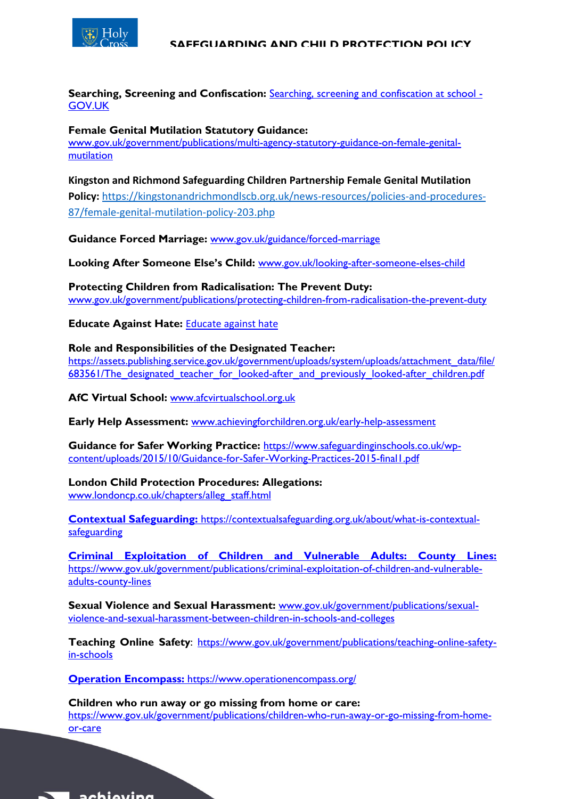

**Searching, Screening and Confiscation:** [Searching, screening and confiscation at school -](https://www.gov.uk/government/publications/searching-screening-and-confiscation) [GOV.UK](https://www.gov.uk/government/publications/searching-screening-and-confiscation)

**Female Genital Mutilation Statutory Guidance:**  [www.gov.uk/government/publications/multi-agency-statutory-guidance-on-female-genital](http://www.gov.uk/government/publications/multi-agency-statutory-guidance-on-female-genital-mutilation)[mutilation](http://www.gov.uk/government/publications/multi-agency-statutory-guidance-on-female-genital-mutilation)

**Kingston and Richmond Safeguarding Children Partnership Female Genital Mutilation Policy:** [https://kingstonandrichmondlscb.org.uk/news-resources/policies-and-procedures-](https://kingstonandrichmondlscb.org.uk/news-resources/policies-and-procedures-87/female-genital-mutilation-policy-203.php)[87/female-genital-mutilation-policy-203.php](https://kingstonandrichmondlscb.org.uk/news-resources/policies-and-procedures-87/female-genital-mutilation-policy-203.php)

**Guidance Forced Marriage:** [www.gov.uk/guidance/forced-marriage](http://www.gov.uk/guidance/forced-marriage)

**Looking After Someone Else's Child:** [www.gov.uk/looking-after-someone-elses-child](http://www.gov.uk/looking-after-someone-elses-child)

**Protecting Children from Radicalisation: The Prevent Duty:**  [www.gov.uk/government/publications/protecting-children-from-radicalisation-the-prevent-duty](http://www.gov.uk/government/publications/protecting-children-from-radicalisation-the-prevent-duty)

**Educate Against Hate:** [Educate against hate](http://educateagainsthate.com/)

**Role and Responsibilities of the Designated Teacher:**  [https://assets.publishing.service.gov.uk/government/uploads/system/uploads/attachment\\_data/file/](https://assets.publishing.service.gov.uk/government/uploads/system/uploads/attachment_data/file/683561/The_designated_teacher_for_looked-after_and_previously_looked-after_children.pdf) [683561/The\\_designated\\_teacher\\_for\\_looked-after\\_and\\_previously\\_looked-after\\_children.pdf](https://assets.publishing.service.gov.uk/government/uploads/system/uploads/attachment_data/file/683561/The_designated_teacher_for_looked-after_and_previously_looked-after_children.pdf)

**AfC Virtual School:** [www.afcvirtualschool.org.uk](https://www.afcvirtualschool.org.uk/)

**Early Help Assessment:** [www.achievingforchildren.org.uk/early-help-assessment](http://www.achievingforchildren.org.uk/early-help-assessment)

**Guidance for Safer Working Practice:** [https://www.safeguardinginschools.co.uk/wp](https://www.safeguardinginschools.co.uk/wp-content/uploads/2015/10/Guidance-for-Safer-Working-Practices-2015-final1.pdf)[content/uploads/2015/10/Guidance-for-Safer-Working-Practices-2015-final1.pdf](https://www.safeguardinginschools.co.uk/wp-content/uploads/2015/10/Guidance-for-Safer-Working-Practices-2015-final1.pdf)

**London Child Protection Procedures: Allegations:**  [www.londoncp.co.uk/chapters/alleg\\_staff.html](http://www.londoncp.co.uk/chapters/alleg_staff.html)

**Contextual Safeguarding:** [https://contextualsafeguarding.org.uk/about/what-is-contextual](https://contextualsafeguarding.org.uk/about/what-is-contextual-safeguarding)**[safeguarding](https://contextualsafeguarding.org.uk/about/what-is-contextual-safeguarding)** 

**Criminal Exploitation of Children and Vulnerable Adults: County Lines:**  [https://www.gov.uk/government/publications/criminal-exploitation-of-children-and-vulnerable](https://www.gov.uk/government/publications/criminal-exploitation-of-children-and-vulnerable-adults-county-lines)[adults-county-lines](https://www.gov.uk/government/publications/criminal-exploitation-of-children-and-vulnerable-adults-county-lines)

**Sexual Violence and Sexual Harassment:** [www.gov.uk/government/publications/sexual](file:///C:/Users/linda.sheehan/AppData/Roaming/Microsoft/Word/www.gov.uk/government/publications/sexual-violence-and-sexual-harassment-between-children-in-schools-and-colleges)[violence-and-sexual-harassment-between-children-in-schools-and-colleges](file:///C:/Users/linda.sheehan/AppData/Roaming/Microsoft/Word/www.gov.uk/government/publications/sexual-violence-and-sexual-harassment-between-children-in-schools-and-colleges)

**Teaching Online Safety**: [https://www.gov.uk/government/publications/teaching-online-safety](https://www.gov.uk/government/publications/teaching-online-safety-in-schools)[in-schools](https://www.gov.uk/government/publications/teaching-online-safety-in-schools)

**Operation Encompass:** <https://www.operationencompass.org/>

**Children who run away or go missing from home or care:**  [https://www.gov.uk/government/publications/children-who-run-away-or-go-missing-from-home](https://www.gov.uk/government/publications/children-who-run-away-or-go-missing-from-home-or-care)[or-care](https://www.gov.uk/government/publications/children-who-run-away-or-go-missing-from-home-or-care)

Safeguarding and Child Protection Policy Nov 2021 AB ISI PUBLIC 211117 65



**E** achieving